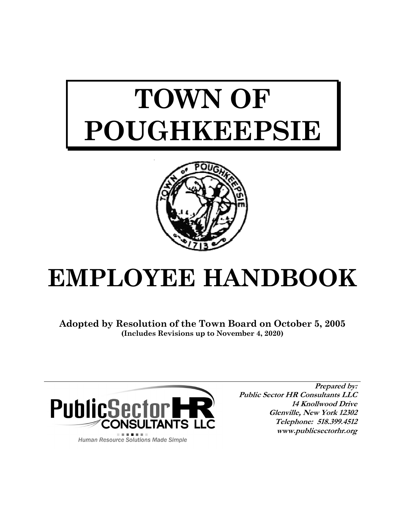# **TOWN OF POUGHKEEPSIE**



# **EMPLOYEE HANDBOOK**

**Adopted by Resolution of the Town Board on October 5, 2005 (Includes Revisions up to November 4, 2020)**



**Human Resource Solutions Made Simple** 

**Prepared by: Public Sector HR Consultants LLC 14 Knollwood Drive Glenville, New York 12302 Telephone: 518.399.4512 www.publicsectorhr.org**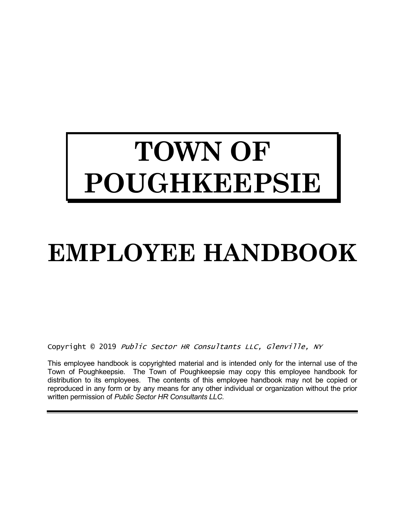# **TOWN OF POUGHKEEPSIE**

# **EMPLOYEE HANDBOOK**

Copyright © 2019 Public Sector HR Consultants LLC, Glenville, NY

This employee handbook is copyrighted material and is intended only for the internal use of the Town of Poughkeepsie. The Town of Poughkeepsie may copy this employee handbook for distribution to its employees. The contents of this employee handbook may not be copied or reproduced in any form or by any means for any other individual or organization without the prior written permission of *Public Sector HR Consultants LLC.*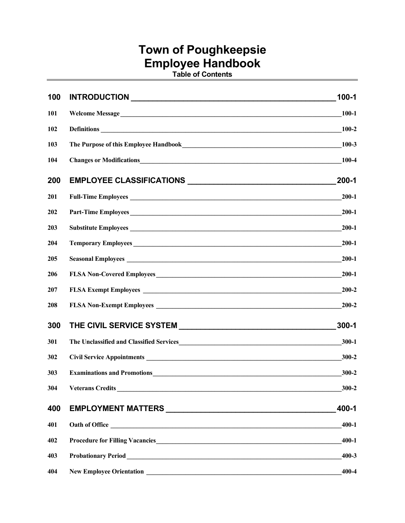# **Town of Poughkeepsie Employee Handbook**

**Table of Contents**

| 100 |                                                                                                                                                                                                                                      | $100 - 1$ |
|-----|--------------------------------------------------------------------------------------------------------------------------------------------------------------------------------------------------------------------------------------|-----------|
| 101 | Welcome Message                                                                                                                                                                                                                      | $100 - 1$ |
| 102 |                                                                                                                                                                                                                                      | $100 - 2$ |
| 103 |                                                                                                                                                                                                                                      | $100 - 3$ |
| 104 | <b>Changes or Modifications</b>                                                                                                                                                                                                      | $100 - 4$ |
| 200 |                                                                                                                                                                                                                                      | $200 - 1$ |
| 201 |                                                                                                                                                                                                                                      | $200 - 1$ |
| 202 | Part-Time Employees                                                                                                                                                                                                                  | $200 - 1$ |
| 203 |                                                                                                                                                                                                                                      | $200 - 1$ |
| 204 | Temporary Employees                                                                                                                                                                                                                  | $200 - 1$ |
| 205 |                                                                                                                                                                                                                                      | $200 - 1$ |
| 206 |                                                                                                                                                                                                                                      | $200 - 1$ |
| 207 |                                                                                                                                                                                                                                      | $200 - 2$ |
| 208 |                                                                                                                                                                                                                                      | 200-2     |
| 300 |                                                                                                                                                                                                                                      | $300 - 1$ |
| 301 |                                                                                                                                                                                                                                      | $300 - 1$ |
| 302 |                                                                                                                                                                                                                                      | $300 - 2$ |
| 303 |                                                                                                                                                                                                                                      | $300 - 2$ |
| 304 |                                                                                                                                                                                                                                      | $300 - 2$ |
| 400 |                                                                                                                                                                                                                                      | 400-1     |
| 401 | Oath of Office <u>contains and the set of the set of the set of the set of the set of the set of the set of the set of the set of the set of the set of the set of the set of the set of the set of the set of the set of the se</u> | $400 - 1$ |
| 402 |                                                                                                                                                                                                                                      | $400 - 1$ |
| 403 |                                                                                                                                                                                                                                      | $400 - 3$ |
| 404 | <b>New Employee Orientation</b>                                                                                                                                                                                                      | $400 - 4$ |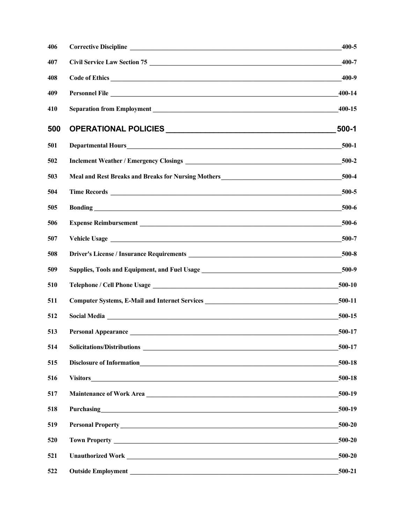| 406 |                                                                                                                                                                                                                                | 400-5   |
|-----|--------------------------------------------------------------------------------------------------------------------------------------------------------------------------------------------------------------------------------|---------|
| 407 | Civil Service Law Section 75                                                                                                                                                                                                   | 400-7   |
| 408 |                                                                                                                                                                                                                                |         |
| 409 |                                                                                                                                                                                                                                | 400-14  |
| 410 |                                                                                                                                                                                                                                | 400-15  |
| 500 |                                                                                                                                                                                                                                | $500-1$ |
| 501 |                                                                                                                                                                                                                                | $500-1$ |
| 502 |                                                                                                                                                                                                                                |         |
| 503 | Meal and Rest Breaks and Breaks for Nursing Mothers______________________________                                                                                                                                              | 500-4   |
| 504 |                                                                                                                                                                                                                                | 500-5   |
| 505 | Bonding contact the contact of the contact of the contact of the contact of the contact of the contact of the contact of the contact of the contact of the contact of the contact of the contact of the contact of the contact | 500-6   |
| 506 |                                                                                                                                                                                                                                | 500-6   |
| 507 |                                                                                                                                                                                                                                | 500-7   |
| 508 |                                                                                                                                                                                                                                |         |
| 509 | Supplies, Tools and Equipment, and Fuel Usage ___________________________________500-9                                                                                                                                         |         |
| 510 |                                                                                                                                                                                                                                | 500-10  |
| 511 | Computer Systems, E-Mail and Internet Services __________________________________500-11                                                                                                                                        |         |
| 512 | Social Media 2000-15                                                                                                                                                                                                           |         |
| 513 |                                                                                                                                                                                                                                | 500-17  |
| 514 |                                                                                                                                                                                                                                | 500-17  |
| 515 |                                                                                                                                                                                                                                | 500-18  |
| 516 | <b>Visitors</b>                                                                                                                                                                                                                | 500-18  |
| 517 | Maintenance of Work Area                                                                                                                                                                                                       | 500-19  |
| 518 | Purchasing https://www.archive.com/2010/01/2010                                                                                                                                                                                | 500-19  |
| 519 |                                                                                                                                                                                                                                | 500-20  |
| 520 |                                                                                                                                                                                                                                | 500-20  |
| 521 | Unauthorized Work New York 2008 and 2008 and 2008 and 2008 and 2008 and 2008 and 2008 and 2008 and 2008 and 20                                                                                                                 | 500-20  |
| 522 |                                                                                                                                                                                                                                | 500-21  |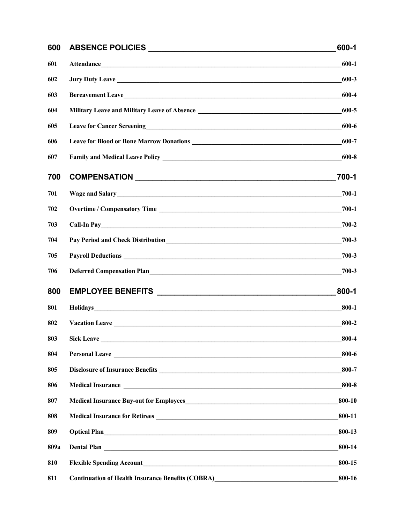| 600  |                                                                                                                                                                                                                                      | 600-1     |
|------|--------------------------------------------------------------------------------------------------------------------------------------------------------------------------------------------------------------------------------------|-----------|
| 601  |                                                                                                                                                                                                                                      | $600 - 1$ |
| 602  |                                                                                                                                                                                                                                      | 600-3     |
| 603  | Bereavement Leave                                                                                                                                                                                                                    | 600-4     |
| 604  |                                                                                                                                                                                                                                      | 600-5     |
| 605  | Leave for Cancer Screening<br><u>Leave for Cancer Screening</u>                                                                                                                                                                      | 600-6     |
| 606  |                                                                                                                                                                                                                                      | 600-7     |
| 607  |                                                                                                                                                                                                                                      | 600-8     |
| 700  |                                                                                                                                                                                                                                      | 700-1     |
| 701  |                                                                                                                                                                                                                                      | $700 - 1$ |
| 702  |                                                                                                                                                                                                                                      | $700-1$   |
| 703  |                                                                                                                                                                                                                                      | $700 - 2$ |
| 704  |                                                                                                                                                                                                                                      | 700-3     |
| 705  | Payroll Deductions <b>contained a set of the contact of the contact of the contact of the contact of the contact of the contact of the contact of the contact of the contact of the contact of the contact of the contact of the</b> | 700-3     |
| 706  | Deferred Compensation Plan                                                                                                                                                                                                           | 700-3     |
| 800  |                                                                                                                                                                                                                                      | 800-1     |
| 801  | Holidays <b>Example 2018 Holidays Example 2018 Holidays Example 2018 Holidays</b>                                                                                                                                                    | $800 - 1$ |
| 802  | Vacation Leave Leave Leave Leave Leave Leave Leave Leave Leave Leave Leave Leave                                                                                                                                                     | 800-2     |
| 803  | <b>Sick Leave</b>                                                                                                                                                                                                                    | 800-4     |
| 804  | Personal Leave Leave Leave and the set of the set of the set of the set of the set of the set of the set of the set of the set of the set of the set of the set of the set of the set of the set of the set of the set of the        | 800-6     |
| 805  |                                                                                                                                                                                                                                      | 800-7     |
| 806  |                                                                                                                                                                                                                                      | 800-8     |
| 807  |                                                                                                                                                                                                                                      | 800-10    |
| 808  |                                                                                                                                                                                                                                      | 800-11    |
| 809  |                                                                                                                                                                                                                                      | 800-13    |
| 809a | Dental Plan                                                                                                                                                                                                                          | 800-14    |
| 810  |                                                                                                                                                                                                                                      | 800-15    |
| 811  | Continuation of Health Insurance Benefits (COBRA)<br><u>Leadenborne and the continuation</u>                                                                                                                                         | 800-16    |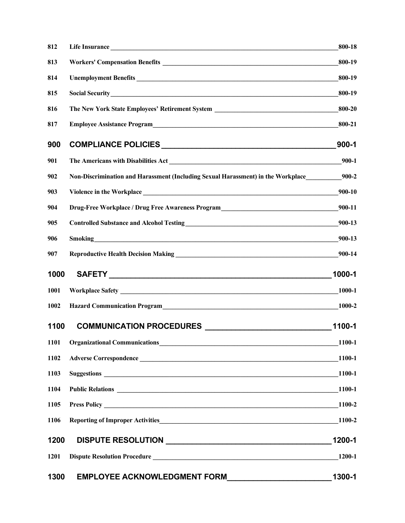| 812  |                                                                                                                                                                                                                               | 800-18    |
|------|-------------------------------------------------------------------------------------------------------------------------------------------------------------------------------------------------------------------------------|-----------|
| 813  |                                                                                                                                                                                                                               | 800-19    |
| 814  |                                                                                                                                                                                                                               | 800-19    |
| 815  | Social Security<br><u>Social Security</u>                                                                                                                                                                                     | 800-19    |
| 816  | The New York State Employees' Retirement System _________________________________                                                                                                                                             | 800-20    |
| 817  | Employee Assistance Program<br><u> Letting and the Contract of Assistance Program</u>                                                                                                                                         | 800-21    |
| 900  |                                                                                                                                                                                                                               | $900 - 1$ |
| 901  |                                                                                                                                                                                                                               | $900-1$   |
| 902  | Non-Discrimination and Harassment (Including Sexual Harassment) in the Workplace                                                                                                                                              | $900 - 2$ |
| 903  |                                                                                                                                                                                                                               | 900-10    |
| 904  | Drug-Free Workplace / Drug Free Awareness Program<br>200-11                                                                                                                                                                   |           |
| 905  | Controlled Substance and Alcohol Testing<br>200-13                                                                                                                                                                            |           |
| 906  | Smoking has a state of the state of the state of the state of the state of the state of the state of the state of the state of the state of the state of the state of the state of the state of the state of the state of the | 900-13    |
| 907  |                                                                                                                                                                                                                               | 900-14    |
| 1000 |                                                                                                                                                                                                                               | 1000-1    |
| 1001 |                                                                                                                                                                                                                               | 1000-1    |
| 1002 | Hazard Communication Program                                                                                                                                                                                                  | 1000-2    |
| 1100 |                                                                                                                                                                                                                               | 1100-1    |
| 1101 | <b>Organizational Communications</b>                                                                                                                                                                                          | 1100-1    |
| 1102 |                                                                                                                                                                                                                               | 1100-1    |
| 1103 |                                                                                                                                                                                                                               | 1100-1    |
| 1104 |                                                                                                                                                                                                                               | 1100-1    |
| 1105 |                                                                                                                                                                                                                               | 1100-2    |
| 1106 |                                                                                                                                                                                                                               | 1100-2    |
| 1200 | DISPUTE RESOLUTION AND RESOLUTION                                                                                                                                                                                             | 1200-1    |
| 1201 |                                                                                                                                                                                                                               | 1200-1    |
| 1300 | <b>EMPLOYEE ACKNOWLEDGMENT FORM</b><br><u> 1980 - Jan Barnett, prima politik (</u>                                                                                                                                            | 1300-1    |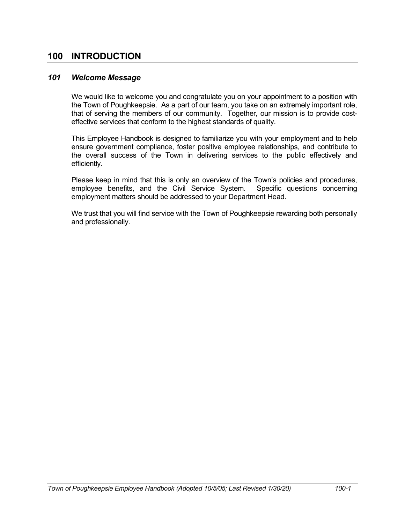# **100 INTRODUCTION**

## *101 Welcome Message*

We would like to welcome you and congratulate you on your appointment to a position with the Town of Poughkeepsie. As a part of our team, you take on an extremely important role, that of serving the members of our community. Together, our mission is to provide costeffective services that conform to the highest standards of quality.

This Employee Handbook is designed to familiarize you with your employment and to help ensure government compliance, foster positive employee relationships, and contribute to the overall success of the Town in delivering services to the public effectively and efficiently.

Please keep in mind that this is only an overview of the Town's policies and procedures, employee benefits, and the Civil Service System. Specific questions concerning employment matters should be addressed to your Department Head.

We trust that you will find service with the Town of Poughkeepsie rewarding both personally and professionally.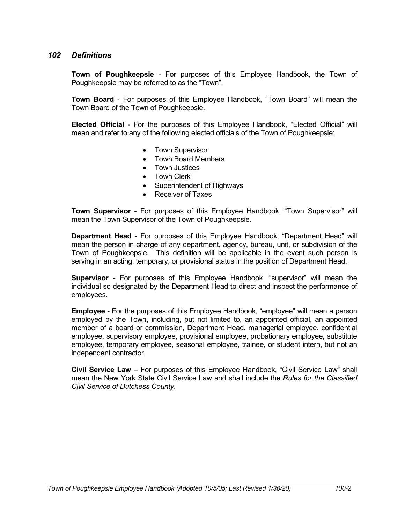# *102 Definitions*

**Town of Poughkeepsie** - For purposes of this Employee Handbook, the Town of Poughkeepsie may be referred to as the "Town".

**Town Board** - For purposes of this Employee Handbook, "Town Board" will mean the Town Board of the Town of Poughkeepsie.

**Elected Official** - For the purposes of this Employee Handbook, "Elected Official" will mean and refer to any of the following elected officials of the Town of Poughkeepsie:

- Town Supervisor
- Town Board Members
- Town Justices
- Town Clerk
- Superintendent of Highways
- Receiver of Taxes

**Town Supervisor** - For purposes of this Employee Handbook, "Town Supervisor" will mean the Town Supervisor of the Town of Poughkeepsie.

**Department Head** - For purposes of this Employee Handbook, "Department Head" will mean the person in charge of any department, agency, bureau, unit, or subdivision of the Town of Poughkeepsie. This definition will be applicable in the event such person is serving in an acting, temporary, or provisional status in the position of Department Head.

**Supervisor** - For purposes of this Employee Handbook, "supervisor" will mean the individual so designated by the Department Head to direct and inspect the performance of employees.

**Employee** - For the purposes of this Employee Handbook, "employee" will mean a person employed by the Town, including, but not limited to, an appointed official, an appointed member of a board or commission, Department Head, managerial employee, confidential employee, supervisory employee, provisional employee, probationary employee, substitute employee, temporary employee, seasonal employee, trainee, or student intern, but not an independent contractor.

**Civil Service Law** – For purposes of this Employee Handbook, "Civil Service Law" shall mean the New York State Civil Service Law and shall include the *Rules for the Classified Civil Service of Dutchess County*.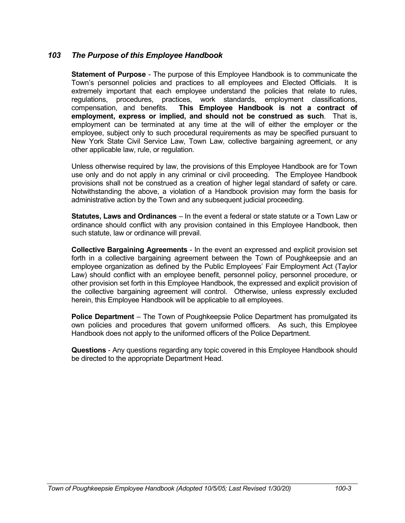# *103 The Purpose of this Employee Handbook*

**Statement of Purpose** - The purpose of this Employee Handbook is to communicate the Town's personnel policies and practices to all employees and Elected Officials. It is extremely important that each employee understand the policies that relate to rules, regulations, procedures, practices, work standards, employment classifications, compensation, and benefits. **This Employee Handbook is not a contract of employment, express or implied, and should not be construed as such**. That is, employment can be terminated at any time at the will of either the employer or the employee, subject only to such procedural requirements as may be specified pursuant to New York State Civil Service Law, Town Law, collective bargaining agreement, or any other applicable law, rule, or regulation.

Unless otherwise required by law, the provisions of this Employee Handbook are for Town use only and do not apply in any criminal or civil proceeding. The Employee Handbook provisions shall not be construed as a creation of higher legal standard of safety or care. Notwithstanding the above, a violation of a Handbook provision may form the basis for administrative action by the Town and any subsequent judicial proceeding.

**Statutes, Laws and Ordinances** – In the event a federal or state statute or a Town Law or ordinance should conflict with any provision contained in this Employee Handbook, then such statute, law or ordinance will prevail.

**Collective Bargaining Agreements** - In the event an expressed and explicit provision set forth in a collective bargaining agreement between the Town of Poughkeepsie and an employee organization as defined by the Public Employees' Fair Employment Act (Taylor Law) should conflict with an employee benefit, personnel policy, personnel procedure, or other provision set forth in this Employee Handbook, the expressed and explicit provision of the collective bargaining agreement will control. Otherwise, unless expressly excluded herein, this Employee Handbook will be applicable to all employees.

**Police Department** – The Town of Poughkeepsie Police Department has promulgated its own policies and procedures that govern uniformed officers. As such, this Employee Handbook does not apply to the uniformed officers of the Police Department.

**Questions** - Any questions regarding any topic covered in this Employee Handbook should be directed to the appropriate Department Head.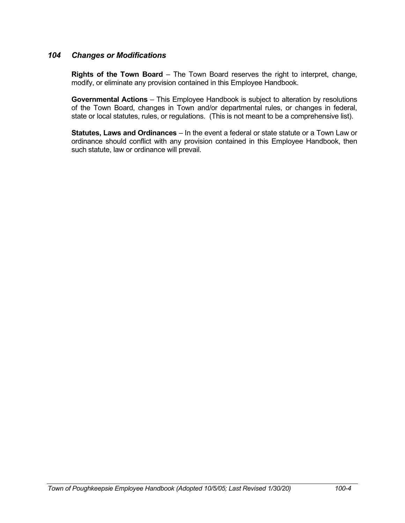# *104 Changes or Modifications*

**Rights of the Town Board** – The Town Board reserves the right to interpret, change, modify, or eliminate any provision contained in this Employee Handbook.

**Governmental Actions** – This Employee Handbook is subject to alteration by resolutions of the Town Board, changes in Town and/or departmental rules, or changes in federal, state or local statutes, rules, or regulations. (This is not meant to be a comprehensive list).

**Statutes, Laws and Ordinances** – In the event a federal or state statute or a Town Law or ordinance should conflict with any provision contained in this Employee Handbook, then such statute, law or ordinance will prevail.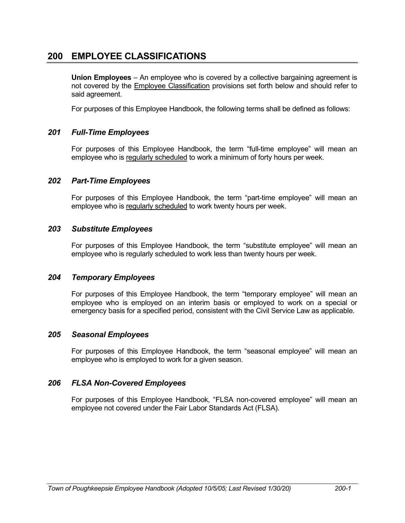# **200 EMPLOYEE CLASSIFICATIONS**

**Union Employees** – An employee who is covered by a collective bargaining agreement is not covered by the Employee Classification provisions set forth below and should refer to said agreement.

For purposes of this Employee Handbook, the following terms shall be defined as follows:

# *201 Full-Time Employees*

For purposes of this Employee Handbook, the term "full-time employee" will mean an employee who is regularly scheduled to work a minimum of forty hours per week.

# *202 Part-Time Employees*

For purposes of this Employee Handbook, the term "part-time employee" will mean an employee who is regularly scheduled to work twenty hours per week.

## *203 Substitute Employees*

For purposes of this Employee Handbook, the term "substitute employee" will mean an employee who is regularly scheduled to work less than twenty hours per week.

# *204 Temporary Employees*

For purposes of this Employee Handbook, the term "temporary employee" will mean an employee who is employed on an interim basis or employed to work on a special or emergency basis for a specified period, consistent with the Civil Service Law as applicable.

# *205 Seasonal Employees*

For purposes of this Employee Handbook, the term "seasonal employee" will mean an employee who is employed to work for a given season.

# *206 FLSA Non-Covered Employees*

For purposes of this Employee Handbook, "FLSA non-covered employee" will mean an employee not covered under the Fair Labor Standards Act (FLSA).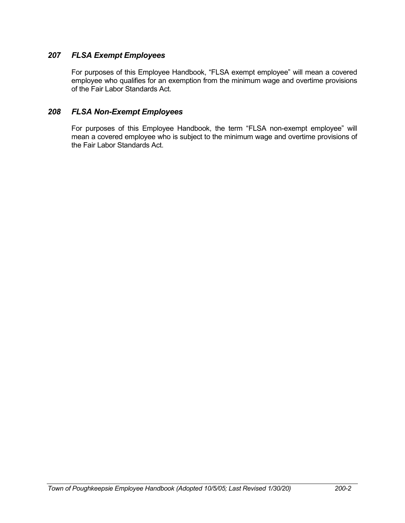# *207 FLSA Exempt Employees*

For purposes of this Employee Handbook, "FLSA exempt employee" will mean a covered employee who qualifies for an exemption from the minimum wage and overtime provisions of the Fair Labor Standards Act.

# *208 FLSA Non-Exempt Employees*

For purposes of this Employee Handbook, the term "FLSA non-exempt employee" will mean a covered employee who is subject to the minimum wage and overtime provisions of the Fair Labor Standards Act.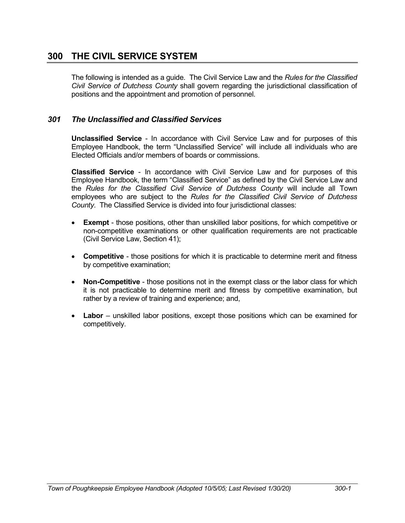# **300 THE CIVIL SERVICE SYSTEM**

The following is intended as a guide. The Civil Service Law and the *Rules for the Classified Civil Service of Dutchess County* shall govern regarding the jurisdictional classification of positions and the appointment and promotion of personnel.

# *301 The Unclassified and Classified Services*

**Unclassified Service** - In accordance with Civil Service Law and for purposes of this Employee Handbook, the term "Unclassified Service" will include all individuals who are Elected Officials and/or members of boards or commissions.

**Classified Service** - In accordance with Civil Service Law and for purposes of this Employee Handbook, the term "Classified Service" as defined by the Civil Service Law and the *Rules for the Classified Civil Service of Dutchess County* will include all Town employees who are subject to the *Rules for the Classified Civil Service of Dutchess County*. The Classified Service is divided into four jurisdictional classes:

- **Exempt** those positions, other than unskilled labor positions, for which competitive or non-competitive examinations or other qualification requirements are not practicable (Civil Service Law, Section 41);
- **Competitive** those positions for which it is practicable to determine merit and fitness by competitive examination;
- **Non-Competitive** those positions not in the exempt class or the labor class for which it is not practicable to determine merit and fitness by competitive examination, but rather by a review of training and experience; and,
- **Labor** unskilled labor positions, except those positions which can be examined for competitively.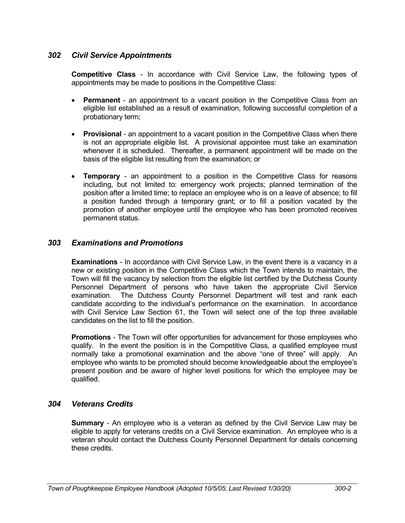# *302 Civil Service Appointments*

**Competitive Class** - In accordance with Civil Service Law, the following types of appointments may be made to positions in the Competitive Class:

- **Permanent** an appointment to a vacant position in the Competitive Class from an eligible list established as a result of examination, following successful completion of a probationary term;
- **Provisional** an appointment to a vacant position in the Competitive Class when there is not an appropriate eligible list. A provisional appointee must take an examination whenever it is scheduled. Thereafter, a permanent appointment will be made on the basis of the eligible list resulting from the examination; or
- **Temporary** an appointment to a position in the Competitive Class for reasons including, but not limited to: emergency work projects; planned termination of the position after a limited time; to replace an employee who is on a leave of absence; to fill a position funded through a temporary grant; or to fill a position vacated by the promotion of another employee until the employee who has been promoted receives permanent status.

# *303 Examinations and Promotions*

**Examinations** - In accordance with Civil Service Law, in the event there is a vacancy in a new or existing position in the Competitive Class which the Town intends to maintain, the Town will fill the vacancy by selection from the eligible list certified by the Dutchess County Personnel Department of persons who have taken the appropriate Civil Service examination. The Dutchess County Personnel Department will test and rank each candidate according to the individual's performance on the examination. In accordance with Civil Service Law Section 61, the Town will select one of the top three available candidates on the list to fill the position.

**Promotions** - The Town will offer opportunities for advancement for those employees who qualify. In the event the position is in the Competitive Class, a qualified employee must normally take a promotional examination and the above "one of three" will apply. An employee who wants to be promoted should become knowledgeable about the employee's present position and be aware of higher level positions for which the employee may be qualified.

# *304 Veterans Credits*

**Summary** - An employee who is a veteran as defined by the Civil Service Law may be eligible to apply for veterans credits on a Civil Service examination. An employee who is a veteran should contact the Dutchess County Personnel Department for details concerning these credits.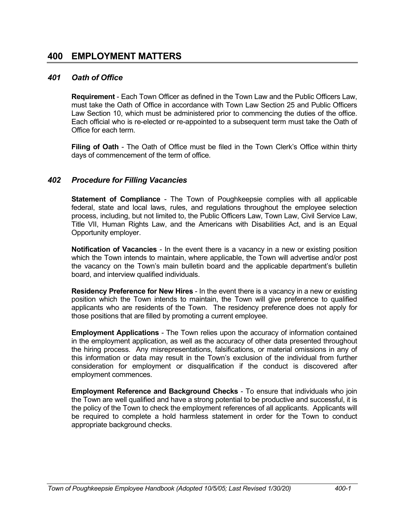# **400 EMPLOYMENT MATTERS**

# *401 Oath of Office*

**Requirement** - Each Town Officer as defined in the Town Law and the Public Officers Law, must take the Oath of Office in accordance with Town Law Section 25 and Public Officers Law Section 10, which must be administered prior to commencing the duties of the office. Each official who is re-elected or re-appointed to a subsequent term must take the Oath of Office for each term.

**Filing of Oath** - The Oath of Office must be filed in the Town Clerk's Office within thirty days of commencement of the term of office.

## *402 Procedure for Filling Vacancies*

**Statement of Compliance** - The Town of Poughkeepsie complies with all applicable federal, state and local laws, rules, and regulations throughout the employee selection process, including, but not limited to, the Public Officers Law, Town Law, Civil Service Law, Title VII, Human Rights Law, and the Americans with Disabilities Act, and is an Equal Opportunity employer.

**Notification of Vacancies** - In the event there is a vacancy in a new or existing position which the Town intends to maintain, where applicable, the Town will advertise and/or post the vacancy on the Town's main bulletin board and the applicable department's bulletin board, and interview qualified individuals.

**Residency Preference for New Hires** - In the event there is a vacancy in a new or existing position which the Town intends to maintain, the Town will give preference to qualified applicants who are residents of the Town. The residency preference does not apply for those positions that are filled by promoting a current employee.

**Employment Applications** - The Town relies upon the accuracy of information contained in the employment application, as well as the accuracy of other data presented throughout the hiring process. Any misrepresentations, falsifications, or material omissions in any of this information or data may result in the Town's exclusion of the individual from further consideration for employment or disqualification if the conduct is discovered after employment commences.

**Employment Reference and Background Checks** - To ensure that individuals who join the Town are well qualified and have a strong potential to be productive and successful, it is the policy of the Town to check the employment references of all applicants. Applicants will be required to complete a hold harmless statement in order for the Town to conduct appropriate background checks.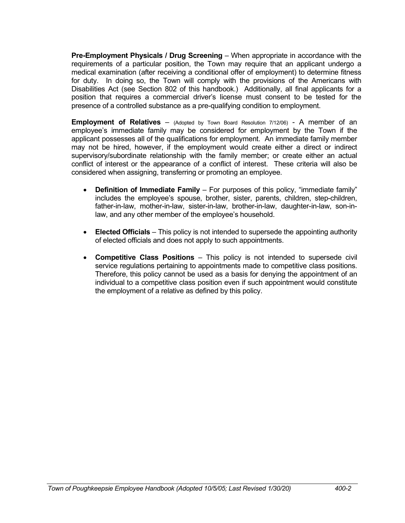**Pre-Employment Physicals / Drug Screening** – When appropriate in accordance with the requirements of a particular position, the Town may require that an applicant undergo a medical examination (after receiving a conditional offer of employment) to determine fitness for duty. In doing so, the Town will comply with the provisions of the Americans with Disabilities Act (see Section 802 of this handbook.) Additionally, all final applicants for a position that requires a commercial driver's license must consent to be tested for the presence of a controlled substance as a pre-qualifying condition to employment.

**Employment of Relatives** – (Adopted by Town Board Resolution 7/12/06) - A member of an employee's immediate family may be considered for employment by the Town if the applicant possesses all of the qualifications for employment. An immediate family member may not be hired, however, if the employment would create either a direct or indirect supervisory/subordinate relationship with the family member; or create either an actual conflict of interest or the appearance of a conflict of interest. These criteria will also be considered when assigning, transferring or promoting an employee.

- **Definition of Immediate Family** For purposes of this policy, "immediate family" includes the employee's spouse, brother, sister, parents, children, step-children, father-in-law, mother-in-law, sister-in-law, brother-in-law, daughter-in-law, son-inlaw, and any other member of the employee's household.
- **Elected Officials** This policy is not intended to supersede the appointing authority of elected officials and does not apply to such appointments.
- **Competitive Class Positions** This policy is not intended to supersede civil service regulations pertaining to appointments made to competitive class positions. Therefore, this policy cannot be used as a basis for denying the appointment of an individual to a competitive class position even if such appointment would constitute the employment of a relative as defined by this policy.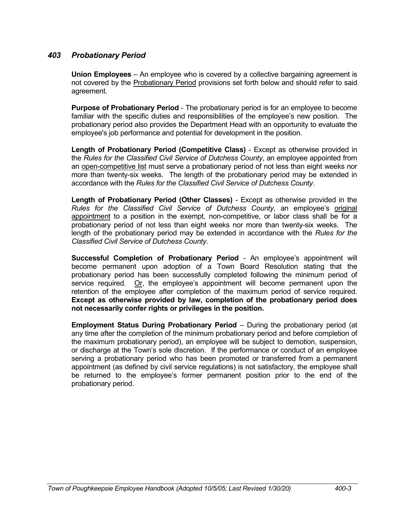# *403 Probationary Period*

**Union Employees** – An employee who is covered by a collective bargaining agreement is not covered by the Probationary Period provisions set forth below and should refer to said agreement.

**Purpose of Probationary Period** - The probationary period is for an employee to become familiar with the specific duties and responsibilities of the employee's new position. The probationary period also provides the Department Head with an opportunity to evaluate the employee's job performance and potential for development in the position.

**Length of Probationary Period (Competitive Class)** - Except as otherwise provided in the *Rules for the Classified Civil Service of Dutchess County*, an employee appointed from an open-competitive list must serve a probationary period of not less than eight weeks nor more than twenty-six weeks. The length of the probationary period may be extended in accordance with the *Rules for the Classified Civil Service of Dutchess County*.

**Length of Probationary Period (Other Classes)** - Except as otherwise provided in the *Rules for the Classified Civil Service of Dutchess County*, an employee's original appointment to a position in the exempt, non-competitive, or labor class shall be for a probationary period of not less than eight weeks nor more than twenty-six weeks. The length of the probationary period may be extended in accordance with the *Rules for the Classified Civil Service of Dutchess County*.

**Successful Completion of Probationary Period** - An employee's appointment will become permanent upon adoption of a Town Board Resolution stating that the probationary period has been successfully completed following the minimum period of service required. Or, the employee's appointment will become permanent upon the retention of the employee after completion of the maximum period of service required. **Except as otherwise provided by law, completion of the probationary period does not necessarily confer rights or privileges in the position.**

**Employment Status During Probationary Period** – During the probationary period (at any time after the completion of the minimum probationary period and before completion of the maximum probationary period), an employee will be subject to demotion, suspension, or discharge at the Town's sole discretion. If the performance or conduct of an employee serving a probationary period who has been promoted or transferred from a permanent appointment (as defined by civil service regulations) is not satisfactory, the employee shall be returned to the employee's former permanent position prior to the end of the probationary period.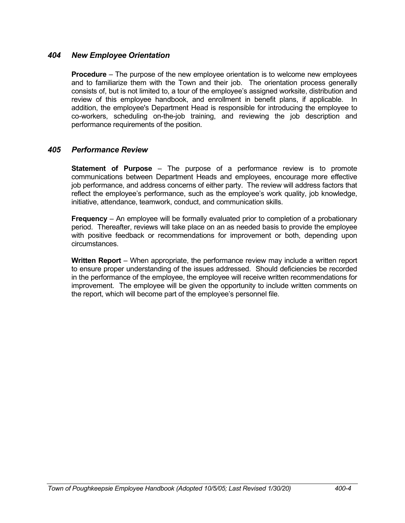# *404 New Employee Orientation*

**Procedure** – The purpose of the new employee orientation is to welcome new employees and to familiarize them with the Town and their job. The orientation process generally consists of, but is not limited to, a tour of the employee's assigned worksite, distribution and review of this employee handbook, and enrollment in benefit plans, if applicable. In addition, the employee's Department Head is responsible for introducing the employee to co-workers, scheduling on-the-job training, and reviewing the job description and performance requirements of the position.

## *405 Performance Review*

**Statement of Purpose** – The purpose of a performance review is to promote communications between Department Heads and employees, encourage more effective job performance, and address concerns of either party. The review will address factors that reflect the employee's performance, such as the employee's work quality, job knowledge, initiative, attendance, teamwork, conduct, and communication skills.

**Frequency** – An employee will be formally evaluated prior to completion of a probationary period. Thereafter, reviews will take place on an as needed basis to provide the employee with positive feedback or recommendations for improvement or both, depending upon circumstances.

**Written Report** – When appropriate, the performance review may include a written report to ensure proper understanding of the issues addressed. Should deficiencies be recorded in the performance of the employee, the employee will receive written recommendations for improvement. The employee will be given the opportunity to include written comments on the report, which will become part of the employee's personnel file.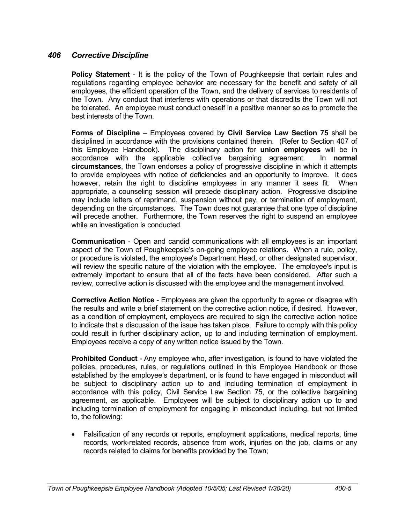# *406 Corrective Discipline*

**Policy Statement** - It is the policy of the Town of Poughkeepsie that certain rules and regulations regarding employee behavior are necessary for the benefit and safety of all employees, the efficient operation of the Town, and the delivery of services to residents of the Town. Any conduct that interferes with operations or that discredits the Town will not be tolerated. An employee must conduct oneself in a positive manner so as to promote the best interests of the Town.

**Forms of Discipline** – Employees covered by **Civil Service Law Section 75** shall be disciplined in accordance with the provisions contained therein. (Refer to Section 407 of this Employee Handbook). The disciplinary action for **union employees** will be in accordance with the applicable collective bargaining agreement. In **normal circumstances**, the Town endorses a policy of progressive discipline in which it attempts to provide employees with notice of deficiencies and an opportunity to improve. It does however, retain the right to discipline employees in any manner it sees fit. When appropriate, a counseling session will precede disciplinary action. Progressive discipline may include letters of reprimand, suspension without pay, or termination of employment, depending on the circumstances. The Town does not guarantee that one type of discipline will precede another. Furthermore, the Town reserves the right to suspend an employee while an investigation is conducted.

**Communication** - Open and candid communications with all employees is an important aspect of the Town of Poughkeepsie's on-going employee relations. When a rule, policy, or procedure is violated, the employee's Department Head, or other designated supervisor, will review the specific nature of the violation with the employee. The employee's input is extremely important to ensure that all of the facts have been considered. After such a review, corrective action is discussed with the employee and the management involved.

**Corrective Action Notice** - Employees are given the opportunity to agree or disagree with the results and write a brief statement on the corrective action notice, if desired. However, as a condition of employment, employees are required to sign the corrective action notice to indicate that a discussion of the issue has taken place. Failure to comply with this policy could result in further disciplinary action, up to and including termination of employment. Employees receive a copy of any written notice issued by the Town.

**Prohibited Conduct** - Any employee who, after investigation, is found to have violated the policies, procedures, rules, or regulations outlined in this Employee Handbook or those established by the employee's department, or is found to have engaged in misconduct will be subject to disciplinary action up to and including termination of employment in accordance with this policy, Civil Service Law Section 75, or the collective bargaining agreement, as applicable. Employees will be subject to disciplinary action up to and including termination of employment for engaging in misconduct including, but not limited to, the following:

• Falsification of any records or reports, employment applications, medical reports, time records, work-related records, absence from work, injuries on the job, claims or any records related to claims for benefits provided by the Town;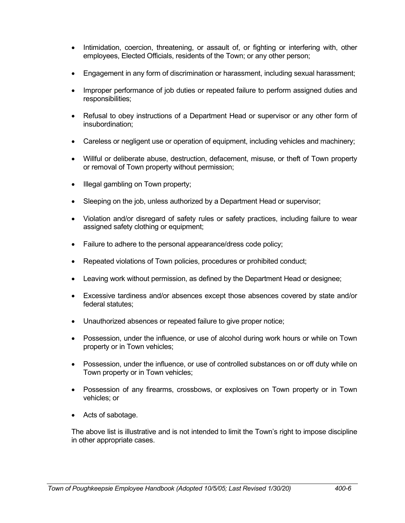- Intimidation, coercion, threatening, or assault of, or fighting or interfering with, other employees, Elected Officials, residents of the Town; or any other person;
- Engagement in any form of discrimination or harassment, including sexual harassment;
- Improper performance of job duties or repeated failure to perform assigned duties and responsibilities;
- Refusal to obey instructions of a Department Head or supervisor or any other form of insubordination;
- Careless or negligent use or operation of equipment, including vehicles and machinery;
- Willful or deliberate abuse, destruction, defacement, misuse, or theft of Town property or removal of Town property without permission;
- Illegal gambling on Town property;
- Sleeping on the job, unless authorized by a Department Head or supervisor;
- Violation and/or disregard of safety rules or safety practices, including failure to wear assigned safety clothing or equipment:
- Failure to adhere to the personal appearance/dress code policy;
- Repeated violations of Town policies, procedures or prohibited conduct;
- Leaving work without permission, as defined by the Department Head or designee;
- Excessive tardiness and/or absences except those absences covered by state and/or federal statutes;
- Unauthorized absences or repeated failure to give proper notice;
- Possession, under the influence, or use of alcohol during work hours or while on Town property or in Town vehicles;
- Possession, under the influence, or use of controlled substances on or off duty while on Town property or in Town vehicles;
- Possession of any firearms, crossbows, or explosives on Town property or in Town vehicles; or
- Acts of sabotage.

The above list is illustrative and is not intended to limit the Town's right to impose discipline in other appropriate cases.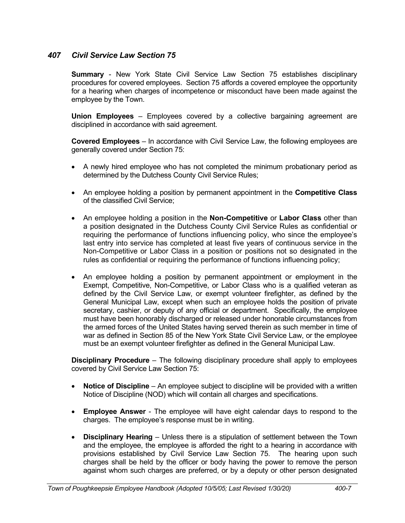# *407 Civil Service Law Section 75*

**Summary** - New York State Civil Service Law Section 75 establishes disciplinary procedures for covered employees. Section 75 affords a covered employee the opportunity for a hearing when charges of incompetence or misconduct have been made against the employee by the Town.

**Union Employees** – Employees covered by a collective bargaining agreement are disciplined in accordance with said agreement.

**Covered Employees** – In accordance with Civil Service Law, the following employees are generally covered under Section 75:

- A newly hired employee who has not completed the minimum probationary period as determined by the Dutchess County Civil Service Rules;
- An employee holding a position by permanent appointment in the **Competitive Class** of the classified Civil Service;
- An employee holding a position in the **Non-Competitive** or **Labor Class** other than a position designated in the Dutchess County Civil Service Rules as confidential or requiring the performance of functions influencing policy, who since the employee's last entry into service has completed at least five years of continuous service in the Non-Competitive or Labor Class in a position or positions not so designated in the rules as confidential or requiring the performance of functions influencing policy;
- An employee holding a position by permanent appointment or employment in the Exempt, Competitive, Non-Competitive, or Labor Class who is a qualified veteran as defined by the Civil Service Law, or exempt volunteer firefighter, as defined by the General Municipal Law, except when such an employee holds the position of private secretary, cashier, or deputy of any official or department. Specifically, the employee must have been honorably discharged or released under honorable circumstances from the armed forces of the United States having served therein as such member in time of war as defined in Section 85 of the New York State Civil Service Law, or the employee must be an exempt volunteer firefighter as defined in the General Municipal Law.

**Disciplinary Procedure** – The following disciplinary procedure shall apply to employees covered by Civil Service Law Section 75:

- **Notice of Discipline** An employee subject to discipline will be provided with a written Notice of Discipline (NOD) which will contain all charges and specifications.
- **Employee Answer** The employee will have eight calendar days to respond to the charges. The employee's response must be in writing.
- **Disciplinary Hearing** Unless there is a stipulation of settlement between the Town and the employee, the employee is afforded the right to a hearing in accordance with provisions established by Civil Service Law Section 75. The hearing upon such charges shall be held by the officer or body having the power to remove the person against whom such charges are preferred, or by a deputy or other person designated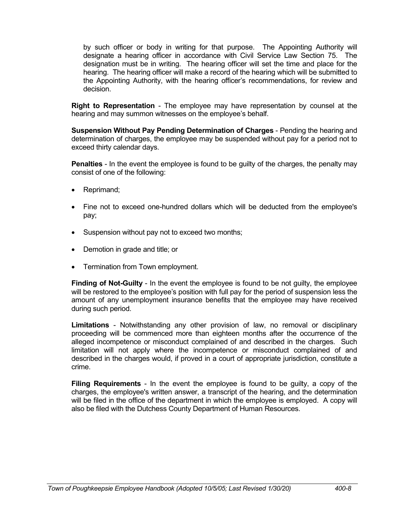by such officer or body in writing for that purpose. The Appointing Authority will designate a hearing officer in accordance with Civil Service Law Section 75. The designation must be in writing. The hearing officer will set the time and place for the hearing. The hearing officer will make a record of the hearing which will be submitted to the Appointing Authority, with the hearing officer's recommendations, for review and decision.

**Right to Representation** - The employee may have representation by counsel at the hearing and may summon witnesses on the employee's behalf.

**Suspension Without Pay Pending Determination of Charges** - Pending the hearing and determination of charges, the employee may be suspended without pay for a period not to exceed thirty calendar days.

**Penalties** - In the event the employee is found to be guilty of the charges, the penalty may consist of one of the following:

- Reprimand:
- Fine not to exceed one-hundred dollars which will be deducted from the employee's pay;
- Suspension without pay not to exceed two months;
- Demotion in grade and title; or
- Termination from Town employment.

**Finding of Not-Guilty** - In the event the employee is found to be not guilty, the employee will be restored to the employee's position with full pay for the period of suspension less the amount of any unemployment insurance benefits that the employee may have received during such period.

**Limitations** - Notwithstanding any other provision of law, no removal or disciplinary proceeding will be commenced more than eighteen months after the occurrence of the alleged incompetence or misconduct complained of and described in the charges. Such limitation will not apply where the incompetence or misconduct complained of and described in the charges would, if proved in a court of appropriate jurisdiction, constitute a crime.

**Filing Requirements** - In the event the employee is found to be guilty, a copy of the charges, the employee's written answer, a transcript of the hearing, and the determination will be filed in the office of the department in which the employee is employed. A copy will also be filed with the Dutchess County Department of Human Resources.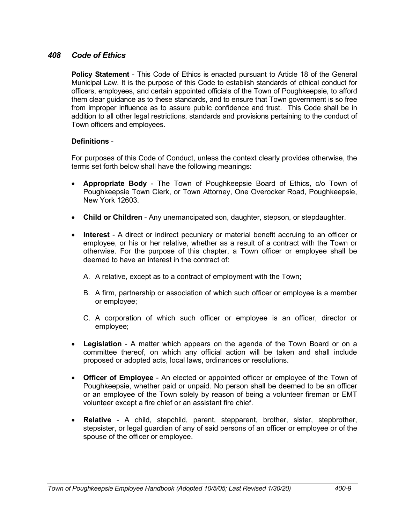# *408 Code of Ethics*

**Policy Statement** - This Code of Ethics is enacted pursuant to Article 18 of the General Municipal Law. It is the purpose of this Code to establish standards of ethical conduct for officers, employees, and certain appointed officials of the Town of Poughkeepsie, to afford them clear guidance as to these standards, and to ensure that Town government is so free from improper influence as to assure public confidence and trust. This Code shall be in addition to all other legal restrictions, standards and provisions pertaining to the conduct of Town officers and employees.

# **Definitions** -

For purposes of this Code of Conduct, unless the context clearly provides otherwise, the terms set forth below shall have the following meanings:

- **Appropriate Body** The Town of Poughkeepsie Board of Ethics, c/o Town of Poughkeepsie Town Clerk, or Town Attorney, One Overocker Road, Poughkeepsie, New York 12603.
- **Child or Children** Any unemancipated son, daughter, stepson, or stepdaughter.
- **Interest** A direct or indirect pecuniary or material benefit accruing to an officer or employee, or his or her relative, whether as a result of a contract with the Town or otherwise. For the purpose of this chapter, a Town officer or employee shall be deemed to have an interest in the contract of:
	- A. A relative, except as to a contract of employment with the Town;
	- B. A firm, partnership or association of which such officer or employee is a member or employee;
	- C. A corporation of which such officer or employee is an officer, director or employee;
- **Legislation** A matter which appears on the agenda of the Town Board or on a committee thereof, on which any official action will be taken and shall include proposed or adopted acts, local laws, ordinances or resolutions.
- **Officer of Employee** An elected or appointed officer or employee of the Town of Poughkeepsie, whether paid or unpaid. No person shall be deemed to be an officer or an employee of the Town solely by reason of being a volunteer fireman or EMT volunteer except a fire chief or an assistant fire chief.
- **Relative** A child, stepchild, parent, stepparent, brother, sister, stepbrother, stepsister, or legal guardian of any of said persons of an officer or employee or of the spouse of the officer or employee.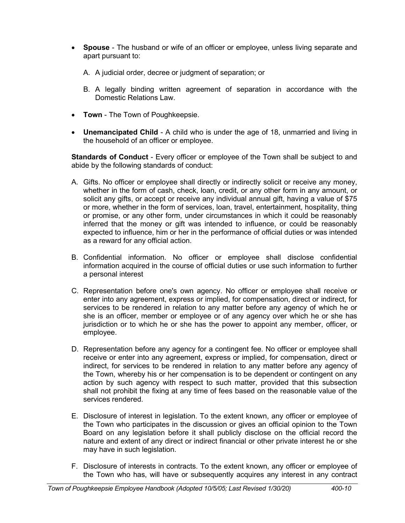- **Spouse** The husband or wife of an officer or employee, unless living separate and apart pursuant to:
	- A. A judicial order, decree or judgment of separation; or
	- B. A legally binding written agreement of separation in accordance with the Domestic Relations Law.
- **Town** The Town of Poughkeepsie.
- **Unemancipated Child** A child who is under the age of 18, unmarried and living in the household of an officer or employee.

**Standards of Conduct** - Every officer or employee of the Town shall be subject to and abide by the following standards of conduct:

- A. Gifts. No officer or employee shall directly or indirectly solicit or receive any money, whether in the form of cash, check, loan, credit, or any other form in any amount, or solicit any gifts, or accept or receive any individual annual gift, having a value of \$75 or more, whether in the form of services, loan, travel, entertainment, hospitality, thing or promise, or any other form, under circumstances in which it could be reasonably inferred that the money or gift was intended to influence, or could be reasonably expected to influence, him or her in the performance of official duties or was intended as a reward for any official action.
- B. Confidential information. No officer or employee shall disclose confidential information acquired in the course of official duties or use such information to further a personal interest
- C. Representation before one's own agency. No officer or employee shall receive or enter into any agreement, express or implied, for compensation, direct or indirect, for services to be rendered in relation to any matter before any agency of which he or she is an officer, member or employee or of any agency over which he or she has jurisdiction or to which he or she has the power to appoint any member, officer, or employee.
- D. Representation before any agency for a contingent fee. No officer or employee shall receive or enter into any agreement, express or implied, for compensation, direct or indirect, for services to be rendered in relation to any matter before any agency of the Town, whereby his or her compensation is to be dependent or contingent on any action by such agency with respect to such matter, provided that this subsection shall not prohibit the fixing at any time of fees based on the reasonable value of the services rendered.
- E. Disclosure of interest in legislation. To the extent known, any officer or employee of the Town who participates in the discussion or gives an official opinion to the Town Board on any legislation before it shall publicly disclose on the official record the nature and extent of any direct or indirect financial or other private interest he or she may have in such legislation.
- F. Disclosure of interests in contracts. To the extent known, any officer or employee of the Town who has, will have or subsequently acquires any interest in any contract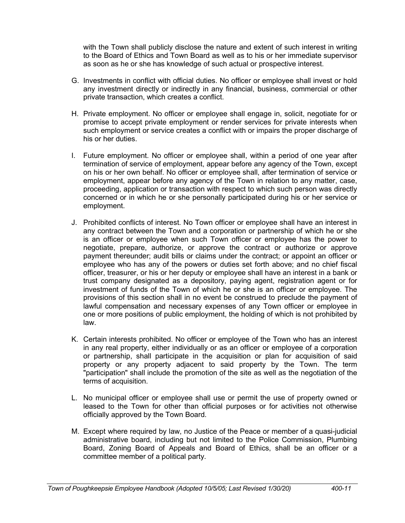with the Town shall publicly disclose the nature and extent of such interest in writing to the Board of Ethics and Town Board as well as to his or her immediate supervisor as soon as he or she has knowledge of such actual or prospective interest.

- G. Investments in conflict with official duties. No officer or employee shall invest or hold any investment directly or indirectly in any financial, business, commercial or other private transaction, which creates a conflict.
- H. Private employment. No officer or employee shall engage in, solicit, negotiate for or promise to accept private employment or render services for private interests when such employment or service creates a conflict with or impairs the proper discharge of his or her duties.
- I. Future employment. No officer or employee shall, within a period of one year after termination of service of employment, appear before any agency of the Town, except on his or her own behalf. No officer or employee shall, after termination of service or employment, appear before any agency of the Town in relation to any matter, case, proceeding, application or transaction with respect to which such person was directly concerned or in which he or she personally participated during his or her service or employment.
- J. Prohibited conflicts of interest. No Town officer or employee shall have an interest in any contract between the Town and a corporation or partnership of which he or she is an officer or employee when such Town officer or employee has the power to negotiate, prepare, authorize, or approve the contract or authorize or approve payment thereunder; audit bills or claims under the contract; or appoint an officer or employee who has any of the powers or duties set forth above; and no chief fiscal officer, treasurer, or his or her deputy or employee shall have an interest in a bank or trust company designated as a depository, paying agent, registration agent or for investment of funds of the Town of which he or she is an officer or employee. The provisions of this section shall in no event be construed to preclude the payment of lawful compensation and necessary expenses of any Town officer or employee in one or more positions of public employment, the holding of which is not prohibited by law.
- K. Certain interests prohibited. No officer or employee of the Town who has an interest in any real property, either individually or as an officer or employee of a corporation or partnership, shall participate in the acquisition or plan for acquisition of said property or any property adjacent to said property by the Town. The term "participation" shall include the promotion of the site as well as the negotiation of the terms of acquisition.
- L. No municipal officer or employee shall use or permit the use of property owned or leased to the Town for other than official purposes or for activities not otherwise officially approved by the Town Board.
- M. Except where required by law, no Justice of the Peace or member of a quasi-judicial administrative board, including but not limited to the Police Commission, Plumbing Board, Zoning Board of Appeals and Board of Ethics, shall be an officer or a committee member of a political party.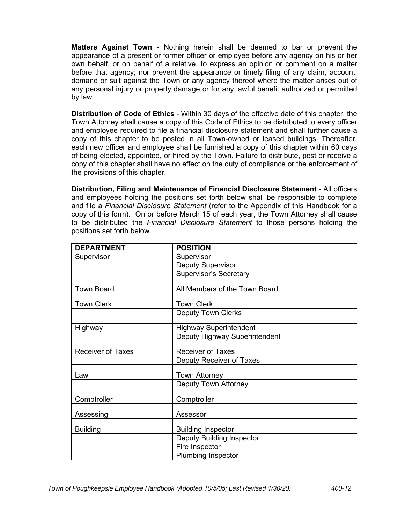**Matters Against Town** - Nothing herein shall be deemed to bar or prevent the appearance of a present or former officer or employee before any agency on his or her own behalf, or on behalf of a relative, to express an opinion or comment on a matter before that agency; nor prevent the appearance or timely filing of any claim, account, demand or suit against the Town or any agency thereof where the matter arises out of any personal injury or property damage or for any lawful benefit authorized or permitted by law.

**Distribution of Code of Ethics** - Within 30 days of the effective date of this chapter, the Town Attorney shall cause a copy of this Code of Ethics to be distributed to every officer and employee required to file a financial disclosure statement and shall further cause a copy of this chapter to be posted in all Town-owned or leased buildings. Thereafter, each new officer and employee shall be furnished a copy of this chapter within 60 days of being elected, appointed, or hired by the Town. Failure to distribute, post or receive a copy of this chapter shall have no effect on the duty of compliance or the enforcement of the provisions of this chapter.

**Distribution, Filing and Maintenance of Financial Disclosure Statement** - All officers and employees holding the positions set forth below shall be responsible to complete and file a *Financial Disclosure Statement* (refer to the Appendix of this Handbook for a copy of this form). On or before March 15 of each year, the Town Attorney shall cause to be distributed the *Financial Disclosure Statement* to those persons holding the positions set forth below.

| <b>DEPARTMENT</b>        | <b>POSITION</b>                  |
|--------------------------|----------------------------------|
| Supervisor               | Supervisor                       |
|                          | <b>Deputy Supervisor</b>         |
|                          | <b>Supervisor's Secretary</b>    |
|                          |                                  |
| <b>Town Board</b>        | All Members of the Town Board    |
| <b>Town Clerk</b>        | <b>Town Clerk</b>                |
|                          | <b>Deputy Town Clerks</b>        |
|                          |                                  |
| Highway                  | <b>Highway Superintendent</b>    |
|                          | Deputy Highway Superintendent    |
| <b>Receiver of Taxes</b> | <b>Receiver of Taxes</b>         |
|                          | Deputy Receiver of Taxes         |
|                          | <b>Town Attorney</b>             |
| Law                      |                                  |
|                          | <b>Deputy Town Attorney</b>      |
| Comptroller              | Comptroller                      |
|                          |                                  |
| Assessing                | Assessor                         |
| <b>Building</b>          | <b>Building Inspector</b>        |
|                          | <b>Deputy Building Inspector</b> |
|                          | Fire Inspector                   |
|                          | Plumbing Inspector               |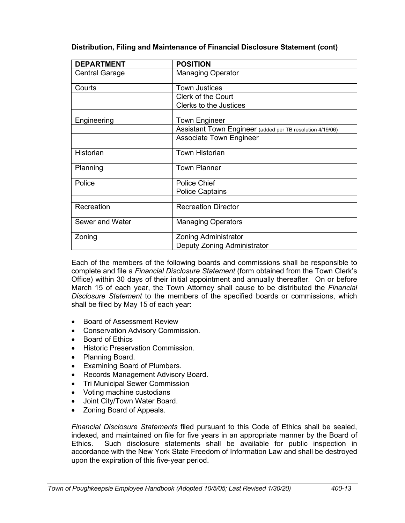| <b>DEPARTMENT</b>     | <b>POSITION</b>                                           |
|-----------------------|-----------------------------------------------------------|
| <b>Central Garage</b> | <b>Managing Operator</b>                                  |
|                       |                                                           |
| Courts                | <b>Town Justices</b>                                      |
|                       | Clerk of the Court                                        |
|                       | Clerks to the Justices                                    |
|                       |                                                           |
| Engineering           | <b>Town Engineer</b>                                      |
|                       | Assistant Town Engineer (added per TB resolution 4/19/06) |
|                       | <b>Associate Town Engineer</b>                            |
|                       |                                                           |
| Historian             | <b>Town Historian</b>                                     |
|                       |                                                           |
| Planning              | <b>Town Planner</b>                                       |
| Police                | <b>Police Chief</b>                                       |
|                       | <b>Police Captains</b>                                    |
|                       |                                                           |
| Recreation            | <b>Recreation Director</b>                                |
|                       |                                                           |
| Sewer and Water       | <b>Managing Operators</b>                                 |
| Zoning                | <b>Zoning Administrator</b>                               |
|                       |                                                           |
|                       | Deputy Zoning Administrator                               |

**Distribution, Filing and Maintenance of Financial Disclosure Statement (cont)**

Each of the members of the following boards and commissions shall be responsible to complete and file a *Financial Disclosure Statement* (form obtained from the Town Clerk's Office) within 30 days of their initial appointment and annually thereafter. On or before March 15 of each year, the Town Attorney shall cause to be distributed the *Financial Disclosure Statement* to the members of the specified boards or commissions, which shall be filed by May 15 of each year:

- Board of Assessment Review
- Conservation Advisory Commission.
- Board of Ethics
- **•** Historic Preservation Commission.
- Planning Board.
- Examining Board of Plumbers.
- Records Management Advisory Board.
- Tri Municipal Sewer Commission
- Voting machine custodians
- Joint City/Town Water Board.
- Zoning Board of Appeals.

*Financial Disclosure Statements* filed pursuant to this Code of Ethics shall be sealed, indexed, and maintained on file for five years in an appropriate manner by the Board of Ethics. Such disclosure statements shall be available for public inspection in accordance with the New York State Freedom of Information Law and shall be destroyed upon the expiration of this five-year period.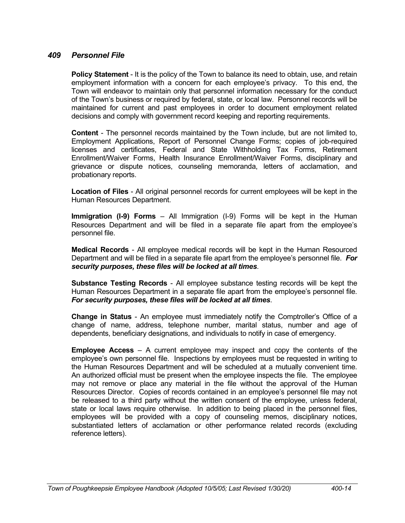# *409 Personnel File*

**Policy Statement** - It is the policy of the Town to balance its need to obtain, use, and retain employment information with a concern for each employee's privacy. To this end, the Town will endeavor to maintain only that personnel information necessary for the conduct of the Town's business or required by federal, state, or local law. Personnel records will be maintained for current and past employees in order to document employment related decisions and comply with government record keeping and reporting requirements.

**Content** - The personnel records maintained by the Town include, but are not limited to, Employment Applications, Report of Personnel Change Forms; copies of job-required licenses and certificates, Federal and State Withholding Tax Forms, Retirement Enrollment/Waiver Forms, Health Insurance Enrollment/Waiver Forms, disciplinary and grievance or dispute notices, counseling memoranda, letters of acclamation, and probationary reports.

**Location of Files** - All original personnel records for current employees will be kept in the Human Resources Department.

**Immigration (I-9) Forms** – All Immigration (I-9) Forms will be kept in the Human Resources Department and will be filed in a separate file apart from the employee's personnel file.

**Medical Records** - All employee medical records will be kept in the Human Resourced Department and will be filed in a separate file apart from the employee's personnel file. *For security purposes, these files will be locked at all times*.

**Substance Testing Records** - All employee substance testing records will be kept the Human Resources Department in a separate file apart from the employee's personnel file. *For security purposes, these files will be locked at all times*.

**Change in Status** - An employee must immediately notify the Comptroller's Office of a change of name, address, telephone number, marital status, number and age of dependents, beneficiary designations, and individuals to notify in case of emergency.

**Employee Access** – A current employee may inspect and copy the contents of the employee's own personnel file. Inspections by employees must be requested in writing to the Human Resources Department and will be scheduled at a mutually convenient time. An authorized official must be present when the employee inspects the file. The employee may not remove or place any material in the file without the approval of the Human Resources Director. Copies of records contained in an employee's personnel file may not be released to a third party without the written consent of the employee, unless federal, state or local laws require otherwise. In addition to being placed in the personnel files, employees will be provided with a copy of counseling memos, disciplinary notices, substantiated letters of acclamation or other performance related records (excluding reference letters).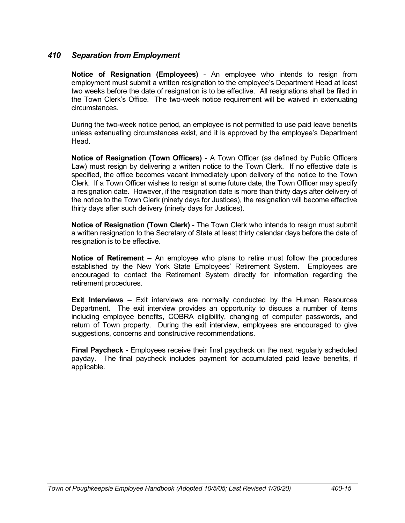# *410 Separation from Employment*

**Notice of Resignation (Employees)** - An employee who intends to resign from employment must submit a written resignation to the employee's Department Head at least two weeks before the date of resignation is to be effective. All resignations shall be filed in the Town Clerk's Office. The two-week notice requirement will be waived in extenuating circumstances.

During the two-week notice period, an employee is not permitted to use paid leave benefits unless extenuating circumstances exist, and it is approved by the employee's Department Head.

**Notice of Resignation (Town Officers)** - A Town Officer (as defined by Public Officers Law) must resign by delivering a written notice to the Town Clerk. If no effective date is specified, the office becomes vacant immediately upon delivery of the notice to the Town Clerk. If a Town Officer wishes to resign at some future date, the Town Officer may specify a resignation date. However, if the resignation date is more than thirty days after delivery of the notice to the Town Clerk (ninety days for Justices), the resignation will become effective thirty days after such delivery (ninety days for Justices).

**Notice of Resignation (Town Clerk)** - The Town Clerk who intends to resign must submit a written resignation to the Secretary of State at least thirty calendar days before the date of resignation is to be effective.

**Notice of Retirement** – An employee who plans to retire must follow the procedures established by the New York State Employees' Retirement System. Employees are encouraged to contact the Retirement System directly for information regarding the retirement procedures.

**Exit Interviews** – Exit interviews are normally conducted by the Human Resources Department. The exit interview provides an opportunity to discuss a number of items including employee benefits, COBRA eligibility, changing of computer passwords, and return of Town property. During the exit interview, employees are encouraged to give suggestions, concerns and constructive recommendations.

**Final Paycheck** - Employees receive their final paycheck on the next regularly scheduled payday. The final paycheck includes payment for accumulated paid leave benefits, if applicable.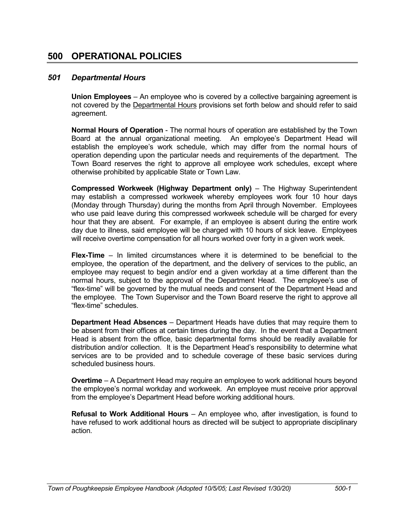# **500 OPERATIONAL POLICIES**

## *501 Departmental Hours*

**Union Employees** – An employee who is covered by a collective bargaining agreement is not covered by the Departmental Hours provisions set forth below and should refer to said agreement.

**Normal Hours of Operation** - The normal hours of operation are established by the Town Board at the annual organizational meeting. An employee's Department Head will establish the employee's work schedule, which may differ from the normal hours of operation depending upon the particular needs and requirements of the department. The Town Board reserves the right to approve all employee work schedules, except where otherwise prohibited by applicable State or Town Law.

**Compressed Workweek (Highway Department only)** – The Highway Superintendent may establish a compressed workweek whereby employees work four 10 hour days (Monday through Thursday) during the months from April through November. Employees who use paid leave during this compressed workweek schedule will be charged for every hour that they are absent. For example, if an employee is absent during the entire work day due to illness, said employee will be charged with 10 hours of sick leave. Employees will receive overtime compensation for all hours worked over forty in a given work week.

**Flex-Time** – In limited circumstances where it is determined to be beneficial to the employee, the operation of the department, and the delivery of services to the public, an employee may request to begin and/or end a given workday at a time different than the normal hours, subject to the approval of the Department Head. The employee's use of "flex-time" will be governed by the mutual needs and consent of the Department Head and the employee. The Town Supervisor and the Town Board reserve the right to approve all "flex-time" schedules.

**Department Head Absences** – Department Heads have duties that may require them to be absent from their offices at certain times during the day. In the event that a Department Head is absent from the office, basic departmental forms should be readily available for distribution and/or collection. It is the Department Head's responsibility to determine what services are to be provided and to schedule coverage of these basic services during scheduled business hours.

**Overtime** – A Department Head may require an employee to work additional hours beyond the employee's normal workday and workweek. An employee must receive prior approval from the employee's Department Head before working additional hours.

**Refusal to Work Additional Hours** – An employee who, after investigation, is found to have refused to work additional hours as directed will be subject to appropriate disciplinary action.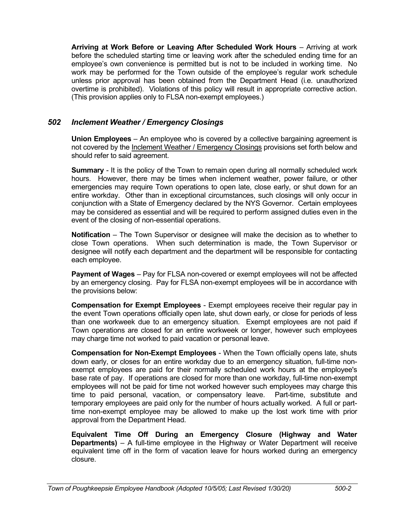**Arriving at Work Before or Leaving After Scheduled Work Hours** – Arriving at work before the scheduled starting time or leaving work after the scheduled ending time for an employee's own convenience is permitted but is not to be included in working time. No work may be performed for the Town outside of the employee's regular work schedule unless prior approval has been obtained from the Department Head (i.e. unauthorized overtime is prohibited). Violations of this policy will result in appropriate corrective action. (This provision applies only to FLSA non-exempt employees.)

# *502 Inclement Weather / Emergency Closings*

**Union Employees** – An employee who is covered by a collective bargaining agreement is not covered by the Inclement Weather / Emergency Closings provisions set forth below and should refer to said agreement.

**Summary** - It is the policy of the Town to remain open during all normally scheduled work hours. However, there may be times when inclement weather, power failure, or other emergencies may require Town operations to open late, close early, or shut down for an entire workday. Other than in exceptional circumstances, such closings will only occur in conjunction with a State of Emergency declared by the NYS Governor. Certain employees may be considered as essential and will be required to perform assigned duties even in the event of the closing of non-essential operations.

**Notification** – The Town Supervisor or designee will make the decision as to whether to close Town operations. When such determination is made, the Town Supervisor or designee will notify each department and the department will be responsible for contacting each employee.

**Payment of Wages** – Pay for FLSA non-covered or exempt employees will not be affected by an emergency closing. Pay for FLSA non-exempt employees will be in accordance with the provisions below:

**Compensation for Exempt Employees** - Exempt employees receive their regular pay in the event Town operations officially open late, shut down early, or close for periods of less than one workweek due to an emergency situation. Exempt employees are not paid if Town operations are closed for an entire workweek or longer, however such employees may charge time not worked to paid vacation or personal leave.

**Compensation for Non-Exempt Employees** - When the Town officially opens late, shuts down early, or closes for an entire workday due to an emergency situation, full-time nonexempt employees are paid for their normally scheduled work hours at the employee's base rate of pay. If operations are closed for more than one workday, full-time non-exempt employees will not be paid for time not worked however such employees may charge this time to paid personal, vacation, or compensatory leave. Part-time, substitute and temporary employees are paid only for the number of hours actually worked. A full or parttime non-exempt employee may be allowed to make up the lost work time with prior approval from the Department Head.

**Equivalent Time Off During an Emergency Closure (Highway and Water Departments)** – A full-time employee in the Highway or Water Department will receive equivalent time off in the form of vacation leave for hours worked during an emergency closure.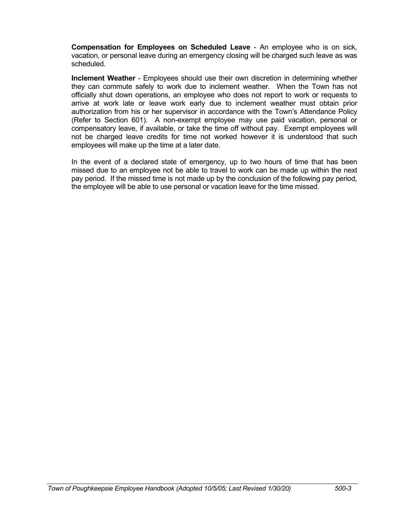**Compensation for Employees on Scheduled Leave** - An employee who is on sick, vacation, or personal leave during an emergency closing will be charged such leave as was scheduled.

**Inclement Weather** - Employees should use their own discretion in determining whether they can commute safely to work due to inclement weather.When the Town has not officially shut down operations, an employee who does not report to work or requests to arrive at work late or leave work early due to inclement weather must obtain prior authorization from his or her supervisor in accordance with the Town's Attendance Policy (Refer to Section 601). A non-exempt employee may use paid vacation, personal or compensatory leave, if available, or take the time off without pay. Exempt employees will not be charged leave credits for time not worked however it is understood that such employees will make up the time at a later date.

In the event of a declared state of emergency, up to two hours of time that has been missed due to an employee not be able to travel to work can be made up within the next pay period. If the missed time is not made up by the conclusion of the following pay period, the employee will be able to use personal or vacation leave for the time missed.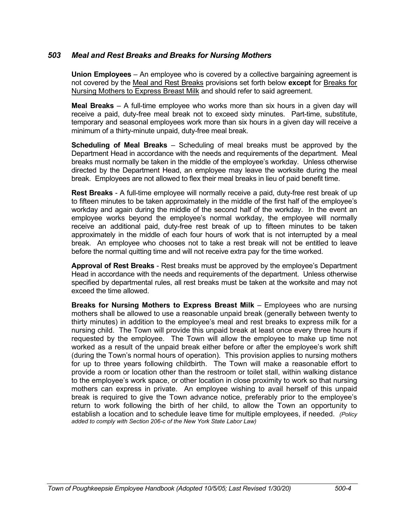# *503 Meal and Rest Breaks and Breaks for Nursing Mothers*

**Union Employees** – An employee who is covered by a collective bargaining agreement is not covered by the Meal and Rest Breaks provisions set forth below **except** for Breaks for Nursing Mothers to Express Breast Milk and should refer to said agreement.

**Meal Breaks** – A full-time employee who works more than six hours in a given day will receive a paid, duty-free meal break not to exceed sixty minutes. Part-time, substitute, temporary and seasonal employees work more than six hours in a given day will receive a minimum of a thirty-minute unpaid, duty-free meal break.

**Scheduling of Meal Breaks** – Scheduling of meal breaks must be approved by the Department Head in accordance with the needs and requirements of the department. Meal breaks must normally be taken in the middle of the employee's workday. Unless otherwise directed by the Department Head, an employee may leave the worksite during the meal break. Employees are not allowed to flex their meal breaks in lieu of paid benefit time.

**Rest Breaks** - A full-time employee will normally receive a paid, duty-free rest break of up to fifteen minutes to be taken approximately in the middle of the first half of the employee's workday and again during the middle of the second half of the workday. In the event an employee works beyond the employee's normal workday, the employee will normally receive an additional paid, duty-free rest break of up to fifteen minutes to be taken approximately in the middle of each four hours of work that is not interrupted by a meal break. An employee who chooses not to take a rest break will not be entitled to leave before the normal quitting time and will not receive extra pay for the time worked.

**Approval of Rest Breaks** - Rest breaks must be approved by the employee's Department Head in accordance with the needs and requirements of the department. Unless otherwise specified by departmental rules, all rest breaks must be taken at the worksite and may not exceed the time allowed.

**Breaks for Nursing Mothers to Express Breast Milk** – Employees who are nursing mothers shall be allowed to use a reasonable unpaid break (generally between twenty to thirty minutes) in addition to the employee's meal and rest breaks to express milk for a nursing child. The Town will provide this unpaid break at least once every three hours if requested by the employee. The Town will allow the employee to make up time not worked as a result of the unpaid break either before or after the employee's work shift (during the Town's normal hours of operation). This provision applies to nursing mothers for up to three years following childbirth. The Town will make a reasonable effort to provide a room or location other than the restroom or toilet stall, within walking distance to the employee's work space, or other location in close proximity to work so that nursing mothers can express in private. An employee wishing to avail herself of this unpaid break is required to give the Town advance notice, preferably prior to the employee's return to work following the birth of her child, to allow the Town an opportunity to establish a location and to schedule leave time for multiple employees, if needed. *(Policy added to comply with Section 206-c of the New York State Labor Law)*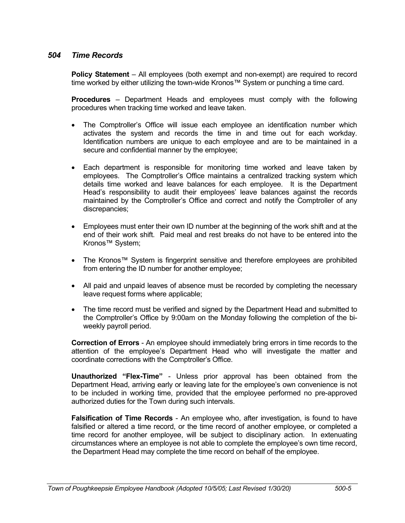# *504 Time Records*

**Policy Statement** – All employees (both exempt and non-exempt) are required to record time worked by either utilizing the town-wide Kronos™ System or punching a time card.

**Procedures** – Department Heads and employees must comply with the following procedures when tracking time worked and leave taken.

- The Comptroller's Office will issue each employee an identification number which activates the system and records the time in and time out for each workday. Identification numbers are unique to each employee and are to be maintained in a secure and confidential manner by the employee;
- Each department is responsible for monitoring time worked and leave taken by employees. The Comptroller's Office maintains a centralized tracking system which details time worked and leave balances for each employee. It is the Department Head's responsibility to audit their employees' leave balances against the records maintained by the Comptroller's Office and correct and notify the Comptroller of any discrepancies;
- Employees must enter their own ID number at the beginning of the work shift and at the end of their work shift. Paid meal and rest breaks do not have to be entered into the Kronos™ System;
- The Kronos™ System is fingerprint sensitive and therefore employees are prohibited from entering the ID number for another employee;
- All paid and unpaid leaves of absence must be recorded by completing the necessary leave request forms where applicable;
- The time record must be verified and signed by the Department Head and submitted to the Comptroller's Office by 9:00am on the Monday following the completion of the biweekly payroll period.

**Correction of Errors** - An employee should immediately bring errors in time records to the attention of the employee's Department Head who will investigate the matter and coordinate corrections with the Comptroller's Office.

**Unauthorized "Flex-Time"** - Unless prior approval has been obtained from the Department Head, arriving early or leaving late for the employee's own convenience is not to be included in working time, provided that the employee performed no pre-approved authorized duties for the Town during such intervals.

**Falsification of Time Records** - An employee who, after investigation, is found to have falsified or altered a time record, or the time record of another employee, or completed a time record for another employee, will be subject to disciplinary action. In extenuating circumstances where an employee is not able to complete the employee's own time record, the Department Head may complete the time record on behalf of the employee.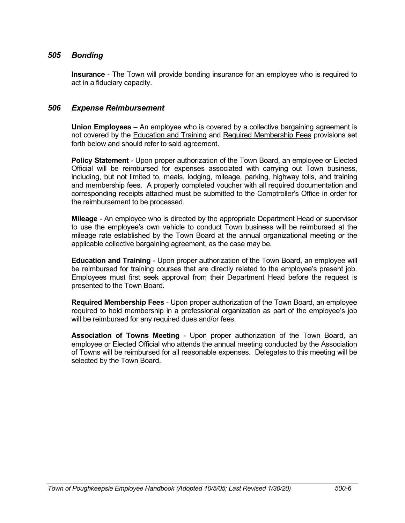## *505 Bonding*

**Insurance** - The Town will provide bonding insurance for an employee who is required to act in a fiduciary capacity.

#### *506 Expense Reimbursement*

**Union Employees** – An employee who is covered by a collective bargaining agreement is not covered by the Education and Training and Required Membership Fees provisions set forth below and should refer to said agreement.

**Policy Statement** - Upon proper authorization of the Town Board, an employee or Elected Official will be reimbursed for expenses associated with carrying out Town business, including, but not limited to, meals, lodging, mileage, parking, highway tolls, and training and membership fees. A properly completed voucher with all required documentation and corresponding receipts attached must be submitted to the Comptroller's Office in order for the reimbursement to be processed.

**Mileage** - An employee who is directed by the appropriate Department Head or supervisor to use the employee's own vehicle to conduct Town business will be reimbursed at the mileage rate established by the Town Board at the annual organizational meeting or the applicable collective bargaining agreement, as the case may be.

**Education and Training** - Upon proper authorization of the Town Board, an employee will be reimbursed for training courses that are directly related to the employee's present job. Employees must first seek approval from their Department Head before the request is presented to the Town Board.

**Required Membership Fees** - Upon proper authorization of the Town Board, an employee required to hold membership in a professional organization as part of the employee's job will be reimbursed for any required dues and/or fees.

**Association of Towns Meeting** - Upon proper authorization of the Town Board, an employee or Elected Official who attends the annual meeting conducted by the Association of Towns will be reimbursed for all reasonable expenses. Delegates to this meeting will be selected by the Town Board.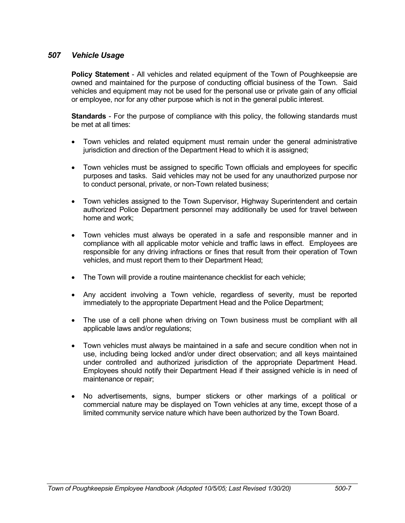# *507 Vehicle Usage*

**Policy Statement** - All vehicles and related equipment of the Town of Poughkeepsie are owned and maintained for the purpose of conducting official business of the Town. Said vehicles and equipment may not be used for the personal use or private gain of any official or employee, nor for any other purpose which is not in the general public interest.

**Standards** - For the purpose of compliance with this policy, the following standards must be met at all times:

- Town vehicles and related equipment must remain under the general administrative jurisdiction and direction of the Department Head to which it is assigned:
- Town vehicles must be assigned to specific Town officials and employees for specific purposes and tasks. Said vehicles may not be used for any unauthorized purpose nor to conduct personal, private, or non-Town related business;
- Town vehicles assigned to the Town Supervisor, Highway Superintendent and certain authorized Police Department personnel may additionally be used for travel between home and work;
- Town vehicles must always be operated in a safe and responsible manner and in compliance with all applicable motor vehicle and traffic laws in effect. Employees are responsible for any driving infractions or fines that result from their operation of Town vehicles, and must report them to their Department Head;
- The Town will provide a routine maintenance checklist for each vehicle;
- Any accident involving a Town vehicle, regardless of severity, must be reported immediately to the appropriate Department Head and the Police Department;
- The use of a cell phone when driving on Town business must be compliant with all applicable laws and/or regulations;
- Town vehicles must always be maintained in a safe and secure condition when not in use, including being locked and/or under direct observation; and all keys maintained under controlled and authorized jurisdiction of the appropriate Department Head. Employees should notify their Department Head if their assigned vehicle is in need of maintenance or repair;
- No advertisements, signs, bumper stickers or other markings of a political or commercial nature may be displayed on Town vehicles at any time, except those of a limited community service nature which have been authorized by the Town Board.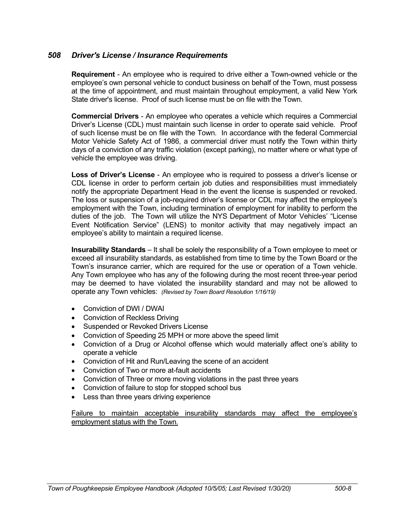#### *508 Driver's License / Insurance Requirements*

**Requirement** - An employee who is required to drive either a Town-owned vehicle or the employee's own personal vehicle to conduct business on behalf of the Town, must possess at the time of appointment, and must maintain throughout employment, a valid New York State driver's license. Proof of such license must be on file with the Town.

**Commercial Drivers** - An employee who operates a vehicle which requires a Commercial Driver's License (CDL) must maintain such license in order to operate said vehicle. Proof of such license must be on file with the Town. In accordance with the federal Commercial Motor Vehicle Safety Act of 1986, a commercial driver must notify the Town within thirty days of a conviction of any traffic violation (except parking), no matter where or what type of vehicle the employee was driving.

**Loss of Driver's License** - An employee who is required to possess a driver's license or CDL license in order to perform certain job duties and responsibilities must immediately notify the appropriate Department Head in the event the license is suspended or revoked. The loss or suspension of a job-required driver's license or CDL may affect the employee's employment with the Town, including termination of employment for inability to perform the duties of the job. The Town will utilize the NYS Department of Motor Vehicles' "License Event Notification Service" (LENS) to monitor activity that may negatively impact an employee's ability to maintain a required license.

**Insurability Standards** – It shall be solely the responsibility of a Town employee to meet or exceed all insurability standards, as established from time to time by the Town Board or the Town's insurance carrier, which are required for the use or operation of a Town vehicle. Any Town employee who has any of the following during the most recent three-year period may be deemed to have violated the insurability standard and may not be allowed to operate any Town vehicles: *(Revised by Town Board Resolution 1/16/19)*

- Conviction of DWI / DWAI
- Conviction of Reckless Driving
- **•** Suspended or Revoked Drivers License
- Conviction of Speeding 25 MPH or more above the speed limit
- Conviction of a Drug or Alcohol offense which would materially affect one's ability to operate a vehicle
- Conviction of Hit and Run/Leaving the scene of an accident
- Conviction of Two or more at-fault accidents
- Conviction of Three or more moving violations in the past three years
- Conviction of failure to stop for stopped school bus
- Less than three years driving experience

Failure to maintain acceptable insurability standards may affect the employee's employment status with the Town.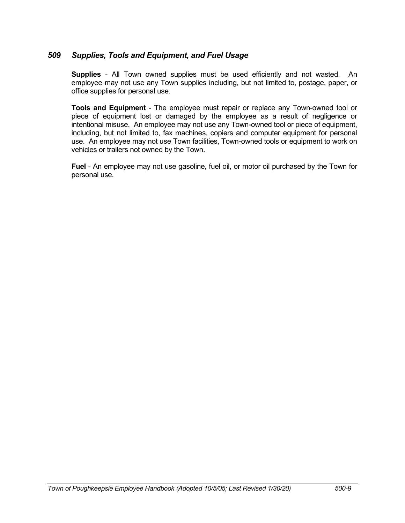## *509 Supplies, Tools and Equipment, and Fuel Usage*

**Supplies** - All Town owned supplies must be used efficiently and not wasted. An employee may not use any Town supplies including, but not limited to, postage, paper, or office supplies for personal use.

**Tools and Equipment** - The employee must repair or replace any Town-owned tool or piece of equipment lost or damaged by the employee as a result of negligence or intentional misuse. An employee may not use any Town-owned tool or piece of equipment, including, but not limited to, fax machines, copiers and computer equipment for personal use. An employee may not use Town facilities, Town-owned tools or equipment to work on vehicles or trailers not owned by the Town.

**Fuel** - An employee may not use gasoline, fuel oil, or motor oil purchased by the Town for personal use.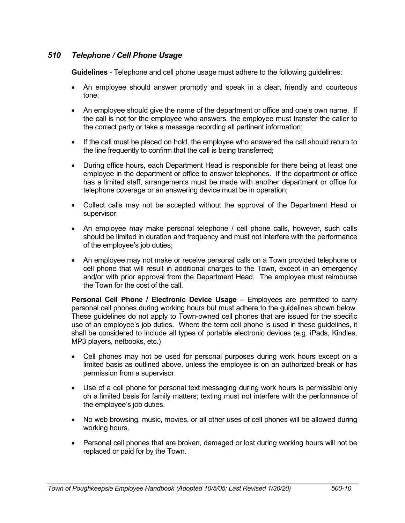# *510 Telephone / Cell Phone Usage*

**Guidelines** - Telephone and cell phone usage must adhere to the following guidelines:

- An employee should answer promptly and speak in a clear, friendly and courteous tone;
- An employee should give the name of the department or office and one's own name. If the call is not for the employee who answers, the employee must transfer the caller to the correct party or take a message recording all pertinent information;
- If the call must be placed on hold, the employee who answered the call should return to the line frequently to confirm that the call is being transferred;
- During office hours, each Department Head is responsible for there being at least one employee in the department or office to answer telephones. If the department or office has a limited staff, arrangements must be made with another department or office for telephone coverage or an answering device must be in operation;
- Collect calls may not be accepted without the approval of the Department Head or supervisor;
- An employee may make personal telephone / cell phone calls, however, such calls should be limited in duration and frequency and must not interfere with the performance of the employee's job duties;
- An employee may not make or receive personal calls on a Town provided telephone or cell phone that will result in additional charges to the Town, except in an emergency and/or with prior approval from the Department Head. The employee must reimburse the Town for the cost of the call.

**Personal Cell Phone / Electronic Device Usage** – Employees are permitted to carry personal cell phones during working hours but must adhere to the guidelines shown below. These guidelines do not apply to Town-owned cell phones that are issued for the specific use of an employee's job duties. Where the term cell phone is used in these guidelines, it shall be considered to include all types of portable electronic devices (e.g. iPads, Kindles, MP3 players, netbooks, etc.)

- Cell phones may not be used for personal purposes during work hours except on a limited basis as outlined above, unless the employee is on an authorized break or has permission from a supervisor.
- Use of a cell phone for personal text messaging during work hours is permissible only on a limited basis for family matters; texting must not interfere with the performance of the employee's job duties.
- No web browsing, music, movies, or all other uses of cell phones will be allowed during working hours.
- Personal cell phones that are broken, damaged or lost during working hours will not be replaced or paid for by the Town.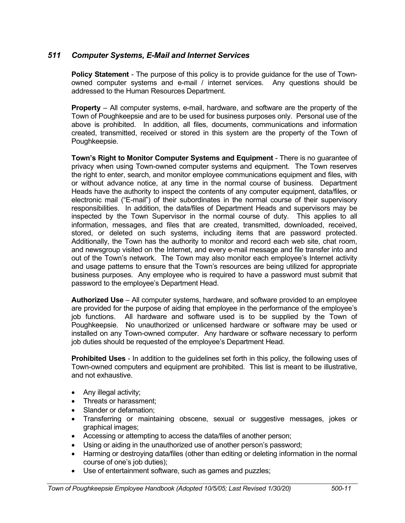# *511 Computer Systems, E-Mail and Internet Services*

**Policy Statement** - The purpose of this policy is to provide guidance for the use of Townowned computer systems and e-mail / internet services. Any questions should be addressed to the Human Resources Department.

**Property** – All computer systems, e-mail, hardware, and software are the property of the Town of Poughkeepsie and are to be used for business purposes only. Personal use of the above is prohibited. In addition, all files, documents, communications and information created, transmitted, received or stored in this system are the property of the Town of Poughkeepsie.

**Town's Right to Monitor Computer Systems and Equipment** - There is no guarantee of privacy when using Town-owned computer systems and equipment. The Town reserves the right to enter, search, and monitor employee communications equipment and files, with or without advance notice, at any time in the normal course of business. Department Heads have the authority to inspect the contents of any computer equipment, data/files, or electronic mail ("E-mail") of their subordinates in the normal course of their supervisory responsibilities. In addition, the data/files of Department Heads and supervisors may be inspected by the Town Supervisor in the normal course of duty. This applies to all information, messages, and files that are created, transmitted, downloaded, received, stored, or deleted on such systems, including items that are password protected. Additionally, the Town has the authority to monitor and record each web site, chat room, and newsgroup visited on the Internet, and every e-mail message and file transfer into and out of the Town's network. The Town may also monitor each employee's Internet activity and usage patterns to ensure that the Town's resources are being utilized for appropriate business purposes. Any employee who is required to have a password must submit that password to the employee's Department Head.

**Authorized Use** – All computer systems, hardware, and software provided to an employee are provided for the purpose of aiding that employee in the performance of the employee's job functions. All hardware and software used is to be supplied by the Town of Poughkeepsie. No unauthorized or unlicensed hardware or software may be used or installed on any Town-owned computer. Any hardware or software necessary to perform job duties should be requested of the employee's Department Head.

**Prohibited Uses** - In addition to the guidelines set forth in this policy, the following uses of Town-owned computers and equipment are prohibited. This list is meant to be illustrative, and not exhaustive.

- Any illegal activity;
- Threats or harassment:
- Slander or defamation:
- Transferring or maintaining obscene, sexual or suggestive messages, jokes or graphical images;
- Accessing or attempting to access the data/files of another person;
- Using or aiding in the unauthorized use of another person's password;
- Harming or destroying data/files (other than editing or deleting information in the normal course of one's job duties);
- Use of entertainment software, such as games and puzzles;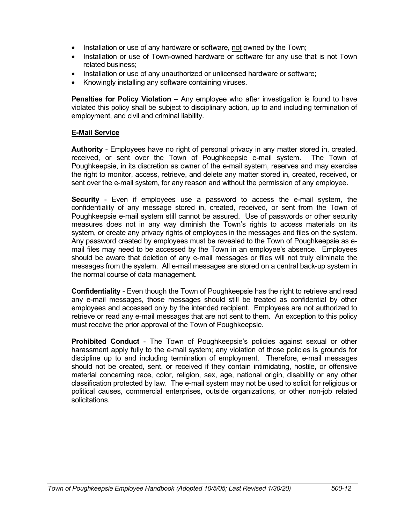- Installation or use of any hardware or software, not owned by the Town;
- Installation or use of Town-owned hardware or software for any use that is not Town related business;
- Installation or use of any unauthorized or unlicensed hardware or software;
- Knowingly installing any software containing viruses.

**Penalties for Policy Violation** – Any employee who after investigation is found to have violated this policy shall be subject to disciplinary action, up to and including termination of employment, and civil and criminal liability.

#### **E-Mail Service**

**Authority** - Employees have no right of personal privacy in any matter stored in, created, received, or sent over the Town of Poughkeepsie e-mail system. The Town of Poughkeepsie, in its discretion as owner of the e-mail system, reserves and may exercise the right to monitor, access, retrieve, and delete any matter stored in, created, received, or sent over the e-mail system, for any reason and without the permission of any employee.

**Security** - Even if employees use a password to access the e-mail system, the confidentiality of any message stored in, created, received, or sent from the Town of Poughkeepsie e-mail system still cannot be assured. Use of passwords or other security measures does not in any way diminish the Town's rights to access materials on its system, or create any privacy rights of employees in the messages and files on the system. Any password created by employees must be revealed to the Town of Poughkeepsie as email files may need to be accessed by the Town in an employee's absence. Employees should be aware that deletion of any e-mail messages or files will not truly eliminate the messages from the system. All e-mail messages are stored on a central back-up system in the normal course of data management.

**Confidentiality** - Even though the Town of Poughkeepsie has the right to retrieve and read any e-mail messages, those messages should still be treated as confidential by other employees and accessed only by the intended recipient. Employees are not authorized to retrieve or read any e-mail messages that are not sent to them. An exception to this policy must receive the prior approval of the Town of Poughkeepsie.

**Prohibited Conduct** - The Town of Poughkeepsie's policies against sexual or other harassment apply fully to the e-mail system; any violation of those policies is grounds for discipline up to and including termination of employment. Therefore, e-mail messages should not be created, sent, or received if they contain intimidating, hostile, or offensive material concerning race, color, religion, sex, age, national origin, disability or any other classification protected by law. The e-mail system may not be used to solicit for religious or political causes, commercial enterprises, outside organizations, or other non-job related solicitations.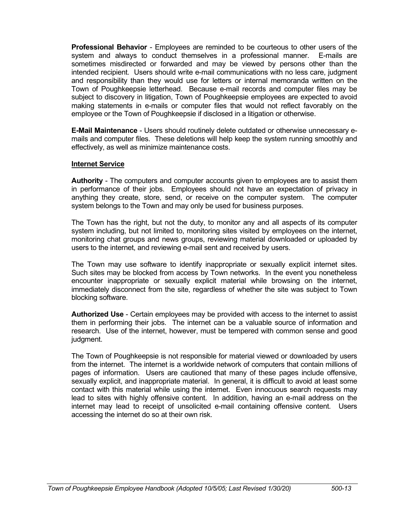**Professional Behavior** - Employees are reminded to be courteous to other users of the system and always to conduct themselves in a professional manner. E-mails are sometimes misdirected or forwarded and may be viewed by persons other than the intended recipient. Users should write e-mail communications with no less care, judgment and responsibility than they would use for letters or internal memoranda written on the Town of Poughkeepsie letterhead. Because e-mail records and computer files may be subject to discovery in litigation, Town of Poughkeepsie employees are expected to avoid making statements in e-mails or computer files that would not reflect favorably on the employee or the Town of Poughkeepsie if disclosed in a litigation or otherwise.

**E-Mail Maintenance** - Users should routinely delete outdated or otherwise unnecessary emails and computer files. These deletions will help keep the system running smoothly and effectively, as well as minimize maintenance costs.

#### **Internet Service**

**Authority** - The computers and computer accounts given to employees are to assist them in performance of their jobs. Employees should not have an expectation of privacy in anything they create, store, send, or receive on the computer system. The computer system belongs to the Town and may only be used for business purposes.

The Town has the right, but not the duty, to monitor any and all aspects of its computer system including, but not limited to, monitoring sites visited by employees on the internet, monitoring chat groups and news groups, reviewing material downloaded or uploaded by users to the internet, and reviewing e-mail sent and received by users.

The Town may use software to identify inappropriate or sexually explicit internet sites. Such sites may be blocked from access by Town networks. In the event you nonetheless encounter inappropriate or sexually explicit material while browsing on the internet, immediately disconnect from the site, regardless of whether the site was subject to Town blocking software.

**Authorized Use** - Certain employees may be provided with access to the internet to assist them in performing their jobs. The internet can be a valuable source of information and research. Use of the internet, however, must be tempered with common sense and good judgment.

The Town of Poughkeepsie is not responsible for material viewed or downloaded by users from the internet. The internet is a worldwide network of computers that contain millions of pages of information. Users are cautioned that many of these pages include offensive, sexually explicit, and inappropriate material. In general, it is difficult to avoid at least some contact with this material while using the internet. Even innocuous search requests may lead to sites with highly offensive content. In addition, having an e-mail address on the internet may lead to receipt of unsolicited e-mail containing offensive content. Users accessing the internet do so at their own risk.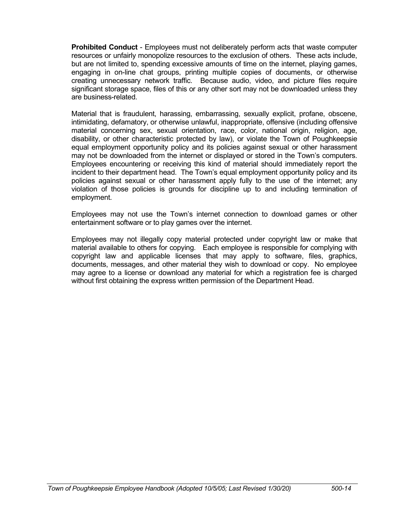**Prohibited Conduct** - Employees must not deliberately perform acts that waste computer resources or unfairly monopolize resources to the exclusion of others. These acts include, but are not limited to, spending excessive amounts of time on the internet, playing games, engaging in on-line chat groups, printing multiple copies of documents, or otherwise creating unnecessary network traffic. Because audio, video, and picture files require significant storage space, files of this or any other sort may not be downloaded unless they are business-related.

Material that is fraudulent, harassing, embarrassing, sexually explicit, profane, obscene, intimidating, defamatory, or otherwise unlawful, inappropriate, offensive (including offensive material concerning sex, sexual orientation, race, color, national origin, religion, age, disability, or other characteristic protected by law), or violate the Town of Poughkeepsie equal employment opportunity policy and its policies against sexual or other harassment may not be downloaded from the internet or displayed or stored in the Town's computers. Employees encountering or receiving this kind of material should immediately report the incident to their department head. The Town's equal employment opportunity policy and its policies against sexual or other harassment apply fully to the use of the internet; any violation of those policies is grounds for discipline up to and including termination of employment.

Employees may not use the Town's internet connection to download games or other entertainment software or to play games over the internet.

Employees may not illegally copy material protected under copyright law or make that material available to others for copying. Each employee is responsible for complying with copyright law and applicable licenses that may apply to software, files, graphics, documents, messages, and other material they wish to download or copy. No employee may agree to a license or download any material for which a registration fee is charged without first obtaining the express written permission of the Department Head.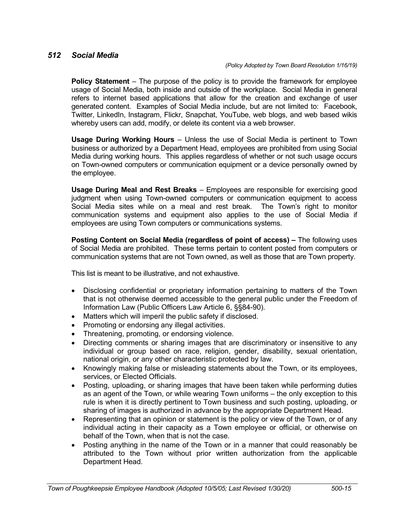## *512 Social Media*

**Policy Statement** – The purpose of the policy is to provide the framework for employee usage of Social Media, both inside and outside of the workplace. Social Media in general refers to internet based applications that allow for the creation and exchange of user generated content. Examples of Social Media include, but are not limited to: Facebook, Twitter, LinkedIn, Instagram, Flickr, Snapchat, YouTube, web blogs, and web based wikis whereby users can add, modify, or delete its content via a web browser.

**Usage During Working Hours** – Unless the use of Social Media is pertinent to Town business or authorized by a Department Head, employees are prohibited from using Social Media during working hours. This applies regardless of whether or not such usage occurs on Town-owned computers or communication equipment or a device personally owned by the employee.

**Usage During Meal and Rest Breaks** – Employees are responsible for exercising good judgment when using Town-owned computers or communication equipment to access Social Media sites while on a meal and rest break. The Town's right to monitor communication systems and equipment also applies to the use of Social Media if employees are using Town computers or communications systems.

**Posting Content on Social Media (regardless of point of access) –** The following uses of Social Media are prohibited. These terms pertain to content posted from computers or communication systems that are not Town owned, as well as those that are Town property.

This list is meant to be illustrative, and not exhaustive.

- Disclosing confidential or proprietary information pertaining to matters of the Town that is not otherwise deemed accessible to the general public under the Freedom of Information Law (Public Officers Law Article 6, §§84-90).
- Matters which will imperil the public safety if disclosed.
- Promoting or endorsing any illegal activities.
- Threatening, promoting, or endorsing violence.
- Directing comments or sharing images that are discriminatory or insensitive to any individual or group based on race, religion, gender, disability, sexual orientation, national origin, or any other characteristic protected by law.
- Knowingly making false or misleading statements about the Town, or its employees, services, or Elected Officials.
- Posting, uploading, or sharing images that have been taken while performing duties as an agent of the Town, or while wearing Town uniforms – the only exception to this rule is when it is directly pertinent to Town business and such posting, uploading, or sharing of images is authorized in advance by the appropriate Department Head.
- Representing that an opinion or statement is the policy or view of the Town, or of any individual acting in their capacity as a Town employee or official, or otherwise on behalf of the Town, when that is not the case.
- Posting anything in the name of the Town or in a manner that could reasonably be attributed to the Town without prior written authorization from the applicable Department Head.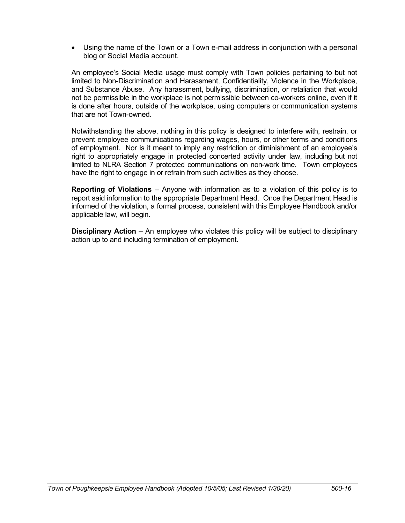Using the name of the Town or a Town e-mail address in conjunction with a personal blog or Social Media account.

An employee's Social Media usage must comply with Town policies pertaining to but not limited to Non-Discrimination and Harassment, Confidentiality, Violence in the Workplace, and Substance Abuse. Any harassment, bullying, discrimination, or retaliation that would not be permissible in the workplace is not permissible between co-workers online, even if it is done after hours, outside of the workplace, using computers or communication systems that are not Town-owned.

Notwithstanding the above, nothing in this policy is designed to interfere with, restrain, or prevent employee communications regarding wages, hours, or other terms and conditions of employment. Nor is it meant to imply any restriction or diminishment of an employee's right to appropriately engage in protected concerted activity under law, including but not limited to NLRA Section 7 protected communications on non-work time. Town employees have the right to engage in or refrain from such activities as they choose.

**Reporting of Violations** – Anyone with information as to a violation of this policy is to report said information to the appropriate Department Head. Once the Department Head is informed of the violation, a formal process, consistent with this Employee Handbook and/or applicable law, will begin.

**Disciplinary Action** – An employee who violates this policy will be subject to disciplinary action up to and including termination of employment.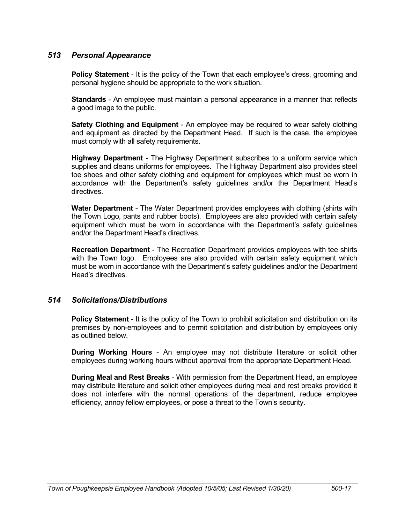## *513 Personal Appearance*

**Policy Statement** - It is the policy of the Town that each employee's dress, grooming and personal hygiene should be appropriate to the work situation.

**Standards** - An employee must maintain a personal appearance in a manner that reflects a good image to the public.

**Safety Clothing and Equipment** - An employee may be required to wear safety clothing and equipment as directed by the Department Head. If such is the case, the employee must comply with all safety requirements.

**Highway Department** - The Highway Department subscribes to a uniform service which supplies and cleans uniforms for employees. The Highway Department also provides steel toe shoes and other safety clothing and equipment for employees which must be worn in accordance with the Department's safety guidelines and/or the Department Head's directives.

**Water Department** - The Water Department provides employees with clothing (shirts with the Town Logo, pants and rubber boots). Employees are also provided with certain safety equipment which must be worn in accordance with the Department's safety guidelines and/or the Department Head's directives.

**Recreation Department** - The Recreation Department provides employees with tee shirts with the Town logo. Employees are also provided with certain safety equipment which must be worn in accordance with the Department's safety guidelines and/or the Department Head's directives.

## *514 Solicitations/Distributions*

**Policy Statement** - It is the policy of the Town to prohibit solicitation and distribution on its premises by non-employees and to permit solicitation and distribution by employees only as outlined below.

**During Working Hours** - An employee may not distribute literature or solicit other employees during working hours without approval from the appropriate Department Head.

**During Meal and Rest Breaks** - With permission from the Department Head, an employee may distribute literature and solicit other employees during meal and rest breaks provided it does not interfere with the normal operations of the department, reduce employee efficiency, annoy fellow employees, or pose a threat to the Town's security.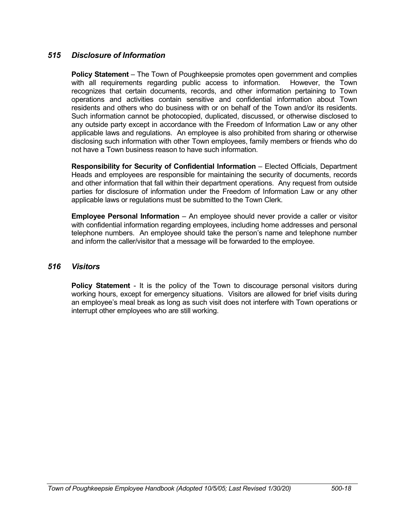## *515 Disclosure of Information*

**Policy Statement** – The Town of Poughkeepsie promotes open government and complies with all requirements regarding public access to information. However, the Town recognizes that certain documents, records, and other information pertaining to Town operations and activities contain sensitive and confidential information about Town residents and others who do business with or on behalf of the Town and/or its residents. Such information cannot be photocopied, duplicated, discussed, or otherwise disclosed to any outside party except in accordance with the Freedom of Information Law or any other applicable laws and regulations. An employee is also prohibited from sharing or otherwise disclosing such information with other Town employees, family members or friends who do not have a Town business reason to have such information.

**Responsibility for Security of Confidential Information** – Elected Officials, Department Heads and employees are responsible for maintaining the security of documents, records and other information that fall within their department operations. Any request from outside parties for disclosure of information under the Freedom of Information Law or any other applicable laws or regulations must be submitted to the Town Clerk.

**Employee Personal Information** – An employee should never provide a caller or visitor with confidential information regarding employees, including home addresses and personal telephone numbers. An employee should take the person's name and telephone number and inform the caller/visitor that a message will be forwarded to the employee.

## *516 Visitors*

**Policy Statement** - It is the policy of the Town to discourage personal visitors during working hours, except for emergency situations. Visitors are allowed for brief visits during an employee's meal break as long as such visit does not interfere with Town operations or interrupt other employees who are still working.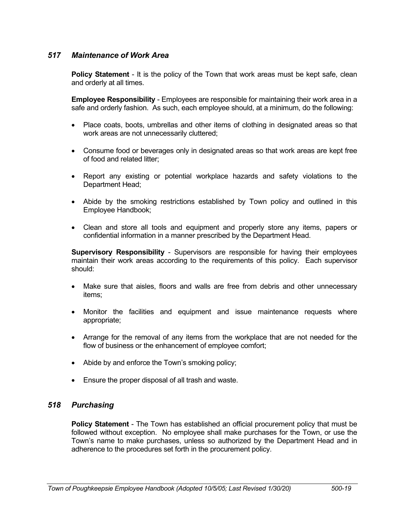## *517 Maintenance of Work Area*

**Policy Statement** - It is the policy of the Town that work areas must be kept safe, clean and orderly at all times.

**Employee Responsibility** - Employees are responsible for maintaining their work area in a safe and orderly fashion. As such, each employee should, at a minimum, do the following:

- Place coats, boots, umbrellas and other items of clothing in designated areas so that work areas are not unnecessarily cluttered;
- Consume food or beverages only in designated areas so that work areas are kept free of food and related litter;
- Report any existing or potential workplace hazards and safety violations to the Department Head;
- Abide by the smoking restrictions established by Town policy and outlined in this Employee Handbook;
- Clean and store all tools and equipment and properly store any items, papers or confidential information in a manner prescribed by the Department Head.

**Supervisory Responsibility** - Supervisors are responsible for having their employees maintain their work areas according to the requirements of this policy. Each supervisor should:

- Make sure that aisles, floors and walls are free from debris and other unnecessary items;
- Monitor the facilities and equipment and issue maintenance requests where appropriate;
- Arrange for the removal of any items from the workplace that are not needed for the flow of business or the enhancement of employee comfort;
- Abide by and enforce the Town's smoking policy;
- Ensure the proper disposal of all trash and waste.

## *518 Purchasing*

**Policy Statement** - The Town has established an official procurement policy that must be followed without exception. No employee shall make purchases for the Town, or use the Town's name to make purchases, unless so authorized by the Department Head and in adherence to the procedures set forth in the procurement policy.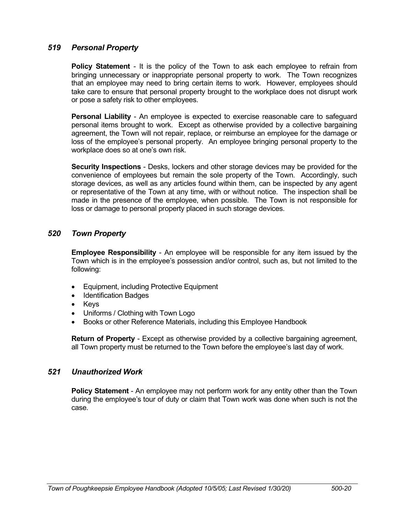## *519 Personal Property*

**Policy Statement** - It is the policy of the Town to ask each employee to refrain from bringing unnecessary or inappropriate personal property to work. The Town recognizes that an employee may need to bring certain items to work. However, employees should take care to ensure that personal property brought to the workplace does not disrupt work or pose a safety risk to other employees.

**Personal Liability** - An employee is expected to exercise reasonable care to safeguard personal items brought to work. Except as otherwise provided by a collective bargaining agreement, the Town will not repair, replace, or reimburse an employee for the damage or loss of the employee's personal property. An employee bringing personal property to the workplace does so at one's own risk.

**Security Inspections** - Desks, lockers and other storage devices may be provided for the convenience of employees but remain the sole property of the Town. Accordingly, such storage devices, as well as any articles found within them, can be inspected by any agent or representative of the Town at any time, with or without notice. The inspection shall be made in the presence of the employee, when possible. The Town is not responsible for loss or damage to personal property placed in such storage devices.

## *520 Town Property*

**Employee Responsibility** - An employee will be responsible for any item issued by the Town which is in the employee's possession and/or control, such as, but not limited to the following:

- Equipment, including Protective Equipment
- Identification Badges
- Keys
- Uniforms / Clothing with Town Logo
- Books or other Reference Materials, including this Employee Handbook

**Return of Property** - Except as otherwise provided by a collective bargaining agreement, all Town property must be returned to the Town before the employee's last day of work.

## *521 Unauthorized Work*

**Policy Statement** - An employee may not perform work for any entity other than the Town during the employee's tour of duty or claim that Town work was done when such is not the case.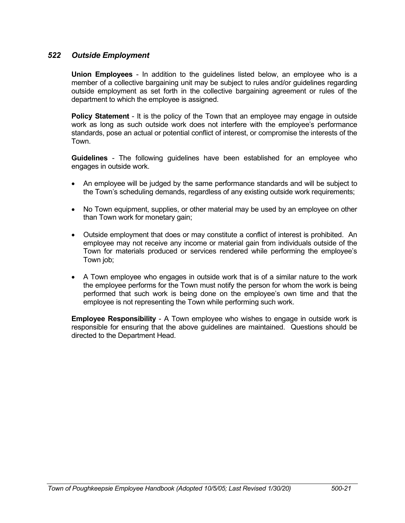## *522 Outside Employment*

**Union Employees** - In addition to the guidelines listed below, an employee who is a member of a collective bargaining unit may be subject to rules and/or guidelines regarding outside employment as set forth in the collective bargaining agreement or rules of the department to which the employee is assigned.

**Policy Statement** - It is the policy of the Town that an employee may engage in outside work as long as such outside work does not interfere with the employee's performance standards, pose an actual or potential conflict of interest, or compromise the interests of the Town.

**Guidelines** - The following guidelines have been established for an employee who engages in outside work.

- An employee will be judged by the same performance standards and will be subject to the Town's scheduling demands, regardless of any existing outside work requirements;
- No Town equipment, supplies, or other material may be used by an employee on other than Town work for monetary gain;
- Outside employment that does or may constitute a conflict of interest is prohibited. An employee may not receive any income or material gain from individuals outside of the Town for materials produced or services rendered while performing the employee's Town job;
- A Town employee who engages in outside work that is of a similar nature to the work the employee performs for the Town must notify the person for whom the work is being performed that such work is being done on the employee's own time and that the employee is not representing the Town while performing such work.

**Employee Responsibility** - A Town employee who wishes to engage in outside work is responsible for ensuring that the above guidelines are maintained. Questions should be directed to the Department Head.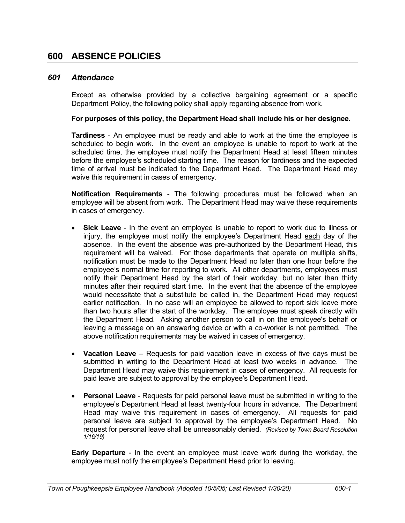#### *601 Attendance*

Except as otherwise provided by a collective bargaining agreement or a specific Department Policy, the following policy shall apply regarding absence from work.

#### **For purposes of this policy, the Department Head shall include his or her designee.**

**Tardiness** - An employee must be ready and able to work at the time the employee is scheduled to begin work. In the event an employee is unable to report to work at the scheduled time, the employee must notify the Department Head at least fifteen minutes before the employee's scheduled starting time. The reason for tardiness and the expected time of arrival must be indicated to the Department Head. The Department Head may waive this requirement in cases of emergency.

**Notification Requirements** - The following procedures must be followed when an employee will be absent from work. The Department Head may waive these requirements in cases of emergency.

- **Sick Leave** In the event an employee is unable to report to work due to illness or injury, the employee must notify the employee's Department Head each day of the absence. In the event the absence was pre-authorized by the Department Head, this requirement will be waived. For those departments that operate on multiple shifts, notification must be made to the Department Head no later than one hour before the employee's normal time for reporting to work. All other departments, employees must notify their Department Head by the start of their workday, but no later than thirty minutes after their required start time. In the event that the absence of the employee would necessitate that a substitute be called in, the Department Head may request earlier notification. In no case will an employee be allowed to report sick leave more than two hours after the start of the workday. The employee must speak directly with the Department Head. Asking another person to call in on the employee's behalf or leaving a message on an answering device or with a co-worker is not permitted. The above notification requirements may be waived in cases of emergency.
- **Vacation Leave** Requests for paid vacation leave in excess of five days must be submitted in writing to the Department Head at least two weeks in advance. The Department Head may waive this requirement in cases of emergency. All requests for paid leave are subject to approval by the employee's Department Head.
- **Personal Leave** Requests for paid personal leave must be submitted in writing to the employee's Department Head at least twenty-four hours in advance. The Department Head may waive this requirement in cases of emergency. All requests for paid personal leave are subject to approval by the employee's Department Head. No request for personal leave shall be unreasonably denied. *(Revised by Town Board Resolution 1/16/19)*

**Early Departure** - In the event an employee must leave work during the workday, the employee must notify the employee's Department Head prior to leaving.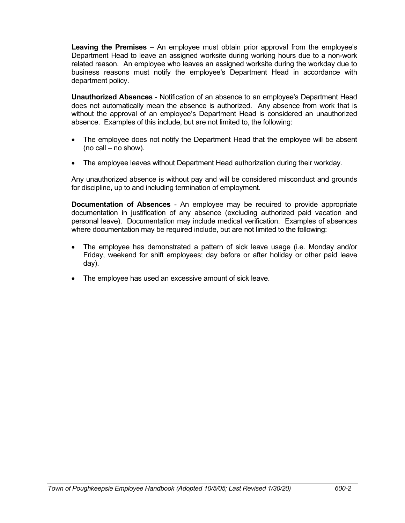**Leaving the Premises** – An employee must obtain prior approval from the employee's Department Head to leave an assigned worksite during working hours due to a non-work related reason. An employee who leaves an assigned worksite during the workday due to business reasons must notify the employee's Department Head in accordance with department policy.

**Unauthorized Absences** - Notification of an absence to an employee's Department Head does not automatically mean the absence is authorized. Any absence from work that is without the approval of an employee's Department Head is considered an unauthorized absence. Examples of this include, but are not limited to, the following:

- The employee does not notify the Department Head that the employee will be absent (no call – no show).
- The employee leaves without Department Head authorization during their workday.

Any unauthorized absence is without pay and will be considered misconduct and grounds for discipline, up to and including termination of employment.

**Documentation of Absences** - An employee may be required to provide appropriate documentation in justification of any absence (excluding authorized paid vacation and personal leave). Documentation may include medical verification. Examples of absences where documentation may be required include, but are not limited to the following:

- The employee has demonstrated a pattern of sick leave usage (i.e. Monday and/or Friday, weekend for shift employees; day before or after holiday or other paid leave day).
- The employee has used an excessive amount of sick leave.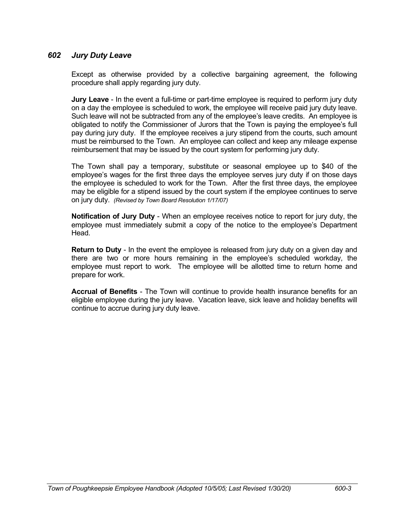# *602 Jury Duty Leave*

Except as otherwise provided by a collective bargaining agreement, the following procedure shall apply regarding jury duty.

**Jury Leave** - In the event a full-time or part-time employee is required to perform jury duty on a day the employee is scheduled to work, the employee will receive paid jury duty leave. Such leave will not be subtracted from any of the employee's leave credits. An employee is obligated to notify the Commissioner of Jurors that the Town is paying the employee's full pay during jury duty. If the employee receives a jury stipend from the courts, such amount must be reimbursed to the Town. An employee can collect and keep any mileage expense reimbursement that may be issued by the court system for performing jury duty.

The Town shall pay a temporary, substitute or seasonal employee up to \$40 of the employee's wages for the first three days the employee serves jury duty if on those days the employee is scheduled to work for the Town. After the first three days, the employee may be eligible for a stipend issued by the court system if the employee continues to serve on jury duty. *(Revised by Town Board Resolution 1/17/07)*

**Notification of Jury Duty** - When an employee receives notice to report for jury duty, the employee must immediately submit a copy of the notice to the employee's Department Head.

**Return to Duty** - In the event the employee is released from jury duty on a given day and there are two or more hours remaining in the employee's scheduled workday, the employee must report to work. The employee will be allotted time to return home and prepare for work.

**Accrual of Benefits** - The Town will continue to provide health insurance benefits for an eligible employee during the jury leave. Vacation leave, sick leave and holiday benefits will continue to accrue during jury duty leave.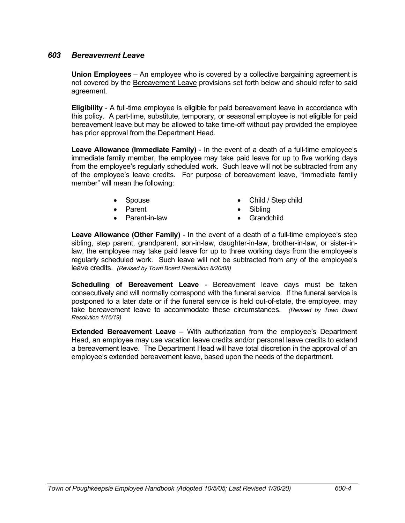#### *603 Bereavement Leave*

**Union Employees** – An employee who is covered by a collective bargaining agreement is not covered by the Bereavement Leave provisions set forth below and should refer to said agreement.

**Eligibility** - A full-time employee is eligible for paid bereavement leave in accordance with this policy. A part-time, substitute, temporary, or seasonal employee is not eligible for paid bereavement leave but may be allowed to take time-off without pay provided the employee has prior approval from the Department Head.

**Leave Allowance (Immediate Family)** - In the event of a death of a full-time employee's immediate family member, the employee may take paid leave for up to five working days from the employee's regularly scheduled work. Such leave will not be subtracted from any of the employee's leave credits. For purpose of bereavement leave, "immediate family member" will mean the following:

- 
- 
- Parent-in-law Grandchild
- Spouse Child / Step child
- Parent **Contract Contract Contract Contract Contract Contract Contract Contract Contract Contract Contract Contract Contract Contract Contract Contract Contract Contract Contract Contract Contract Contract Contract Contr** 
	-

**Leave Allowance (Other Family)** - In the event of a death of a full-time employee's step sibling, step parent, grandparent, son-in-law, daughter-in-law, brother-in-law, or sister-inlaw, the employee may take paid leave for up to three working days from the employee's regularly scheduled work. Such leave will not be subtracted from any of the employee's leave credits. *(Revised by Town Board Resolution 8/20/08)*

**Scheduling of Bereavement Leave** - Bereavement leave days must be taken consecutively and will normally correspond with the funeral service. If the funeral service is postponed to a later date or if the funeral service is held out-of-state, the employee, may take bereavement leave to accommodate these circumstances. *(Revised by Town Board Resolution 1/16/19)*

**Extended Bereavement Leave** – With authorization from the employee's Department Head, an employee may use vacation leave credits and/or personal leave credits to extend a bereavement leave. The Department Head will have total discretion in the approval of an employee's extended bereavement leave, based upon the needs of the department.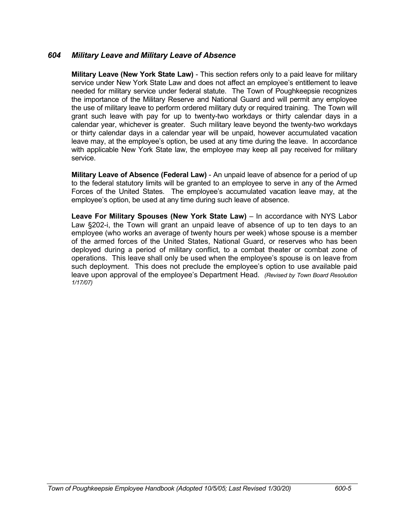## *604 Military Leave and Military Leave of Absence*

**Military Leave (New York State Law)** - This section refers only to a paid leave for military service under New York State Law and does not affect an employee's entitlement to leave needed for military service under federal statute. The Town of Poughkeepsie recognizes the importance of the Military Reserve and National Guard and will permit any employee the use of military leave to perform ordered military duty or required training. The Town will grant such leave with pay for up to twenty-two workdays or thirty calendar days in a calendar year, whichever is greater. Such military leave beyond the twenty-two workdays or thirty calendar days in a calendar year will be unpaid, however accumulated vacation leave may, at the employee's option, be used at any time during the leave. In accordance with applicable New York State law, the employee may keep all pay received for military service.

**Military Leave of Absence (Federal Law)** - An unpaid leave of absence for a period of up to the federal statutory limits will be granted to an employee to serve in any of the Armed Forces of the United States. The employee's accumulated vacation leave may, at the employee's option, be used at any time during such leave of absence.

**Leave For Military Spouses (New York State Law)** – In accordance with NYS Labor Law §202-i, the Town will grant an unpaid leave of absence of up to ten days to an employee (who works an average of twenty hours per week) whose spouse is a member of the armed forces of the United States, National Guard, or reserves who has been deployed during a period of military conflict, to a combat theater or combat zone of operations. This leave shall only be used when the employee's spouse is on leave from such deployment. This does not preclude the employee's option to use available paid leave upon approval of the employee's Department Head. *(Revised by Town Board Resolution 1/17/07)*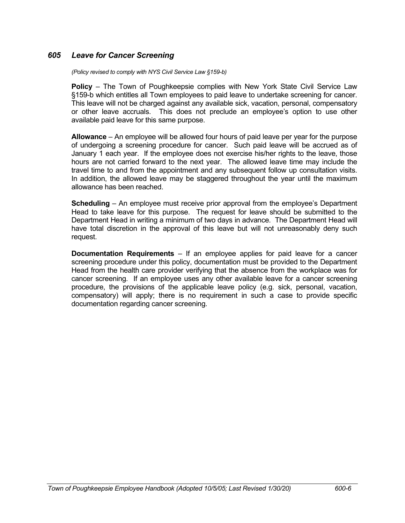# *605 Leave for Cancer Screening*

*(Policy revised to comply with NYS Civil Service Law §159-b)*

**Policy** – The Town of Poughkeepsie complies with New York State Civil Service Law §159-b which entitles all Town employees to paid leave to undertake screening for cancer. This leave will not be charged against any available sick, vacation, personal, compensatory or other leave accruals. This does not preclude an employee's option to use other available paid leave for this same purpose.

**Allowance** – An employee will be allowed four hours of paid leave per year for the purpose of undergoing a screening procedure for cancer. Such paid leave will be accrued as of January 1 each year. If the employee does not exercise his/her rights to the leave, those hours are not carried forward to the next year. The allowed leave time may include the travel time to and from the appointment and any subsequent follow up consultation visits. In addition, the allowed leave may be staggered throughout the year until the maximum allowance has been reached.

**Scheduling** – An employee must receive prior approval from the employee's Department Head to take leave for this purpose. The request for leave should be submitted to the Department Head in writing a minimum of two days in advance. The Department Head will have total discretion in the approval of this leave but will not unreasonably deny such request.

**Documentation Requirements** – If an employee applies for paid leave for a cancer screening procedure under this policy, documentation must be provided to the Department Head from the health care provider verifying that the absence from the workplace was for cancer screening. If an employee uses any other available leave for a cancer screening procedure, the provisions of the applicable leave policy (e.g. sick, personal, vacation, compensatory) will apply; there is no requirement in such a case to provide specific documentation regarding cancer screening.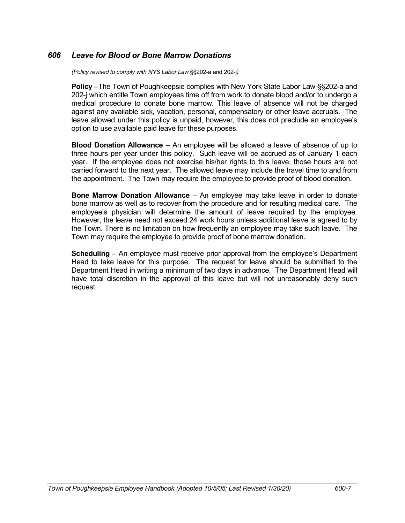# *606 Leave for Blood or Bone Marrow Donations*

*(Policy revised to comply with NYS Labor Law* §§202-a and 202-j*)*

**Policy** –The Town of Poughkeepsie complies with New York State Labor Law §§202-a and 202-j which entitle Town employees time off from work to donate blood and/or to undergo a medical procedure to donate bone marrow. This leave of absence will not be charged against any available sick, vacation, personal, compensatory or other leave accruals. The leave allowed under this policy is unpaid, however, this does not preclude an employee's option to use available paid leave for these purposes.

**Blood Donation Allowance** – An employee will be allowed a leave of absence of up to three hours per year under this policy. Such leave will be accrued as of January 1 each year. If the employee does not exercise his/her rights to this leave, those hours are not carried forward to the next year. The allowed leave may include the travel time to and from the appointment. The Town may require the employee to provide proof of blood donation.

**Bone Marrow Donation Allowance** – An employee may take leave in order to donate bone marrow as well as to recover from the procedure and for resulting medical care. The employee's physician will determine the amount of leave required by the employee. However, the leave need not exceed 24 work hours unless additional leave is agreed to by the Town. There is no limitation on how frequently an employee may take such leave. The Town may require the employee to provide proof of bone marrow donation.

**Scheduling** – An employee must receive prior approval from the employee's Department Head to take leave for this purpose. The request for leave should be submitted to the Department Head in writing a minimum of two days in advance. The Department Head will have total discretion in the approval of this leave but will not unreasonably deny such request.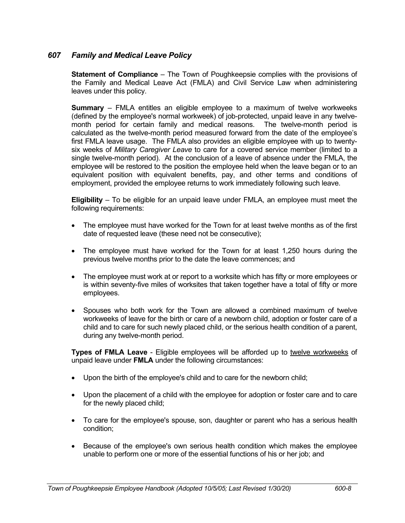# *607 Family and Medical Leave Policy*

**Statement of Compliance** – The Town of Poughkeepsie complies with the provisions of the Family and Medical Leave Act (FMLA) and Civil Service Law when administering leaves under this policy.

**Summary** – FMLA entitles an eligible employee to a maximum of twelve workweeks (defined by the employee's normal workweek) of job-protected, unpaid leave in any twelvemonth period for certain family and medical reasons. The twelve-month period is calculated as the twelve-month period measured forward from the date of the employee's first FMLA leave usage. The FMLA also provides an eligible employee with up to twentysix weeks of *Military Caregiver Leave* to care for a covered service member (limited to a single twelve-month period). At the conclusion of a leave of absence under the FMLA, the employee will be restored to the position the employee held when the leave began or to an equivalent position with equivalent benefits, pay, and other terms and conditions of employment, provided the employee returns to work immediately following such leave.

**Eligibility** – To be eligible for an unpaid leave under FMLA, an employee must meet the following requirements:

- The employee must have worked for the Town for at least twelve months as of the first date of requested leave (these need not be consecutive);
- The employee must have worked for the Town for at least 1,250 hours during the previous twelve months prior to the date the leave commences; and
- The employee must work at or report to a worksite which has fifty or more employees or is within seventy-five miles of worksites that taken together have a total of fifty or more employees.
- Spouses who both work for the Town are allowed a combined maximum of twelve workweeks of leave for the birth or care of a newborn child, adoption or foster care of a child and to care for such newly placed child, or the serious health condition of a parent, during any twelve-month period.

**Types of FMLA Leave** - Eligible employees will be afforded up to twelve workweeks of unpaid leave under **FMLA** under the following circumstances:

- Upon the birth of the employee's child and to care for the newborn child;
- Upon the placement of a child with the employee for adoption or foster care and to care for the newly placed child;
- To care for the employee's spouse, son, daughter or parent who has a serious health condition;
- Because of the employee's own serious health condition which makes the employee unable to perform one or more of the essential functions of his or her job; and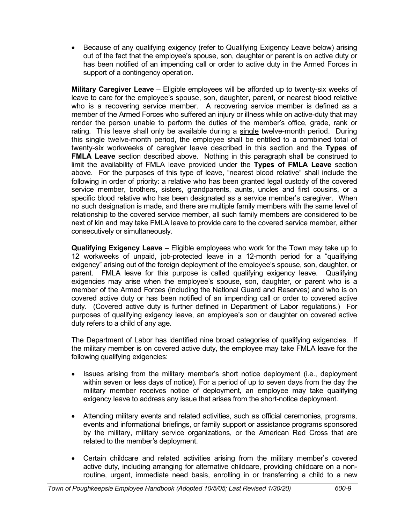Because of any qualifying exigency (refer to Qualifying Exigency Leave below) arising out of the fact that the employee's spouse, son, daughter or parent is on active duty or has been notified of an impending call or order to active duty in the Armed Forces in support of a contingency operation.

**Military Caregiver Leave** – Eligible employees will be afforded up to twenty-six weeks of leave to care for the employee's spouse, son, daughter, parent, or nearest blood relative who is a recovering service member. A recovering service member is defined as a member of the Armed Forces who suffered an injury or illness while on active-duty that may render the person unable to perform the duties of the member's office, grade, rank or rating. This leave shall only be available during a single twelve-month period. During this single twelve-month period, the employee shall be entitled to a combined total of twenty-six workweeks of caregiver leave described in this section and the **Types of FMLA Leave** section described above. Nothing in this paragraph shall be construed to limit the availability of FMLA leave provided under the **Types of FMLA Leave** section above. For the purposes of this type of leave, "nearest blood relative" shall include the following in order of priority: a relative who has been granted legal custody of the covered service member, brothers, sisters, grandparents, aunts, uncles and first cousins, or a specific blood relative who has been designated as a service member's caregiver. When no such designation is made, and there are multiple family members with the same level of relationship to the covered service member, all such family members are considered to be next of kin and may take FMLA leave to provide care to the covered service member, either consecutively or simultaneously.

**Qualifying Exigency Leave** – Eligible employees who work for the Town may take up to 12 workweeks of unpaid, job-protected leave in a 12-month period for a "qualifying exigency" arising out of the foreign deployment of the employee's spouse, son, daughter, or parent. FMLA leave for this purpose is called qualifying exigency leave. Qualifying exigencies may arise when the employee's spouse, son, daughter, or parent who is a member of the Armed Forces (including the National Guard and Reserves) and who is on covered active duty or has been notified of an impending call or order to covered active duty. (Covered active duty is further defined in Department of Labor regulations.) For purposes of qualifying exigency leave, an employee's son or daughter on covered active duty refers to a child of any age.

The Department of Labor has identified nine broad categories of qualifying exigencies. If the military member is on covered active duty, the employee may take FMLA leave for the following qualifying exigencies:

- Issues arising from the military member's short notice deployment (i.e., deployment within seven or less days of notice). For a period of up to seven days from the day the military member receives notice of deployment, an employee may take qualifying exigency leave to address any issue that arises from the short-notice deployment.
- Attending military events and related activities, such as official ceremonies, programs, events and informational briefings, or family support or assistance programs sponsored by the military, military service organizations, or the American Red Cross that are related to the member's deployment.
- Certain childcare and related activities arising from the military member's covered active duty, including arranging for alternative childcare, providing childcare on a nonroutine, urgent, immediate need basis, enrolling in or transferring a child to a new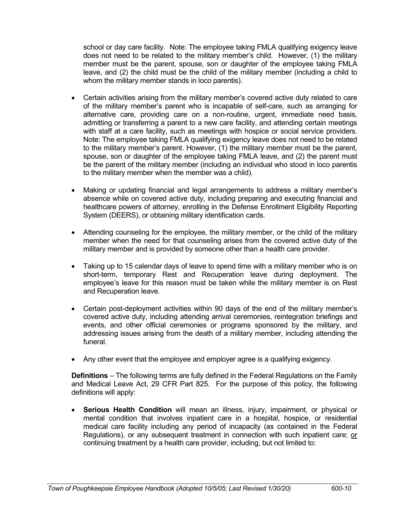school or day care facility. Note: The employee taking FMLA qualifying exigency leave does not need to be related to the military member's child. However, (1) the military member must be the parent, spouse, son or daughter of the employee taking FMLA leave, and (2) the child must be the child of the military member (including a child to whom the military member stands in loco parentis).

- Certain activities arising from the military member's covered active duty related to care of the military member's parent who is incapable of self-care, such as arranging for alternative care, providing care on a non-routine, urgent, immediate need basis, admitting or transferring a parent to a new care facility, and attending certain meetings with staff at a care facility, such as meetings with hospice or social service providers. Note: The employee taking FMLA qualifying exigency leave does not need to be related to the military member's parent. However, (1) the military member must be the parent, spouse, son or daughter of the employee taking FMLA leave, and (2) the parent must be the parent of the military member (including an individual who stood in loco parentis to the military member when the member was a child).
- Making or updating financial and legal arrangements to address a military member's absence while on covered active duty, including preparing and executing financial and healthcare powers of attorney, enrolling in the Defense Enrollment Eligibility Reporting System (DEERS), or obtaining military identification cards.
- Attending counseling for the employee, the military member, or the child of the military member when the need for that counseling arises from the covered active duty of the military member and is provided by someone other than a health care provider.
- Taking up to 15 calendar days of leave to spend time with a military member who is on short-term, temporary Rest and Recuperation leave during deployment. The employee's leave for this reason must be taken while the military member is on Rest and Recuperation leave.
- Certain post-deployment activities within 90 days of the end of the military member's covered active duty, including attending arrival ceremonies, reintegration briefings and events, and other official ceremonies or programs sponsored by the military, and addressing issues arising from the death of a military member, including attending the funeral.
- Any other event that the employee and employer agree is a qualifying exigency.

**Definitions** – The following terms are fully defined in the Federal Regulations on the Family and Medical Leave Act, 29 CFR Part 825. For the purpose of this policy, the following definitions will apply:

 **Serious Health Condition** will mean an illness, injury, impairment, or physical or mental condition that involves inpatient care in a hospital, hospice, or residential medical care facility including any period of incapacity (as contained in the Federal Regulations), or any subsequent treatment in connection with such inpatient care; or continuing treatment by a health care provider, including, but not limited to: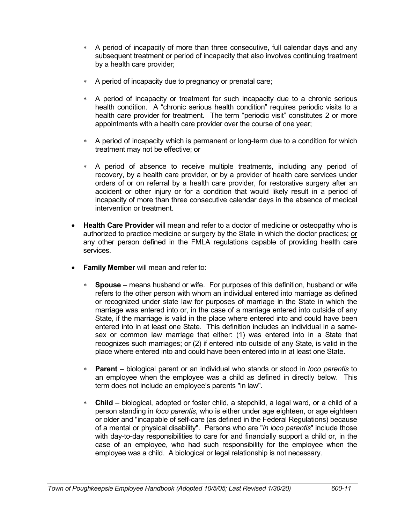- A period of incapacity of more than three consecutive, full calendar days and any subsequent treatment or period of incapacity that also involves continuing treatment by a health care provider;
- A period of incapacity due to pregnancy or prenatal care;
- A period of incapacity or treatment for such incapacity due to a chronic serious health condition. A "chronic serious health condition" requires periodic visits to a health care provider for treatment. The term "periodic visit" constitutes 2 or more appointments with a health care provider over the course of one year;
- A period of incapacity which is permanent or long-term due to a condition for which treatment may not be effective; or
- A period of absence to receive multiple treatments, including any period of recovery, by a health care provider, or by a provider of health care services under orders of or on referral by a health care provider, for restorative surgery after an accident or other injury or for a condition that would likely result in a period of incapacity of more than three consecutive calendar days in the absence of medical intervention or treatment.
- **Health Care Provider** will mean and refer to a doctor of medicine or osteopathy who is authorized to practice medicine or surgery by the State in which the doctor practices; or any other person defined in the FMLA regulations capable of providing health care services.
- **Family Member** will mean and refer to:
	- **Spouse** means husband or wife. For purposes of this definition, husband or wife refers to the other person with whom an individual entered into marriage as defined or recognized under state law for purposes of marriage in the State in which the marriage was entered into or, in the case of a marriage entered into outside of any State, if the marriage is valid in the place where entered into and could have been entered into in at least one State. This definition includes an individual in a samesex or common law marriage that either: (1) was entered into in a State that recognizes such marriages; or (2) if entered into outside of any State, is valid in the place where entered into and could have been entered into in at least one State.
	- **Parent** biological parent or an individual who stands or stood in *loco parentis* to an employee when the employee was a child as defined in directly below. This term does not include an employee's parents "in law".
	- **Child** biological, adopted or foster child, a stepchild, a legal ward, or a child of a person standing in *loco parentis*, who is either under age eighteen, or age eighteen or older and "incapable of self-care (as defined in the Federal Regulations) because of a mental or physical disability". Persons who are "*in loco parentis*" include those with day-to-day responsibilities to care for and financially support a child or, in the case of an employee, who had such responsibility for the employee when the employee was a child. A biological or legal relationship is not necessary.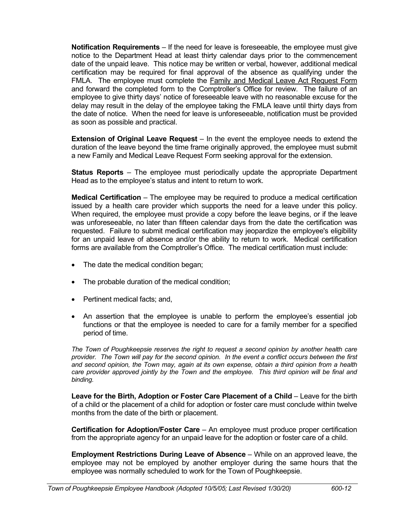**Notification Requirements** – If the need for leave is foreseeable, the employee must give notice to the Department Head at least thirty calendar days prior to the commencement date of the unpaid leave. This notice may be written or verbal, however, additional medical certification may be required for final approval of the absence as qualifying under the FMLA. The employee must complete the Family and Medical Leave Act Request Form and forward the completed form to the Comptroller's Office for review. The failure of an employee to give thirty days' notice of foreseeable leave with no reasonable excuse for the delay may result in the delay of the employee taking the FMLA leave until thirty days from the date of notice. When the need for leave is unforeseeable, notification must be provided as soon as possible and practical.

**Extension of Original Leave Request** – In the event the employee needs to extend the duration of the leave beyond the time frame originally approved, the employee must submit a new Family and Medical Leave Request Form seeking approval for the extension.

**Status Reports** – The employee must periodically update the appropriate Department Head as to the employee's status and intent to return to work.

**Medical Certification** – The employee may be required to produce a medical certification issued by a health care provider which supports the need for a leave under this policy. When required, the employee must provide a copy before the leave begins, or if the leave was unforeseeable, no later than fifteen calendar days from the date the certification was requested. Failure to submit medical certification may jeopardize the employee's eligibility for an unpaid leave of absence and/or the ability to return to work. Medical certification forms are available from the Comptroller's Office. The medical certification must include:

- The date the medical condition began;
- The probable duration of the medical condition;
- Pertinent medical facts; and,
- An assertion that the employee is unable to perform the employee's essential job functions or that the employee is needed to care for a family member for a specified period of time.

*The Town of Poughkeepsie reserves the right to request a second opinion by another health care provider. The Town will pay for the second opinion. In the event a conflict occurs between the first and second opinion, the Town may, again at its own expense, obtain a third opinion from a health care provider approved jointly by the Town and the employee. This third opinion will be final and binding.*

**Leave for the Birth, Adoption or Foster Care Placement of a Child** – Leave for the birth of a child or the placement of a child for adoption or foster care must conclude within twelve months from the date of the birth or placement.

**Certification for Adoption/Foster Care** – An employee must produce proper certification from the appropriate agency for an unpaid leave for the adoption or foster care of a child.

**Employment Restrictions During Leave of Absence** – While on an approved leave, the employee may not be employed by another employer during the same hours that the employee was normally scheduled to work for the Town of Poughkeepsie.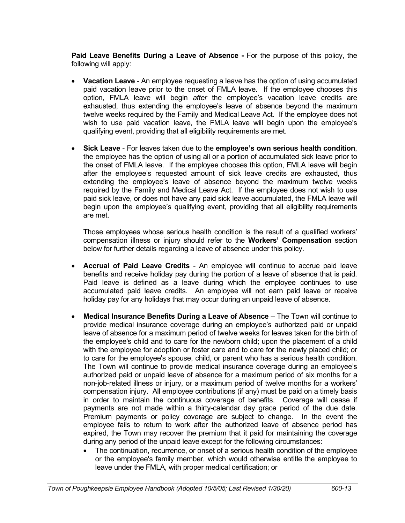**Paid Leave Benefits During a Leave of Absence -** For the purpose of this policy, the following will apply:

- **Vacation Leave**  An employee requesting a leave has the option of using accumulated paid vacation leave prior to the onset of FMLA leave. If the employee chooses this option, FMLA leave will begin *after* the employee's vacation leave credits are exhausted, thus extending the employee's leave of absence beyond the maximum twelve weeks required by the Family and Medical Leave Act. If the employee does not wish to use paid vacation leave, the FMLA leave will begin upon the employee's qualifying event, providing that all eligibility requirements are met.
- **Sick Leave**  For leaves taken due to the **employee's own serious health condition**, the employee has the option of using all or a portion of accumulated sick leave prior to the onset of FMLA leave. If the employee chooses this option, FMLA leave will begin after the employee's requested amount of sick leave credits are exhausted, thus extending the employee's leave of absence beyond the maximum twelve weeks required by the Family and Medical Leave Act. If the employee does not wish to use paid sick leave, or does not have any paid sick leave accumulated, the FMLA leave will begin upon the employee's qualifying event, providing that all eligibility requirements are met.

Those employees whose serious health condition is the result of a qualified workers' compensation illness or injury should refer to the **Workers' Compensation** section below for further details regarding a leave of absence under this policy.

- **Accrual of Paid Leave Credits** An employee will continue to accrue paid leave benefits and receive holiday pay during the portion of a leave of absence that is paid. Paid leave is defined as a leave during which the employee continues to use accumulated paid leave credits. An employee will not earn paid leave or receive holiday pay for any holidays that may occur during an unpaid leave of absence.
- **Medical Insurance Benefits During a Leave of Absence** The Town will continue to provide medical insurance coverage during an employee's authorized paid or unpaid leave of absence for a maximum period of twelve weeks for leaves taken for the birth of the employee's child and to care for the newborn child; upon the placement of a child with the employee for adoption or foster care and to care for the newly placed child; or to care for the employee's spouse, child, or parent who has a serious health condition. The Town will continue to provide medical insurance coverage during an employee's authorized paid or unpaid leave of absence for a maximum period of six months for a non-job-related illness or injury, or a maximum period of twelve months for a workers' compensation injury. All employee contributions (if any) must be paid on a timely basis in order to maintain the continuous coverage of benefits. Coverage will cease if payments are not made within a thirty-calendar day grace period of the due date. Premium payments or policy coverage are subject to change. In the event the employee fails to return to work after the authorized leave of absence period has expired, the Town may recover the premium that it paid for maintaining the coverage during any period of the unpaid leave except for the following circumstances:
	- The continuation, recurrence, or onset of a serious health condition of the employee or the employee's family member, which would otherwise entitle the employee to leave under the FMLA, with proper medical certification; or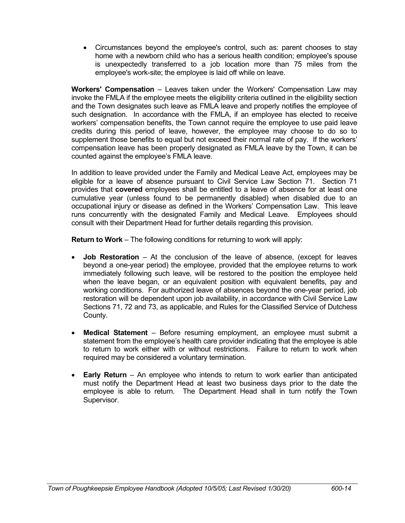Circumstances beyond the employee's control, such as: parent chooses to stay home with a newborn child who has a serious health condition; employee's spouse is unexpectedly transferred to a job location more than 75 miles from the employee's work-site; the employee is laid off while on leave.

**Workers' Compensation** – Leaves taken under the Workers' Compensation Law may invoke the FMLA if the employee meets the eligibility criteria outlined in the eligibility section and the Town designates such leave as FMLA leave and properly notifies the employee of such designation. In accordance with the FMLA, if an employee has elected to receive workers' compensation benefits, the Town cannot require the employee to use paid leave credits during this period of leave, however, the employee may choose to do so to supplement those benefits to equal but not exceed their normal rate of pay. If the workers' compensation leave has been properly designated as FMLA leave by the Town, it can be counted against the employee's FMLA leave.

In addition to leave provided under the Family and Medical Leave Act, employees may be eligible for a leave of absence pursuant to Civil Service Law Section 71. Section 71 provides that **covered** employees shall be entitled to a leave of absence for at least one cumulative year (unless found to be permanently disabled) when disabled due to an occupational injury or disease as defined in the Workers' Compensation Law. This leave runs concurrently with the designated Family and Medical Leave. Employees should consult with their Department Head for further details regarding this provision.

**Return to Work** – The following conditions for returning to work will apply:

- **Job Restoration** At the conclusion of the leave of absence, (except for leaves beyond a one-year period) the employee, provided that the employee returns to work immediately following such leave, will be restored to the position the employee held when the leave began, or an equivalent position with equivalent benefits, pay and working conditions. For authorized leave of absences beyond the one-year period, job restoration will be dependent upon job availability, in accordance with Civil Service Law Sections 71, 72 and 73, as applicable, and Rules for the Classified Service of Dutchess County.
- **Medical Statement** Before resuming employment, an employee must submit a statement from the employee's health care provider indicating that the employee is able to return to work either with or without restrictions. Failure to return to work when required may be considered a voluntary termination.
- **Early Return** An employee who intends to return to work earlier than anticipated must notify the Department Head at least two business days prior to the date the employee is able to return. The Department Head shall in turn notify the Town Supervisor.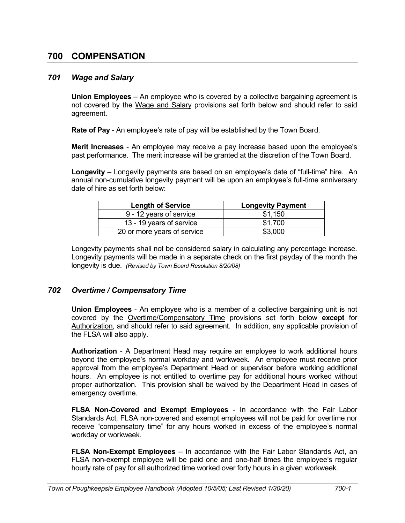# **700 COMPENSATION**

#### *701 Wage and Salary*

**Union Employees** – An employee who is covered by a collective bargaining agreement is not covered by the Wage and Salary provisions set forth below and should refer to said agreement.

**Rate of Pay** - An employee's rate of pay will be established by the Town Board.

**Merit Increases** - An employee may receive a pay increase based upon the employee's past performance. The merit increase will be granted at the discretion of the Town Board.

**Longevity** – Longevity payments are based on an employee's date of "full-time" hire. An annual non-cumulative longevity payment will be upon an employee's full-time anniversary date of hire as set forth below:

| <b>Length of Service</b>    | <b>Longevity Payment</b> |
|-----------------------------|--------------------------|
| 9 - 12 years of service     | \$1.150                  |
| 13 - 19 years of service    | \$1,700                  |
| 20 or more years of service | \$3,000                  |

Longevity payments shall not be considered salary in calculating any percentage increase. Longevity payments will be made in a separate check on the first payday of the month the longevity is due. *(Revised by Town Board Resolution 8/20/08)*

## *702 Overtime / Compensatory Time*

**Union Employees** - An employee who is a member of a collective bargaining unit is not covered by the Overtime/Compensatory Time provisions set forth below **except** for Authorization, and should refer to said agreement. In addition, any applicable provision of the FLSA will also apply.

**Authorization** - A Department Head may require an employee to work additional hours beyond the employee's normal workday and workweek. An employee must receive prior approval from the employee's Department Head or supervisor before working additional hours. An employee is not entitled to overtime pay for additional hours worked without proper authorization. This provision shall be waived by the Department Head in cases of emergency overtime.

**FLSA Non-Covered and Exempt Employees** - In accordance with the Fair Labor Standards Act, FLSA non-covered and exempt employees will not be paid for overtime nor receive "compensatory time" for any hours worked in excess of the employee's normal workday or workweek.

**FLSA Non-Exempt Employees** – In accordance with the Fair Labor Standards Act, an FLSA non-exempt employee will be paid one and one-half times the employee's regular hourly rate of pay for all authorized time worked over forty hours in a given workweek.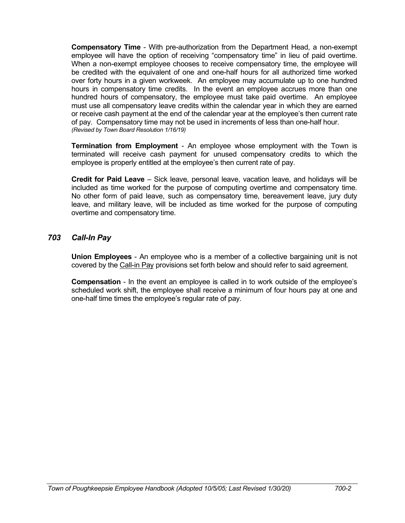**Compensatory Time** - With pre-authorization from the Department Head, a non-exempt employee will have the option of receiving "compensatory time" in lieu of paid overtime. When a non-exempt employee chooses to receive compensatory time, the employee will be credited with the equivalent of one and one-half hours for all authorized time worked over forty hours in a given workweek. An employee may accumulate up to one hundred hours in compensatory time credits. In the event an employee accrues more than one hundred hours of compensatory, the employee must take paid overtime. An employee must use all compensatory leave credits within the calendar year in which they are earned or receive cash payment at the end of the calendar year at the employee's then current rate of pay. Compensatory time may not be used in increments of less than one-half hour. *(Revised by Town Board Resolution 1/16/19)*

**Termination from Employment** - An employee whose employment with the Town is terminated will receive cash payment for unused compensatory credits to which the employee is properly entitled at the employee's then current rate of pay.

**Credit for Paid Leave** – Sick leave, personal leave, vacation leave, and holidays will be included as time worked for the purpose of computing overtime and compensatory time. No other form of paid leave, such as compensatory time, bereavement leave, jury duty leave, and military leave, will be included as time worked for the purpose of computing overtime and compensatory time.

## *703 Call-In Pay*

**Union Employees** - An employee who is a member of a collective bargaining unit is not covered by the Call-in Pay provisions set forth below and should refer to said agreement.

**Compensation** - In the event an employee is called in to work outside of the employee's scheduled work shift, the employee shall receive a minimum of four hours pay at one and one-half time times the employee's regular rate of pay.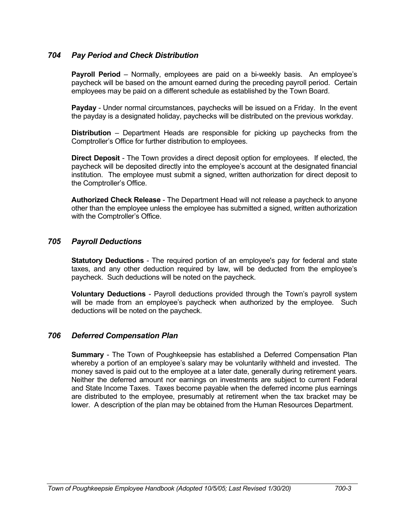# *704 Pay Period and Check Distribution*

**Payroll Period** – Normally, employees are paid on a bi-weekly basis. An employee's paycheck will be based on the amount earned during the preceding payroll period. Certain employees may be paid on a different schedule as established by the Town Board.

**Payday** - Under normal circumstances, paychecks will be issued on a Friday. In the event the payday is a designated holiday, paychecks will be distributed on the previous workday.

**Distribution** – Department Heads are responsible for picking up paychecks from the Comptroller's Office for further distribution to employees.

**Direct Deposit** - The Town provides a direct deposit option for employees. If elected, the paycheck will be deposited directly into the employee's account at the designated financial institution. The employee must submit a signed, written authorization for direct deposit to the Comptroller's Office.

**Authorized Check Release** - The Department Head will not release a paycheck to anyone other than the employee unless the employee has submitted a signed, written authorization with the Comptroller's Office.

## *705 Payroll Deductions*

**Statutory Deductions** - The required portion of an employee's pay for federal and state taxes, and any other deduction required by law, will be deducted from the employee's paycheck. Such deductions will be noted on the paycheck.

**Voluntary Deductions** - Payroll deductions provided through the Town's payroll system will be made from an employee's paycheck when authorized by the employee. Such deductions will be noted on the paycheck.

## *706 Deferred Compensation Plan*

**Summary** - The Town of Poughkeepsie has established a Deferred Compensation Plan whereby a portion of an employee's salary may be voluntarily withheld and invested. The money saved is paid out to the employee at a later date, generally during retirement years. Neither the deferred amount nor earnings on investments are subject to current Federal and State Income Taxes. Taxes become payable when the deferred income plus earnings are distributed to the employee, presumably at retirement when the tax bracket may be lower. A description of the plan may be obtained from the Human Resources Department.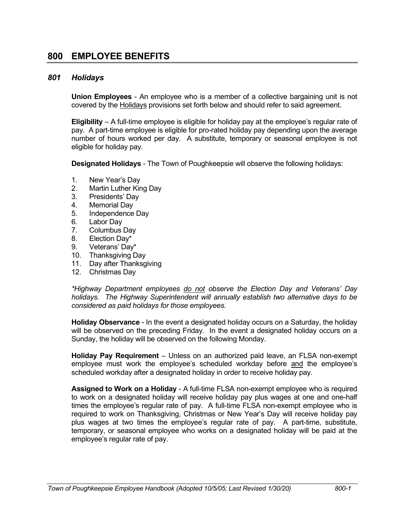# **800 EMPLOYEE BENEFITS**

#### *801 Holidays*

**Union Employees** - An employee who is a member of a collective bargaining unit is not covered by the Holidays provisions set forth below and should refer to said agreement.

**Eligibility** – A full-time employee is eligible for holiday pay at the employee's regular rate of pay. A part-time employee is eligible for pro-rated holiday pay depending upon the average number of hours worked per day. A substitute, temporary or seasonal employee is not eligible for holiday pay.

**Designated Holidays** - The Town of Poughkeepsie will observe the following holidays:

- 1. New Year's Day
- 2. Martin Luther King Day
- 3. Presidents' Day
- 4. Memorial Day
- 5. Independence Day
- 6. Labor Day
- 7. Columbus Day
- 8. Election Day\*
- 9. Veterans' Day\*
- 10. Thanksgiving Day
- 11. Day after Thanksgiving
- 12. Christmas Day

*\*Highway Department employees do not observe the Election Day and Veterans' Day holidays. The Highway Superintendent will annually establish two alternative days to be considered as paid holidays for those employees.*

**Holiday Observance** - In the event a designated holiday occurs on a Saturday, the holiday will be observed on the preceding Friday. In the event a designated holiday occurs on a Sunday, the holiday will be observed on the following Monday.

**Holiday Pay Requirement** – Unless on an authorized paid leave, an FLSA non-exempt employee must work the employee's scheduled workday before and the employee's scheduled workday after a designated holiday in order to receive holiday pay.

**Assigned to Work on a Holiday** - A full-time FLSA non-exempt employee who is required to work on a designated holiday will receive holiday pay plus wages at one and one-half times the employee's regular rate of pay. A full-time FLSA non-exempt employee who is required to work on Thanksgiving, Christmas or New Year's Day will receive holiday pay plus wages at two times the employee's regular rate of pay. A part-time, substitute, temporary, or seasonal employee who works on a designated holiday will be paid at the employee's regular rate of pay.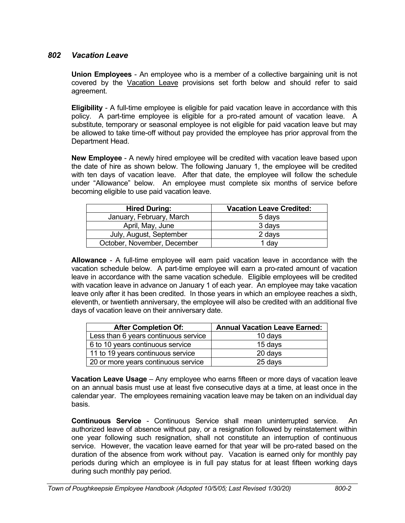# *802 Vacation Leave*

**Union Employees** - An employee who is a member of a collective bargaining unit is not covered by the Vacation Leave provisions set forth below and should refer to said agreement.

**Eligibility** - A full-time employee is eligible for paid vacation leave in accordance with this policy. A part-time employee is eligible for a pro-rated amount of vacation leave. A substitute, temporary or seasonal employee is not eligible for paid vacation leave but may be allowed to take time-off without pay provided the employee has prior approval from the Department Head.

**New Employee** - A newly hired employee will be credited with vacation leave based upon the date of hire as shown below. The following January 1, the employee will be credited with ten days of vacation leave. After that date, the employee will follow the schedule under "Allowance" below. An employee must complete six months of service before becoming eligible to use paid vacation leave.

| <b>Hired During:</b>        | <b>Vacation Leave Credited:</b> |
|-----------------------------|---------------------------------|
| January, February, March    | 5 days                          |
| April, May, June            | 3 days                          |
| July, August, September     | 2 days                          |
| October, November, December | 1 day                           |

**Allowance** - A full-time employee will earn paid vacation leave in accordance with the vacation schedule below. A part-time employee will earn a pro-rated amount of vacation leave in accordance with the same vacation schedule. Eligible employees will be credited with vacation leave in advance on January 1 of each year. An employee may take vacation leave only after it has been credited. In those years in which an employee reaches a sixth, eleventh, or twentieth anniversary, the employee will also be credited with an additional five days of vacation leave on their anniversary date.

| <b>After Completion Of:</b>          | <b>Annual Vacation Leave Earned:</b> |
|--------------------------------------|--------------------------------------|
| Less than 6 years continuous service | 10 days                              |
| 6 to 10 years continuous service     | 15 days                              |
| 11 to 19 years continuous service    | 20 days                              |
| 20 or more years continuous service  | 25 days                              |

**Vacation Leave Usage** – Any employee who earns fifteen or more days of vacation leave on an annual basis must use at least five consecutive days at a time, at least once in the calendar year. The employees remaining vacation leave may be taken on an individual day basis.

**Continuous Service** - Continuous Service shall mean uninterrupted service. An authorized leave of absence without pay, or a resignation followed by reinstatement within one year following such resignation, shall not constitute an interruption of continuous service. However, the vacation leave earned for that year will be pro-rated based on the duration of the absence from work without pay. Vacation is earned only for monthly pay periods during which an employee is in full pay status for at least fifteen working days during such monthly pay period.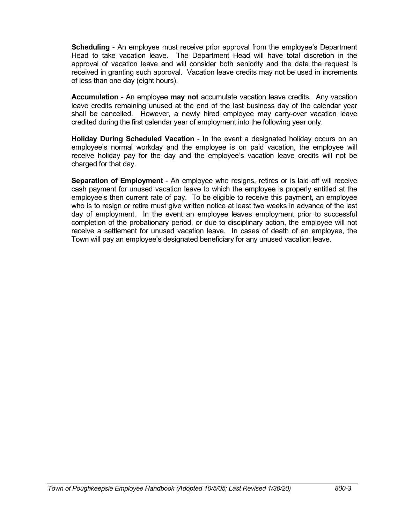**Scheduling** - An employee must receive prior approval from the employee's Department Head to take vacation leave. The Department Head will have total discretion in the approval of vacation leave and will consider both seniority and the date the request is received in granting such approval. Vacation leave credits may not be used in increments of less than one day (eight hours).

**Accumulation** - An employee **may not** accumulate vacation leave credits. Any vacation leave credits remaining unused at the end of the last business day of the calendar year shall be cancelled. However, a newly hired employee may carry-over vacation leave credited during the first calendar year of employment into the following year only.

**Holiday During Scheduled Vacation** - In the event a designated holiday occurs on an employee's normal workday and the employee is on paid vacation, the employee will receive holiday pay for the day and the employee's vacation leave credits will not be charged for that day.

**Separation of Employment** - An employee who resigns, retires or is laid off will receive cash payment for unused vacation leave to which the employee is properly entitled at the employee's then current rate of pay. To be eligible to receive this payment, an employee who is to resign or retire must give written notice at least two weeks in advance of the last day of employment. In the event an employee leaves employment prior to successful completion of the probationary period, or due to disciplinary action, the employee will not receive a settlement for unused vacation leave. In cases of death of an employee, the Town will pay an employee's designated beneficiary for any unused vacation leave.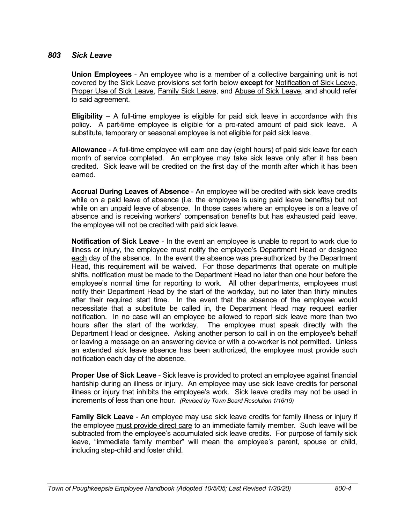#### *803 Sick Leave*

**Union Employees** - An employee who is a member of a collective bargaining unit is not covered by the Sick Leave provisions set forth below **except** for Notification of Sick Leave, Proper Use of Sick Leave, Family Sick Leave, and Abuse of Sick Leave, and should refer to said agreement.

**Eligibility** – A full-time employee is eligible for paid sick leave in accordance with this policy. A part-time employee is eligible for a pro-rated amount of paid sick leave. A substitute, temporary or seasonal employee is not eligible for paid sick leave.

**Allowance** - A full-time employee will earn one day (eight hours) of paid sick leave for each month of service completed. An employee may take sick leave only after it has been credited. Sick leave will be credited on the first day of the month after which it has been earned.

**Accrual During Leaves of Absence** - An employee will be credited with sick leave credits while on a paid leave of absence (i.e. the employee is using paid leave benefits) but not while on an unpaid leave of absence. In those cases where an employee is on a leave of absence and is receiving workers' compensation benefits but has exhausted paid leave, the employee will not be credited with paid sick leave.

**Notification of Sick Leave** - In the event an employee is unable to report to work due to illness or injury, the employee must notify the employee's Department Head or designee each day of the absence. In the event the absence was pre-authorized by the Department Head, this requirement will be waived. For those departments that operate on multiple shifts, notification must be made to the Department Head no later than one hour before the employee's normal time for reporting to work. All other departments, employees must notify their Department Head by the start of the workday, but no later than thirty minutes after their required start time. In the event that the absence of the employee would necessitate that a substitute be called in, the Department Head may request earlier notification. In no case will an employee be allowed to report sick leave more than two hours after the start of the workday. The employee must speak directly with the Department Head or designee. Asking another person to call in on the employee's behalf or leaving a message on an answering device or with a co-worker is not permitted. Unless an extended sick leave absence has been authorized, the employee must provide such notification each day of the absence.

**Proper Use of Sick Leave** - Sick leave is provided to protect an employee against financial hardship during an illness or injury. An employee may use sick leave credits for personal illness or injury that inhibits the employee's work. Sick leave credits may not be used in increments of less than one hour. *(Revised by Town Board Resolution 1/16/19)*

**Family Sick Leave** - An employee may use sick leave credits for family illness or injury if the employee must provide direct care to an immediate family member. Such leave will be subtracted from the employee's accumulated sick leave credits. For purpose of family sick leave, "immediate family member" will mean the employee's parent, spouse or child, including step-child and foster child.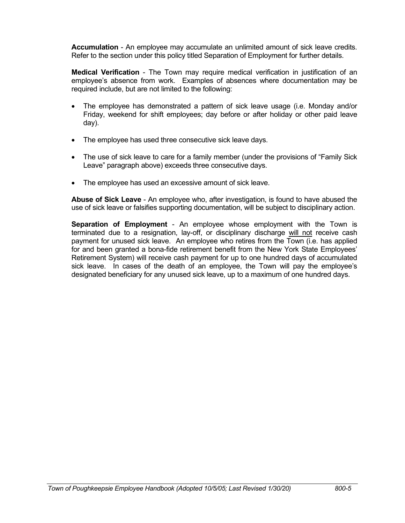**Accumulation** - An employee may accumulate an unlimited amount of sick leave credits. Refer to the section under this policy titled Separation of Employment for further details.

**Medical Verification** - The Town may require medical verification in justification of an employee's absence from work. Examples of absences where documentation may be required include, but are not limited to the following:

- The employee has demonstrated a pattern of sick leave usage (i.e. Monday and/or Friday, weekend for shift employees; day before or after holiday or other paid leave day).
- The employee has used three consecutive sick leave days.
- The use of sick leave to care for a family member (under the provisions of "Family Sick" Leave" paragraph above) exceeds three consecutive days.
- The employee has used an excessive amount of sick leave.

**Abuse of Sick Leave** - An employee who, after investigation, is found to have abused the use of sick leave or falsifies supporting documentation, will be subject to disciplinary action.

**Separation of Employment** - An employee whose employment with the Town is terminated due to a resignation, lay-off, or disciplinary discharge will not receive cash payment for unused sick leave. An employee who retires from the Town (i.e. has applied for and been granted a bona-fide retirement benefit from the New York State Employees' Retirement System) will receive cash payment for up to one hundred days of accumulated sick leave. In cases of the death of an employee, the Town will pay the employee's designated beneficiary for any unused sick leave, up to a maximum of one hundred days.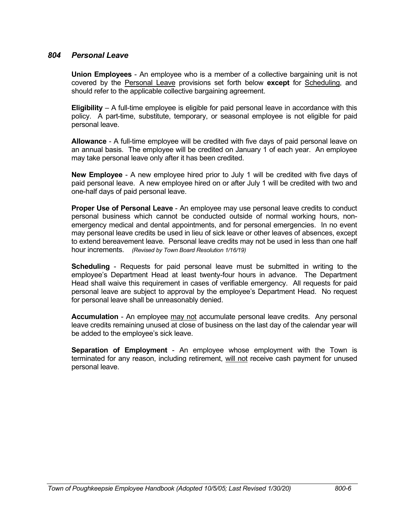### *804 Personal Leave*

**Union Employees** - An employee who is a member of a collective bargaining unit is not covered by the Personal Leave provisions set forth below **except** for Scheduling, and should refer to the applicable collective bargaining agreement.

**Eligibility** – A full-time employee is eligible for paid personal leave in accordance with this policy. A part-time, substitute, temporary, or seasonal employee is not eligible for paid personal leave.

**Allowance** - A full-time employee will be credited with five days of paid personal leave on an annual basis. The employee will be credited on January 1 of each year. An employee may take personal leave only after it has been credited.

**New Employee** - A new employee hired prior to July 1 will be credited with five days of paid personal leave. A new employee hired on or after July 1 will be credited with two and one-half days of paid personal leave.

**Proper Use of Personal Leave** - An employee may use personal leave credits to conduct personal business which cannot be conducted outside of normal working hours, nonemergency medical and dental appointments, and for personal emergencies. In no event may personal leave credits be used in lieu of sick leave or other leaves of absences, except to extend bereavement leave. Personal leave credits may not be used in less than one half hour increments. *(Revised by Town Board Resolution 1/16/19)*

**Scheduling** - Requests for paid personal leave must be submitted in writing to the employee's Department Head at least twenty-four hours in advance. The Department Head shall waive this requirement in cases of verifiable emergency. All requests for paid personal leave are subject to approval by the employee's Department Head. No request for personal leave shall be unreasonably denied.

**Accumulation** - An employee may not accumulate personal leave credits. Any personal leave credits remaining unused at close of business on the last day of the calendar year will be added to the employee's sick leave.

**Separation of Employment** - An employee whose employment with the Town is terminated for any reason, including retirement, will not receive cash payment for unused personal leave.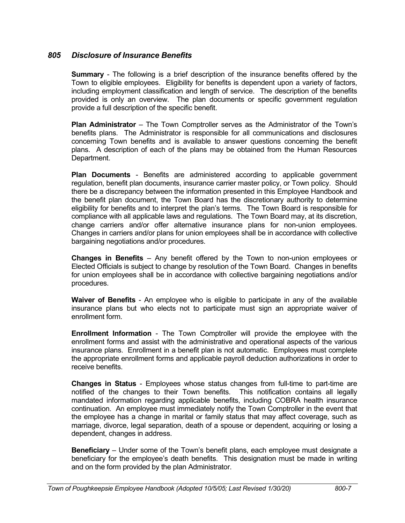# *805 Disclosure of Insurance Benefits*

**Summary** - The following is a brief description of the insurance benefits offered by the Town to eligible employees. Eligibility for benefits is dependent upon a variety of factors, including employment classification and length of service. The description of the benefits provided is only an overview. The plan documents or specific government regulation provide a full description of the specific benefit.

**Plan Administrator** – The Town Comptroller serves as the Administrator of the Town's benefits plans. The Administrator is responsible for all communications and disclosures concerning Town benefits and is available to answer questions concerning the benefit plans. A description of each of the plans may be obtained from the Human Resources Department.

**Plan Documents** - Benefits are administered according to applicable government regulation, benefit plan documents, insurance carrier master policy, or Town policy. Should there be a discrepancy between the information presented in this Employee Handbook and the benefit plan document, the Town Board has the discretionary authority to determine eligibility for benefits and to interpret the plan's terms. The Town Board is responsible for compliance with all applicable laws and regulations. The Town Board may, at its discretion, change carriers and/or offer alternative insurance plans for non-union employees. Changes in carriers and/or plans for union employees shall be in accordance with collective bargaining negotiations and/or procedures.

**Changes in Benefits** – Any benefit offered by the Town to non-union employees or Elected Officials is subject to change by resolution of the Town Board. Changes in benefits for union employees shall be in accordance with collective bargaining negotiations and/or procedures.

**Waiver of Benefits** - An employee who is eligible to participate in any of the available insurance plans but who elects not to participate must sign an appropriate waiver of enrollment form.

**Enrollment Information** - The Town Comptroller will provide the employee with the enrollment forms and assist with the administrative and operational aspects of the various insurance plans. Enrollment in a benefit plan is not automatic. Employees must complete the appropriate enrollment forms and applicable payroll deduction authorizations in order to receive benefits.

**Changes in Status** - Employees whose status changes from full-time to part-time are notified of the changes to their Town benefits. This notification contains all legally mandated information regarding applicable benefits, including COBRA health insurance continuation. An employee must immediately notify the Town Comptroller in the event that the employee has a change in marital or family status that may affect coverage, such as marriage, divorce, legal separation, death of a spouse or dependent, acquiring or losing a dependent, changes in address.

**Beneficiary** – Under some of the Town's benefit plans, each employee must designate a beneficiary for the employee's death benefits. This designation must be made in writing and on the form provided by the plan Administrator.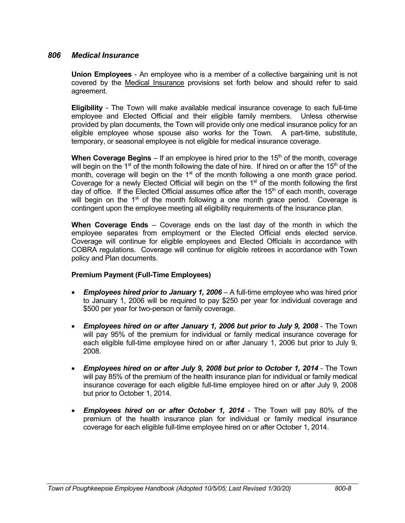### *806 Medical Insurance*

**Union Employees** - An employee who is a member of a collective bargaining unit is not covered by the Medical Insurance provisions set forth below and should refer to said agreement.

**Eligibility** - The Town will make available medical insurance coverage to each full-time employee and Elected Official and their eligible family members. Unless otherwise provided by plan documents, the Town will provide only one medical insurance policy for an eligible employee whose spouse also works for the Town. A part-time, substitute, temporary, or seasonal employee is not eligible for medical insurance coverage.

**When Coverage Begins** – If an employee is hired prior to the  $15<sup>th</sup>$  of the month, coverage will begin on the 1<sup>st</sup> of the month following the date of hire. If hired on or after the 15<sup>th</sup> of the month, coverage will begin on the  $1<sup>st</sup>$  of the month following a one month grace period. Coverage for a newly Elected Official will begin on the 1<sup>st</sup> of the month following the first day of office. If the Elected Official assumes office after the  $15<sup>th</sup>$  of each month, coverage will begin on the  $1<sup>st</sup>$  of the month following a one month grace period. Coverage is contingent upon the employee meeting all eligibility requirements of the insurance plan.

**When Coverage Ends** – Coverage ends on the last day of the month in which the employee separates from employment or the Elected Official ends elected service. Coverage will continue for eligible employees and Elected Officials in accordance with COBRA regulations. Coverage will continue for eligible retirees in accordance with Town policy and Plan documents.

#### **Premium Payment (Full-Time Employees)**

- *Employees hired prior to January 1, 2006* A full-time employee who was hired prior to January 1, 2006 will be required to pay \$250 per year for individual coverage and \$500 per year for two-person or family coverage.
- *Employees hired on or after January 1, 2006 but prior to July 9, 2008* The Town will pay 95% of the premium for individual or family medical insurance coverage for each eligible full-time employee hired on or after January 1, 2006 but prior to July 9, 2008.
- *Employees hired on or after July 9, 2008 but prior to October 1, 2014* The Town will pay 85% of the premium of the health insurance plan for individual or family medical insurance coverage for each eligible full-time employee hired on or after July 9, 2008 but prior to October 1, 2014.
- *Employees hired on or after October 1, 2014* The Town will pay 80% of the premium of the health insurance plan for individual or family medical insurance coverage for each eligible full-time employee hired on or after October 1, 2014.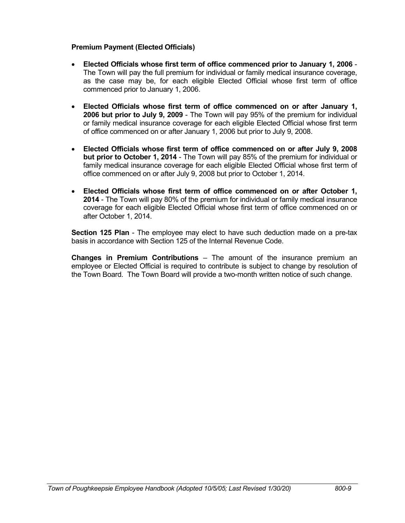### **Premium Payment (Elected Officials)**

- **Elected Officials whose first term of office commenced prior to January 1, 2006** The Town will pay the full premium for individual or family medical insurance coverage, as the case may be, for each eligible Elected Official whose first term of office commenced prior to January 1, 2006.
- **Elected Officials whose first term of office commenced on or after January 1, 2006 but prior to July 9, 2009** - The Town will pay 95% of the premium for individual or family medical insurance coverage for each eligible Elected Official whose first term of office commenced on or after January 1, 2006 but prior to July 9, 2008.
- **Elected Officials whose first term of office commenced on or after July 9, 2008 but prior to October 1, 2014** - The Town will pay 85% of the premium for individual or family medical insurance coverage for each eligible Elected Official whose first term of office commenced on or after July 9, 2008 but prior to October 1, 2014.
- **Elected Officials whose first term of office commenced on or after October 1, 2014** - The Town will pay 80% of the premium for individual or family medical insurance coverage for each eligible Elected Official whose first term of office commenced on or after October 1, 2014.

**Section 125 Plan** - The employee may elect to have such deduction made on a pre-tax basis in accordance with Section 125 of the Internal Revenue Code.

**Changes in Premium Contributions** – The amount of the insurance premium an employee or Elected Official is required to contribute is subject to change by resolution of the Town Board. The Town Board will provide a two-month written notice of such change.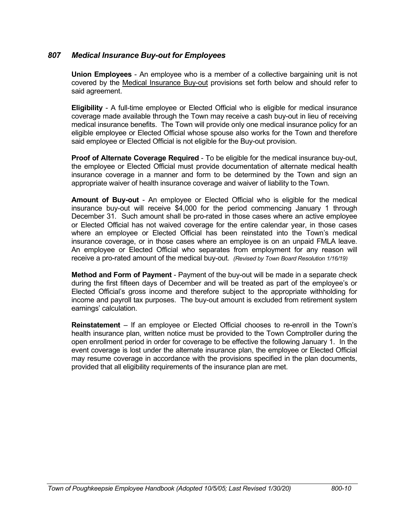# *807 Medical Insurance Buy-out for Employees*

**Union Employees** - An employee who is a member of a collective bargaining unit is not covered by the Medical Insurance Buy-out provisions set forth below and should refer to said agreement.

**Eligibility** - A full-time employee or Elected Official who is eligible for medical insurance coverage made available through the Town may receive a cash buy-out in lieu of receiving medical insurance benefits. The Town will provide only one medical insurance policy for an eligible employee or Elected Official whose spouse also works for the Town and therefore said employee or Elected Official is not eligible for the Buy-out provision.

**Proof of Alternate Coverage Required** - To be eligible for the medical insurance buy-out, the employee or Elected Official must provide documentation of alternate medical health insurance coverage in a manner and form to be determined by the Town and sign an appropriate waiver of health insurance coverage and waiver of liability to the Town.

**Amount of Buy-out** - An employee or Elected Official who is eligible for the medical insurance buy-out will receive \$4,000 for the period commencing January 1 through December 31. Such amount shall be pro-rated in those cases where an active employee or Elected Official has not waived coverage for the entire calendar year, in those cases where an employee or Elected Official has been reinstated into the Town's medical insurance coverage, or in those cases where an employee is on an unpaid FMLA leave. An employee or Elected Official who separates from employment for any reason will receive a pro-rated amount of the medical buy-out. *(Revised by Town Board Resolution 1/16/19)*

**Method and Form of Payment** - Payment of the buy-out will be made in a separate check during the first fifteen days of December and will be treated as part of the employee's or Elected Official's gross income and therefore subject to the appropriate withholding for income and payroll tax purposes. The buy-out amount is excluded from retirement system earnings' calculation.

**Reinstatement** – If an employee or Elected Official chooses to re-enroll in the Town's health insurance plan, written notice must be provided to the Town Comptroller during the open enrollment period in order for coverage to be effective the following January 1. In the event coverage is lost under the alternate insurance plan, the employee or Elected Official may resume coverage in accordance with the provisions specified in the plan documents, provided that all eligibility requirements of the insurance plan are met.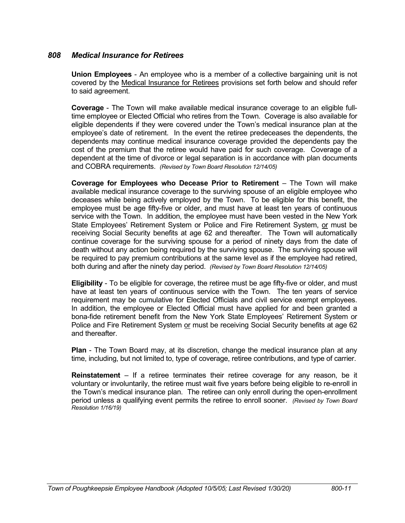### *808 Medical Insurance for Retirees*

**Union Employees** - An employee who is a member of a collective bargaining unit is not covered by the Medical Insurance for Retirees provisions set forth below and should refer to said agreement.

**Coverage** - The Town will make available medical insurance coverage to an eligible fulltime employee or Elected Official who retires from the Town. Coverage is also available for eligible dependents if they were covered under the Town's medical insurance plan at the employee's date of retirement. In the event the retiree predeceases the dependents, the dependents may continue medical insurance coverage provided the dependents pay the cost of the premium that the retiree would have paid for such coverage. Coverage of a dependent at the time of divorce or legal separation is in accordance with plan documents and COBRA requirements. *(Revised by Town Board Resolution 12/14/05)*

**Coverage for Employees who Decease Prior to Retirement** – The Town will make available medical insurance coverage to the surviving spouse of an eligible employee who deceases while being actively employed by the Town. To be eligible for this benefit, the employee must be age fifty-five or older, and must have at least ten years of continuous service with the Town. In addition, the employee must have been vested in the New York State Employees' Retirement System or Police and Fire Retirement System, or must be receiving Social Security benefits at age 62 and thereafter. The Town will automatically continue coverage for the surviving spouse for a period of ninety days from the date of death without any action being required by the surviving spouse. The surviving spouse will be required to pay premium contributions at the same level as if the employee had retired, both during and after the ninety day period. *(Revised by Town Board Resolution 12/14/05)*

**Eligibility** - To be eligible for coverage, the retiree must be age fifty-five or older, and must have at least ten years of continuous service with the Town. The ten years of service requirement may be cumulative for Elected Officials and civil service exempt employees. In addition, the employee or Elected Official must have applied for and been granted a bona-fide retirement benefit from the New York State Employees' Retirement System or Police and Fire Retirement System or must be receiving Social Security benefits at age 62 and thereafter.

**Plan** - The Town Board may, at its discretion, change the medical insurance plan at any time, including, but not limited to, type of coverage, retiree contributions, and type of carrier.

**Reinstatement** – If a retiree terminates their retiree coverage for any reason, be it voluntary or involuntarily, the retiree must wait five years before being eligible to re-enroll in the Town's medical insurance plan. The retiree can only enroll during the open-enrollment period unless a qualifying event permits the retiree to enroll sooner. *(Revised by Town Board Resolution 1/16/19)*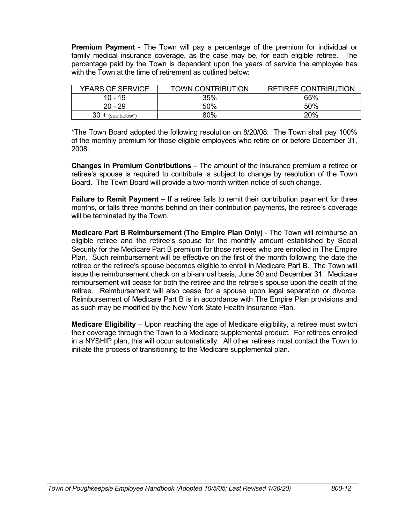**Premium Payment** - The Town will pay a percentage of the premium for individual or family medical insurance coverage, as the case may be, for each eligible retiree. The percentage paid by the Town is dependent upon the years of service the employee has with the Town at the time of retirement as outlined below:

| <b>YEARS OF SERVICE</b> | <b>TOWN CONTRIBUTION</b> | <b>RETIREE CONTRIBUTION</b> |
|-------------------------|--------------------------|-----------------------------|
| 10 - 19                 | 35%                      | 65%                         |
| $20 - 29$               | 50%                      | 50%                         |
| 30<br>(see below*)      | 80%                      | 20%                         |

\*The Town Board adopted the following resolution on 8/20/08: The Town shall pay 100% of the monthly premium for those eligible employees who retire on or before December 31, 2008.

**Changes in Premium Contributions** – The amount of the insurance premium a retiree or retiree's spouse is required to contribute is subject to change by resolution of the Town Board. The Town Board will provide a two-month written notice of such change.

**Failure to Remit Payment** – If a retiree fails to remit their contribution payment for three months, or falls three months behind on their contribution payments, the retiree's coverage will be terminated by the Town.

**Medicare Part B Reimbursement (The Empire Plan Only)** - The Town will reimburse an eligible retiree and the retiree's spouse for the monthly amount established by Social Security for the Medicare Part B premium for those retirees who are enrolled in The Empire Plan. Such reimbursement will be effective on the first of the month following the date the retiree or the retiree's spouse becomes eligible to enroll in Medicare Part B. The Town will issue the reimbursement check on a bi-annual basis, June 30 and December 31. Medicare reimbursement will cease for both the retiree and the retiree's spouse upon the death of the retiree. Reimbursement will also cease for a spouse upon legal separation or divorce. Reimbursement of Medicare Part B is in accordance with The Empire Plan provisions and as such may be modified by the New York State Health Insurance Plan.

**Medicare Eligibility** – Upon reaching the age of Medicare eligibility, a retiree must switch their coverage through the Town to a Medicare supplemental product. For retirees enrolled in a NYSHIP plan, this will occur automatically. All other retirees must contact the Town to initiate the process of transitioning to the Medicare supplemental plan.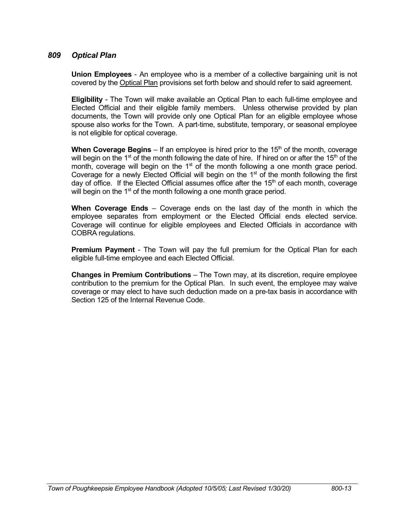### *809 Optical Plan*

**Union Employees** - An employee who is a member of a collective bargaining unit is not covered by the Optical Plan provisions set forth below and should refer to said agreement.

**Eligibility** - The Town will make available an Optical Plan to each full-time employee and Elected Official and their eligible family members. Unless otherwise provided by plan documents, the Town will provide only one Optical Plan for an eligible employee whose spouse also works for the Town. A part-time, substitute, temporary, or seasonal employee is not eligible for optical coverage.

**When Coverage Begins** – If an employee is hired prior to the 15<sup>th</sup> of the month, coverage will begin on the 1<sup>st</sup> of the month following the date of hire. If hired on or after the 15<sup>th</sup> of the month, coverage will begin on the  $1<sup>st</sup>$  of the month following a one month grace period. Coverage for a newly Elected Official will begin on the 1<sup>st</sup> of the month following the first day of office. If the Elected Official assumes office after the  $15<sup>th</sup>$  of each month, coverage will begin on the  $1<sup>st</sup>$  of the month following a one month grace period.

**When Coverage Ends** – Coverage ends on the last day of the month in which the employee separates from employment or the Elected Official ends elected service. Coverage will continue for eligible employees and Elected Officials in accordance with COBRA regulations.

**Premium Payment** - The Town will pay the full premium for the Optical Plan for each eligible full-time employee and each Elected Official.

**Changes in Premium Contributions** – The Town may, at its discretion, require employee contribution to the premium for the Optical Plan. In such event, the employee may waive coverage or may elect to have such deduction made on a pre-tax basis in accordance with Section 125 of the Internal Revenue Code.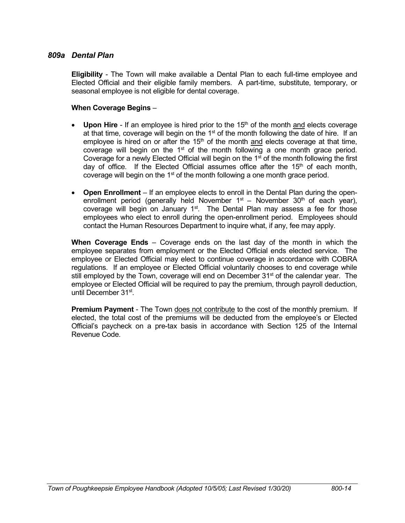### *809a Dental Plan*

**Eligibility** - The Town will make available a Dental Plan to each full-time employee and Elected Official and their eligible family members. A part-time, substitute, temporary, or seasonal employee is not eligible for dental coverage.

#### **When Coverage Begins** –

- Upon Hire If an employee is hired prior to the 15<sup>th</sup> of the month and elects coverage at that time, coverage will begin on the  $1<sup>st</sup>$  of the month following the date of hire. If an employee is hired on or after the  $15<sup>th</sup>$  of the month and elects coverage at that time, coverage will begin on the  $1<sup>st</sup>$  of the month following a one month grace period. Coverage for a newly Elected Official will begin on the  $1<sup>st</sup>$  of the month following the first day of office. If the Elected Official assumes office after the  $15<sup>th</sup>$  of each month, coverage will begin on the 1<sup>st</sup> of the month following a one month grace period.
- **Open Enrollment** If an employee elects to enroll in the Dental Plan during the openenrollment period (generally held November  $1<sup>st</sup>$  – November  $30<sup>th</sup>$  of each vear). coverage will begin on January 1<sup>st</sup>. The Dental Plan may assess a fee for those employees who elect to enroll during the open-enrollment period. Employees should contact the Human Resources Department to inquire what, if any, fee may apply.

**When Coverage Ends** – Coverage ends on the last day of the month in which the employee separates from employment or the Elected Official ends elected service. The employee or Elected Official may elect to continue coverage in accordance with COBRA regulations. If an employee or Elected Official voluntarily chooses to end coverage while still employed by the Town, coverage will end on December 31<sup>st</sup> of the calendar year. The employee or Elected Official will be required to pay the premium, through payroll deduction, until December 31st.

**Premium Payment** - The Town does not contribute to the cost of the monthly premium. If elected, the total cost of the premiums will be deducted from the employee's or Elected Official's paycheck on a pre-tax basis in accordance with Section 125 of the Internal Revenue Code.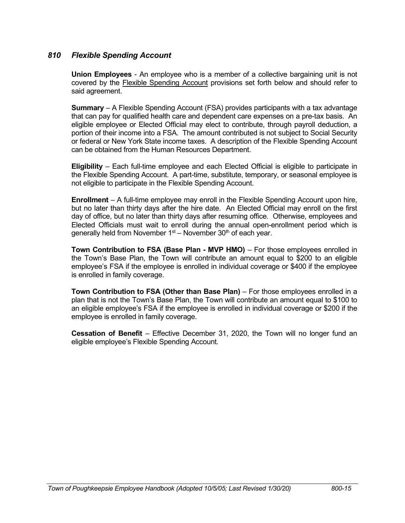# *810 Flexible Spending Account*

**Union Employees** - An employee who is a member of a collective bargaining unit is not covered by the Flexible Spending Account provisions set forth below and should refer to said agreement.

**Summary** – A Flexible Spending Account (FSA) provides participants with a tax advantage that can pay for qualified health care and dependent care expenses on a pre-tax basis. An eligible employee or Elected Official may elect to contribute, through payroll deduction, a portion of their income into a FSA. The amount contributed is not subject to Social Security or federal or New York State income taxes. A description of the Flexible Spending Account can be obtained from the Human Resources Department.

**Eligibility** – Each full-time employee and each Elected Official is eligible to participate in the Flexible Spending Account. A part-time, substitute, temporary, or seasonal employee is not eligible to participate in the Flexible Spending Account.

**Enrollment** – A full-time employee may enroll in the Flexible Spending Account upon hire, but no later than thirty days after the hire date. An Elected Official may enroll on the first day of office, but no later than thirty days after resuming office. Otherwise, employees and Elected Officials must wait to enroll during the annual open-enrollment period which is generally held from November  $1<sup>st</sup>$  – November  $30<sup>th</sup>$  of each year.

**Town Contribution to FSA (Base Plan - MVP HMO)** – For those employees enrolled in the Town's Base Plan, the Town will contribute an amount equal to \$200 to an eligible employee's FSA if the employee is enrolled in individual coverage or \$400 if the employee is enrolled in family coverage.

**Town Contribution to FSA (Other than Base Plan)** – For those employees enrolled in a plan that is not the Town's Base Plan, the Town will contribute an amount equal to \$100 to an eligible employee's FSA if the employee is enrolled in individual coverage or \$200 if the employee is enrolled in family coverage.

**Cessation of Benefit** – Effective December 31, 2020, the Town will no longer fund an eligible employee's Flexible Spending Account.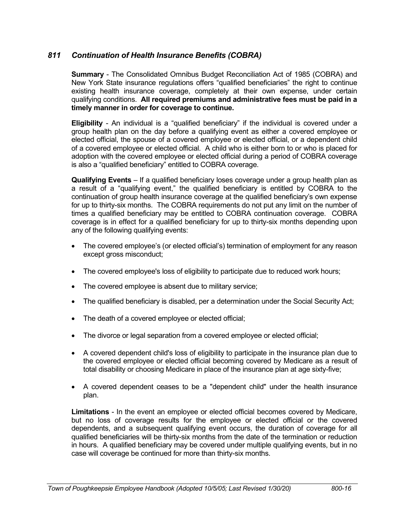# *811 Continuation of Health Insurance Benefits (COBRA)*

**Summary** - The Consolidated Omnibus Budget Reconciliation Act of 1985 (COBRA) and New York State insurance regulations offers "qualified beneficiaries" the right to continue existing health insurance coverage, completely at their own expense, under certain qualifying conditions. **All required premiums and administrative fees must be paid in a timely manner in order for coverage to continue.**

**Eligibility** - An individual is a "qualified beneficiary" if the individual is covered under a group health plan on the day before a qualifying event as either a covered employee or elected official, the spouse of a covered employee or elected official, or a dependent child of a covered employee or elected official. A child who is either born to or who is placed for adoption with the covered employee or elected official during a period of COBRA coverage is also a "qualified beneficiary" entitled to COBRA coverage.

**Qualifying Events** – If a qualified beneficiary loses coverage under a group health plan as a result of a "qualifying event," the qualified beneficiary is entitled by COBRA to the continuation of group health insurance coverage at the qualified beneficiary's own expense for up to thirty-six months. The COBRA requirements do not put any limit on the number of times a qualified beneficiary may be entitled to COBRA continuation coverage. COBRA coverage is in effect for a qualified beneficiary for up to thirty-six months depending upon any of the following qualifying events:

- The covered employee's (or elected official's) termination of employment for any reason except gross misconduct;
- The covered employee's loss of eligibility to participate due to reduced work hours;
- The covered employee is absent due to military service;
- The qualified beneficiary is disabled, per a determination under the Social Security Act;
- The death of a covered employee or elected official;
- The divorce or legal separation from a covered employee or elected official;
- A covered dependent child's loss of eligibility to participate in the insurance plan due to the covered employee or elected official becoming covered by Medicare as a result of total disability or choosing Medicare in place of the insurance plan at age sixty-five;
- A covered dependent ceases to be a "dependent child" under the health insurance plan.

**Limitations** - In the event an employee or elected official becomes covered by Medicare, but no loss of coverage results for the employee or elected official or the covered dependents, and a subsequent qualifying event occurs, the duration of coverage for all qualified beneficiaries will be thirty-six months from the date of the termination or reduction in hours. A qualified beneficiary may be covered under multiple qualifying events, but in no case will coverage be continued for more than thirty-six months.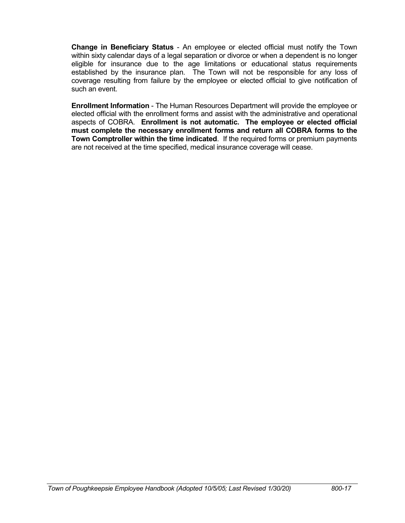**Change in Beneficiary Status** - An employee or elected official must notify the Town within sixty calendar days of a legal separation or divorce or when a dependent is no longer eligible for insurance due to the age limitations or educational status requirements established by the insurance plan. The Town will not be responsible for any loss of coverage resulting from failure by the employee or elected official to give notification of such an event.

**Enrollment Information** - The Human Resources Department will provide the employee or elected official with the enrollment forms and assist with the administrative and operational aspects of COBRA. **Enrollment is not automatic. The employee or elected official must complete the necessary enrollment forms and return all COBRA forms to the Town Comptroller within the time indicated**. If the required forms or premium payments are not received at the time specified, medical insurance coverage will cease.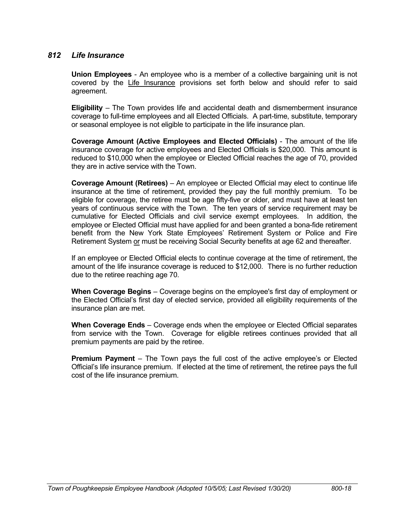### *812 Life Insurance*

**Union Employees** - An employee who is a member of a collective bargaining unit is not covered by the Life Insurance provisions set forth below and should refer to said agreement.

**Eligibility** – The Town provides life and accidental death and dismemberment insurance coverage to full-time employees and all Elected Officials. A part-time, substitute, temporary or seasonal employee is not eligible to participate in the life insurance plan.

**Coverage Amount (Active Employees and Elected Officials)** - The amount of the life insurance coverage for active employees and Elected Officials is \$20,000. This amount is reduced to \$10,000 when the employee or Elected Official reaches the age of 70, provided they are in active service with the Town.

**Coverage Amount (Retirees)** – An employee or Elected Official may elect to continue life insurance at the time of retirement, provided they pay the full monthly premium. To be eligible for coverage, the retiree must be age fifty-five or older, and must have at least ten years of continuous service with the Town. The ten years of service requirement may be cumulative for Elected Officials and civil service exempt employees. In addition, the employee or Elected Official must have applied for and been granted a bona-fide retirement benefit from the New York State Employees' Retirement System or Police and Fire Retirement System or must be receiving Social Security benefits at age 62 and thereafter.

If an employee or Elected Official elects to continue coverage at the time of retirement, the amount of the life insurance coverage is reduced to \$12,000. There is no further reduction due to the retiree reaching age 70.

**When Coverage Begins** – Coverage begins on the employee's first day of employment or the Elected Official's first day of elected service, provided all eligibility requirements of the insurance plan are met.

**When Coverage Ends** – Coverage ends when the employee or Elected Official separates from service with the Town. Coverage for eligible retirees continues provided that all premium payments are paid by the retiree.

**Premium Payment** – The Town pays the full cost of the active employee's or Elected Official's life insurance premium. If elected at the time of retirement, the retiree pays the full cost of the life insurance premium.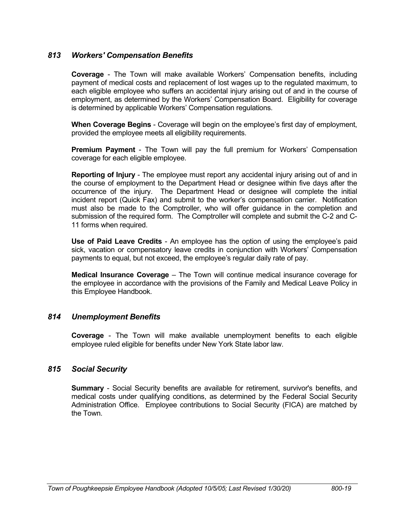## *813 Workers' Compensation Benefits*

**Coverage** - The Town will make available Workers' Compensation benefits, including payment of medical costs and replacement of lost wages up to the regulated maximum, to each eligible employee who suffers an accidental injury arising out of and in the course of employment, as determined by the Workers' Compensation Board. Eligibility for coverage is determined by applicable Workers' Compensation regulations.

**When Coverage Begins** - Coverage will begin on the employee's first day of employment, provided the employee meets all eligibility requirements.

**Premium Payment** - The Town will pay the full premium for Workers' Compensation coverage for each eligible employee.

**Reporting of Injury** - The employee must report any accidental injury arising out of and in the course of employment to the Department Head or designee within five days after the occurrence of the injury. The Department Head or designee will complete the initial incident report (Quick Fax) and submit to the worker's compensation carrier. Notification must also be made to the Comptroller, who will offer guidance in the completion and submission of the required form. The Comptroller will complete and submit the C-2 and C-11 forms when required.

**Use of Paid Leave Credits** - An employee has the option of using the employee's paid sick, vacation or compensatory leave credits in conjunction with Workers' Compensation payments to equal, but not exceed, the employee's regular daily rate of pay.

**Medical Insurance Coverage** – The Town will continue medical insurance coverage for the employee in accordance with the provisions of the Family and Medical Leave Policy in this Employee Handbook.

## *814 Unemployment Benefits*

**Coverage** - The Town will make available unemployment benefits to each eligible employee ruled eligible for benefits under New York State labor law.

## *815 Social Security*

**Summary** - Social Security benefits are available for retirement, survivor's benefits, and medical costs under qualifying conditions, as determined by the Federal Social Security Administration Office. Employee contributions to Social Security (FICA) are matched by the Town.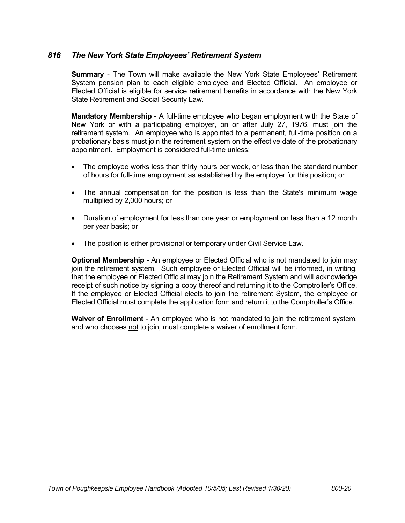## *816 The New York State Employees' Retirement System*

**Summary** - The Town will make available the New York State Employees' Retirement System pension plan to each eligible employee and Elected Official. An employee or Elected Official is eligible for service retirement benefits in accordance with the New York State Retirement and Social Security Law.

**Mandatory Membership** - A full-time employee who began employment with the State of New York or with a participating employer, on or after July 27, 1976, must join the retirement system. An employee who is appointed to a permanent, full-time position on a probationary basis must join the retirement system on the effective date of the probationary appointment. Employment is considered full-time unless:

- The employee works less than thirty hours per week, or less than the standard number of hours for full-time employment as established by the employer for this position; or
- The annual compensation for the position is less than the State's minimum wage multiplied by 2,000 hours; or
- Duration of employment for less than one year or employment on less than a 12 month per year basis; or
- The position is either provisional or temporary under Civil Service Law.

**Optional Membership** - An employee or Elected Official who is not mandated to join may join the retirement system. Such employee or Elected Official will be informed, in writing, that the employee or Elected Official may join the Retirement System and will acknowledge receipt of such notice by signing a copy thereof and returning it to the Comptroller's Office. If the employee or Elected Official elects to join the retirement System, the employee or Elected Official must complete the application form and return it to the Comptroller's Office.

**Waiver of Enrollment** - An employee who is not mandated to join the retirement system, and who chooses not to join, must complete a waiver of enrollment form.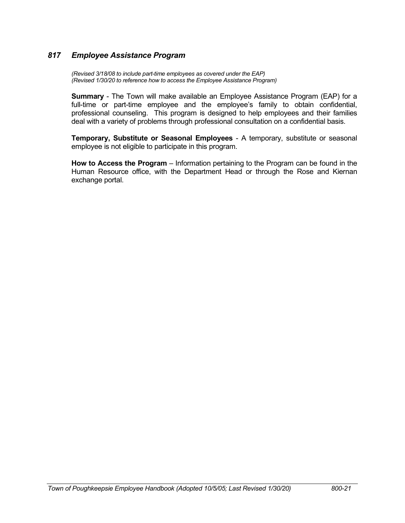# *817 Employee Assistance Program*

*(Revised 3/18/08 to include part-time employees as covered under the EAP) (Revised 1/30/20 to reference how to access the Employee Assistance Program)*

**Summary** - The Town will make available an Employee Assistance Program (EAP) for a full-time or part-time employee and the employee's family to obtain confidential, professional counseling. This program is designed to help employees and their families deal with a variety of problems through professional consultation on a confidential basis.

**Temporary, Substitute or Seasonal Employees** - A temporary, substitute or seasonal employee is not eligible to participate in this program.

**How to Access the Program** – Information pertaining to the Program can be found in the Human Resource office, with the Department Head or through the Rose and Kiernan exchange portal.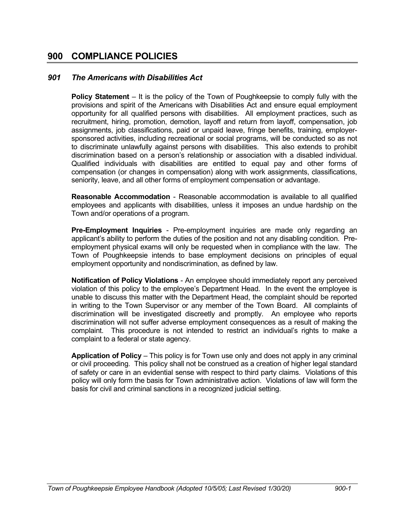# **900 COMPLIANCE POLICIES**

## *901 The Americans with Disabilities Act*

**Policy Statement** – It is the policy of the Town of Poughkeepsie to comply fully with the provisions and spirit of the Americans with Disabilities Act and ensure equal employment opportunity for all qualified persons with disabilities. All employment practices, such as recruitment, hiring, promotion, demotion, layoff and return from layoff, compensation, job assignments, job classifications, paid or unpaid leave, fringe benefits, training, employersponsored activities, including recreational or social programs, will be conducted so as not to discriminate unlawfully against persons with disabilities. This also extends to prohibit discrimination based on a person's relationship or association with a disabled individual. Qualified individuals with disabilities are entitled to equal pay and other forms of compensation (or changes in compensation) along with work assignments, classifications, seniority, leave, and all other forms of employment compensation or advantage.

**Reasonable Accommodation** - Reasonable accommodation is available to all qualified employees and applicants with disabilities, unless it imposes an undue hardship on the Town and/or operations of a program.

**Pre-Employment Inquiries** - Pre-employment inquiries are made only regarding an applicant's ability to perform the duties of the position and not any disabling condition. Preemployment physical exams will only be requested when in compliance with the law. The Town of Poughkeepsie intends to base employment decisions on principles of equal employment opportunity and nondiscrimination, as defined by law.

**Notification of Policy Violations** - An employee should immediately report any perceived violation of this policy to the employee's Department Head. In the event the employee is unable to discuss this matter with the Department Head, the complaint should be reported in writing to the Town Supervisor or any member of the Town Board. All complaints of discrimination will be investigated discreetly and promptly. An employee who reports discrimination will not suffer adverse employment consequences as a result of making the complaint. This procedure is not intended to restrict an individual's rights to make a complaint to a federal or state agency.

**Application of Policy** – This policy is for Town use only and does not apply in any criminal or civil proceeding. This policy shall not be construed as a creation of higher legal standard of safety or care in an evidential sense with respect to third party claims. Violations of this policy will only form the basis for Town administrative action. Violations of law will form the basis for civil and criminal sanctions in a recognized judicial setting.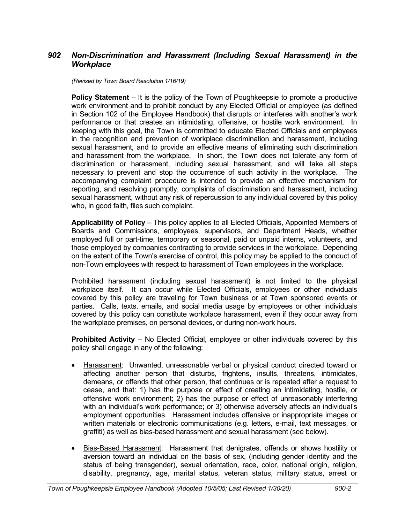# *902 Non-Discrimination and Harassment (Including Sexual Harassment) in the Workplace*

*(Revised by Town Board Resolution 1/16/19)*

**Policy Statement** – It is the policy of the Town of Poughkeepsie to promote a productive work environment and to prohibit conduct by any Elected Official or employee (as defined in Section 102 of the Employee Handbook) that disrupts or interferes with another's work performance or that creates an intimidating, offensive, or hostile work environment. In keeping with this goal, the Town is committed to educate Elected Officials and employees in the recognition and prevention of workplace discrimination and harassment, including sexual harassment, and to provide an effective means of eliminating such discrimination and harassment from the workplace. In short, the Town does not tolerate any form of discrimination or harassment, including sexual harassment, and will take all steps necessary to prevent and stop the occurrence of such activity in the workplace. The accompanying complaint procedure is intended to provide an effective mechanism for reporting, and resolving promptly, complaints of discrimination and harassment, including sexual harassment, without any risk of repercussion to any individual covered by this policy who, in good faith, files such complaint.

**Applicability of Policy** – This policy applies to all Elected Officials, Appointed Members of Boards and Commissions, employees, supervisors, and Department Heads, whether employed full or part-time, temporary or seasonal, paid or unpaid interns, volunteers, and those employed by companies contracting to provide services in the workplace. Depending on the extent of the Town's exercise of control, this policy may be applied to the conduct of non-Town employees with respect to harassment of Town employees in the workplace.

Prohibited harassment (including sexual harassment) is not limited to the physical workplace itself. It can occur while Elected Officials, employees or other individuals covered by this policy are traveling for Town business or at Town sponsored events or parties. Calls, texts, emails, and social media usage by employees or other individuals covered by this policy can constitute workplace harassment, even if they occur away from the workplace premises, on personal devices, or during non-work hours.

**Prohibited Activity** – No Elected Official, employee or other individuals covered by this policy shall engage in any of the following:

- Harassment: Unwanted, unreasonable verbal or physical conduct directed toward or affecting another person that disturbs, frightens, insults, threatens, intimidates, demeans, or offends that other person, that continues or is repeated after a request to cease, and that: 1) has the purpose or effect of creating an intimidating, hostile, or offensive work environment; 2) has the purpose or effect of unreasonably interfering with an individual's work performance; or 3) otherwise adversely affects an individual's employment opportunities. Harassment includes offensive or inappropriate images or written materials or electronic communications (e.g. letters, e-mail, text messages, or graffiti) as well as bias-based harassment and sexual harassment (see below).
- Bias-Based Harassment: Harassment that denigrates, offends or shows hostility or aversion toward an individual on the basis of sex, (including gender identity and the status of being transgender), sexual orientation, race, color, national origin, religion, disability, pregnancy, age, marital status, veteran status, military status, arrest or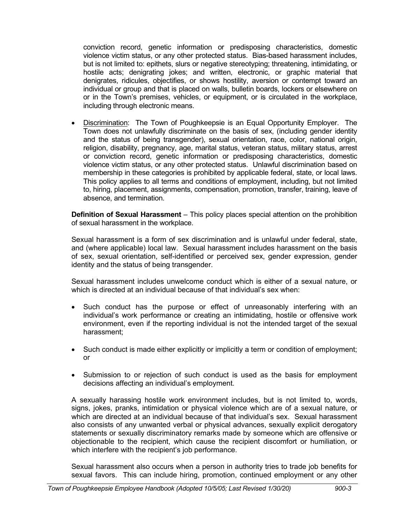conviction record, genetic information or predisposing characteristics, domestic violence victim status, or any other protected status. Bias-based harassment includes, but is not limited to: epithets, slurs or negative stereotyping; threatening, intimidating, or hostile acts; denigrating jokes; and written, electronic, or graphic material that denigrates, ridicules, objectifies, or shows hostility, aversion or contempt toward an individual or group and that is placed on walls, bulletin boards, lockers or elsewhere on or in the Town's premises, vehicles, or equipment, or is circulated in the workplace, including through electronic means.

• Discrimination: The Town of Poughkeepsie is an Equal Opportunity Employer. The Town does not unlawfully discriminate on the basis of sex, (including gender identity and the status of being transgender), sexual orientation, race, color, national origin, religion, disability, pregnancy, age, marital status, veteran status, military status, arrest or conviction record, genetic information or predisposing characteristics, domestic violence victim status, or any other protected status. Unlawful discrimination based on membership in these categories is prohibited by applicable federal, state, or local laws. This policy applies to all terms and conditions of employment, including, but not limited to, hiring, placement, assignments, compensation, promotion, transfer, training, leave of absence, and termination.

**Definition of Sexual Harassment** – This policy places special attention on the prohibition of sexual harassment in the workplace.

Sexual harassment is a form of sex discrimination and is unlawful under federal, state, and (where applicable) local law. Sexual harassment includes harassment on the basis of sex, sexual orientation, self-identified or perceived sex, gender expression, gender identity and the status of being transgender.

Sexual harassment includes unwelcome conduct which is either of a sexual nature, or which is directed at an individual because of that individual's sex when:

- Such conduct has the purpose or effect of unreasonably interfering with an individual's work performance or creating an intimidating, hostile or offensive work environment, even if the reporting individual is not the intended target of the sexual harassment;
- Such conduct is made either explicitly or implicitly a term or condition of employment; or
- Submission to or rejection of such conduct is used as the basis for employment decisions affecting an individual's employment.

A sexually harassing hostile work environment includes, but is not limited to, words, signs, jokes, pranks, intimidation or physical violence which are of a sexual nature, or which are directed at an individual because of that individual's sex. Sexual harassment also consists of any unwanted verbal or physical advances, sexually explicit derogatory statements or sexually discriminatory remarks made by someone which are offensive or objectionable to the recipient, which cause the recipient discomfort or humiliation, or which interfere with the recipient's job performance.

Sexual harassment also occurs when a person in authority tries to trade job benefits for sexual favors. This can include hiring, promotion, continued employment or any other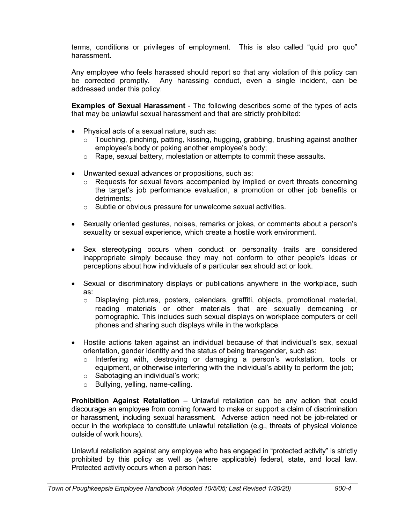terms, conditions or privileges of employment. This is also called "quid pro quo" harassment.

Any employee who feels harassed should report so that any violation of this policy can be corrected promptly. Any harassing conduct, even a single incident, can be addressed under this policy.

**Examples of Sexual Harassment** - The following describes some of the types of acts that may be unlawful sexual harassment and that are strictly prohibited:

- Physical acts of a sexual nature, such as:
	- o Touching, pinching, patting, kissing, hugging, grabbing, brushing against another employee's body or poking another employee's body;
	- o Rape, sexual battery, molestation or attempts to commit these assaults.
- Unwanted sexual advances or propositions, such as:
	- o Requests for sexual favors accompanied by implied or overt threats concerning the target's job performance evaluation, a promotion or other job benefits or detriments;
	- $\circ$  Subtle or obvious pressure for unwelcome sexual activities.
- Sexually oriented gestures, noises, remarks or jokes, or comments about a person's sexuality or sexual experience, which create a hostile work environment.
- Sex stereotyping occurs when conduct or personality traits are considered inappropriate simply because they may not conform to other people's ideas or perceptions about how individuals of a particular sex should act or look.
- Sexual or discriminatory displays or publications anywhere in the workplace, such as:
	- o Displaying pictures, posters, calendars, graffiti, objects, promotional material, reading materials or other materials that are sexually demeaning or pornographic. This includes such sexual displays on workplace computers or cell phones and sharing such displays while in the workplace.
- Hostile actions taken against an individual because of that individual's sex, sexual orientation, gender identity and the status of being transgender, such as:
	- o Interfering with, destroying or damaging a person's workstation, tools or equipment, or otherwise interfering with the individual's ability to perform the job;
	- o Sabotaging an individual's work;
	- o Bullying, yelling, name-calling.

**Prohibition Against Retaliation** – Unlawful retaliation can be any action that could discourage an employee from coming forward to make or support a claim of discrimination or harassment, including sexual harassment. Adverse action need not be job-related or occur in the workplace to constitute unlawful retaliation (e.g., threats of physical violence outside of work hours).

Unlawful retaliation against any employee who has engaged in "protected activity" is strictly prohibited by this policy as well as (where applicable) federal, state, and local law. Protected activity occurs when a person has: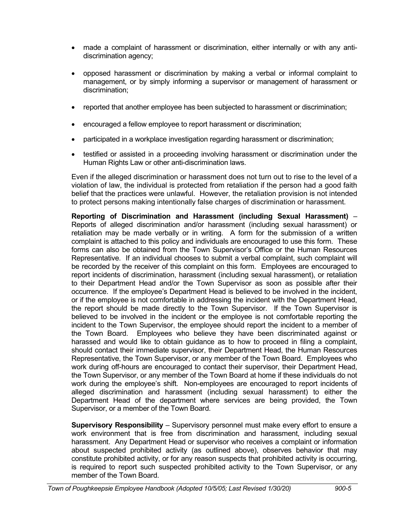- made a complaint of harassment or discrimination, either internally or with any antidiscrimination agency;
- opposed harassment or discrimination by making a verbal or informal complaint to management, or by simply informing a supervisor or management of harassment or discrimination;
- reported that another employee has been subjected to harassment or discrimination;
- encouraged a fellow employee to report harassment or discrimination;
- participated in a workplace investigation regarding harassment or discrimination;
- testified or assisted in a proceeding involving harassment or discrimination under the Human Rights Law or other anti-discrimination laws.

Even if the alleged discrimination or harassment does not turn out to rise to the level of a violation of law, the individual is protected from retaliation if the person had a good faith belief that the practices were unlawful. However, the retaliation provision is not intended to protect persons making intentionally false charges of discrimination or harassment.

**Reporting of Discrimination and Harassment (including Sexual Harassment)** – Reports of alleged discrimination and/or harassment (including sexual harassment) or retaliation may be made verbally or in writing. A form for the submission of a written complaint is attached to this policy and individuals are encouraged to use this form. These forms can also be obtained from the Town Supervisor's Office or the Human Resources Representative. If an individual chooses to submit a verbal complaint, such complaint will be recorded by the receiver of this complaint on this form. Employees are encouraged to report incidents of discrimination, harassment (including sexual harassment), or retaliation to their Department Head and/or the Town Supervisor as soon as possible after their occurrence. If the employee's Department Head is believed to be involved in the incident, or if the employee is not comfortable in addressing the incident with the Department Head, the report should be made directly to the Town Supervisor. If the Town Supervisor is believed to be involved in the incident or the employee is not comfortable reporting the incident to the Town Supervisor, the employee should report the incident to a member of the Town Board. Employees who believe they have been discriminated against or harassed and would like to obtain guidance as to how to proceed in filing a complaint, should contact their immediate supervisor, their Department Head, the Human Resources Representative, the Town Supervisor, or any member of the Town Board. Employees who work during off-hours are encouraged to contact their supervisor, their Department Head, the Town Supervisor, or any member of the Town Board at home if these individuals do not work during the employee's shift. Non-employees are encouraged to report incidents of alleged discrimination and harassment (including sexual harassment) to either the Department Head of the department where services are being provided, the Town Supervisor, or a member of the Town Board.

**Supervisory Responsibility** – Supervisory personnel must make every effort to ensure a work environment that is free from discrimination and harassment, including sexual harassment. Any Department Head or supervisor who receives a complaint or information about suspected prohibited activity (as outlined above), observes behavior that may constitute prohibited activity, or for any reason suspects that prohibited activity is occurring, is required to report such suspected prohibited activity to the Town Supervisor, or any member of the Town Board.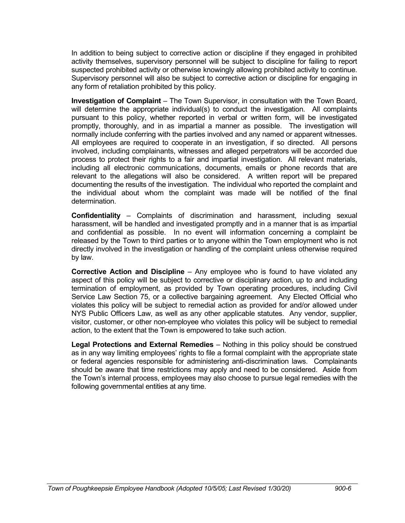In addition to being subject to corrective action or discipline if they engaged in prohibited activity themselves, supervisory personnel will be subject to discipline for failing to report suspected prohibited activity or otherwise knowingly allowing prohibited activity to continue. Supervisory personnel will also be subject to corrective action or discipline for engaging in any form of retaliation prohibited by this policy.

**Investigation of Complaint** – The Town Supervisor, in consultation with the Town Board, will determine the appropriate individual(s) to conduct the investigation. All complaints pursuant to this policy, whether reported in verbal or written form, will be investigated promptly, thoroughly, and in as impartial a manner as possible. The investigation will normally include conferring with the parties involved and any named or apparent witnesses. All employees are required to cooperate in an investigation, if so directed. All persons involved, including complainants, witnesses and alleged perpetrators will be accorded due process to protect their rights to a fair and impartial investigation. All relevant materials, including all electronic communications, documents, emails or phone records that are relevant to the allegations will also be considered. A written report will be prepared documenting the results of the investigation. The individual who reported the complaint and the individual about whom the complaint was made will be notified of the final determination.

**Confidentiality** – Complaints of discrimination and harassment, including sexual harassment, will be handled and investigated promptly and in a manner that is as impartial and confidential as possible. In no event will information concerning a complaint be released by the Town to third parties or to anyone within the Town employment who is not directly involved in the investigation or handling of the complaint unless otherwise required by law.

**Corrective Action and Discipline** – Any employee who is found to have violated any aspect of this policy will be subject to corrective or disciplinary action, up to and including termination of employment, as provided by Town operating procedures, including Civil Service Law Section 75, or a collective bargaining agreement. Any Elected Official who violates this policy will be subject to remedial action as provided for and/or allowed under NYS Public Officers Law, as well as any other applicable statutes. Any vendor, supplier, visitor, customer, or other non-employee who violates this policy will be subject to remedial action, to the extent that the Town is empowered to take such action.

**Legal Protections and External Remedies** – Nothing in this policy should be construed as in any way limiting employees' rights to file a formal complaint with the appropriate state or federal agencies responsible for administering anti-discrimination laws. Complainants should be aware that time restrictions may apply and need to be considered. Aside from the Town's internal process, employees may also choose to pursue legal remedies with the following governmental entities at any time.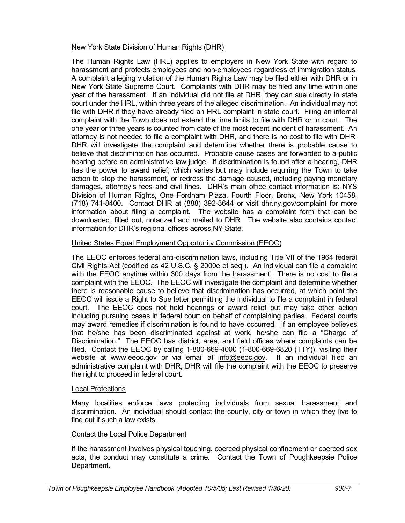### New York State Division of Human Rights (DHR)

The Human Rights Law (HRL) applies to employers in New York State with regard to harassment and protects employees and non-employees regardless of immigration status. A complaint alleging violation of the Human Rights Law may be filed either with DHR or in New York State Supreme Court. Complaints with DHR may be filed any time within one year of the harassment. If an individual did not file at DHR, they can sue directly in state court under the HRL, within three years of the alleged discrimination. An individual may not file with DHR if they have already filed an HRL complaint in state court. Filing an internal complaint with the Town does not extend the time limits to file with DHR or in court. The one year or three years is counted from date of the most recent incident of harassment. An attorney is not needed to file a complaint with DHR, and there is no cost to file with DHR. DHR will investigate the complaint and determine whether there is probable cause to believe that discrimination has occurred. Probable cause cases are forwarded to a public hearing before an administrative law judge. If discrimination is found after a hearing, DHR has the power to award relief, which varies but may include requiring the Town to take action to stop the harassment, or redress the damage caused, including paying monetary damages, attorney's fees and civil fines. DHR's main office contact information is: NYS Division of Human Rights, One Fordham Plaza, Fourth Floor, Bronx, New York 10458, (718) 741-8400. Contact DHR at (888) 392-3644 or visit dhr.ny.gov/complaint for more information about filing a complaint. The website has a complaint form that can be downloaded, filled out, notarized and mailed to DHR. The website also contains contact information for DHR's regional offices across NY State.

## United States Equal Employment Opportunity Commission (EEOC)

The EEOC enforces federal anti-discrimination laws, including Title VII of the 1964 federal Civil Rights Act (codified as 42 U.S.C. § 2000e et seq.). An individual can file a complaint with the EEOC anytime within 300 days from the harassment. There is no cost to file a complaint with the EEOC. The EEOC will investigate the complaint and determine whether there is reasonable cause to believe that discrimination has occurred, at which point the EEOC will issue a Right to Sue letter permitting the individual to file a complaint in federal court. The EEOC does not hold hearings or award relief but may take other action including pursuing cases in federal court on behalf of complaining parties. Federal courts may award remedies if discrimination is found to have occurred. If an employee believes that he/she has been discriminated against at work, he/she can file a "Charge of Discrimination." The EEOC has district, area, and field offices where complaints can be filed. Contact the EEOC by calling 1-800-669-4000 (1-800-669-6820 (TTY)), visiting their website at www.eeoc.gov or via email at info@eeoc.gov. If an individual filed an administrative complaint with DHR, DHR will file the complaint with the EEOC to preserve the right to proceed in federal court.

## Local Protections

Many localities enforce laws protecting individuals from sexual harassment and discrimination. An individual should contact the county, city or town in which they live to find out if such a law exists.

## Contact the Local Police Department

If the harassment involves physical touching, coerced physical confinement or coerced sex acts, the conduct may constitute a crime. Contact the Town of Poughkeepsie Police Department.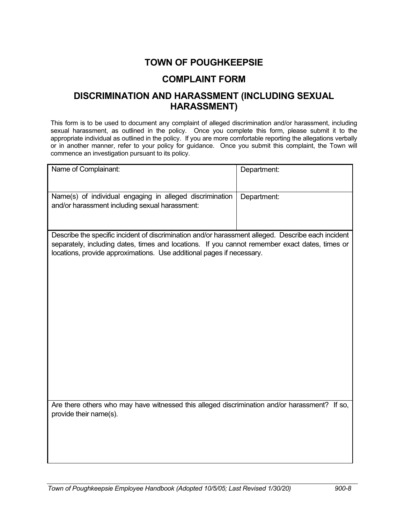# **TOWN OF POUGHKEEPSIE**

# **COMPLAINT FORM**

# **DISCRIMINATION AND HARASSMENT (INCLUDING SEXUAL HARASSMENT)**

This form is to be used to document any complaint of alleged discrimination and/or harassment, including sexual harassment, as outlined in the policy. Once you complete this form, please submit it to the appropriate individual as outlined in the policy. If you are more comfortable reporting the allegations verbally or in another manner, refer to your policy for guidance. Once you submit this complaint, the Town will commence an investigation pursuant to its policy.

| Name of Complainant:                                                                                                                                                                                                                                                          | Department: |  |
|-------------------------------------------------------------------------------------------------------------------------------------------------------------------------------------------------------------------------------------------------------------------------------|-------------|--|
| Name(s) of individual engaging in alleged discrimination<br>and/or harassment including sexual harassment:                                                                                                                                                                    | Department: |  |
| Describe the specific incident of discrimination and/or harassment alleged. Describe each incident<br>separately, including dates, times and locations. If you cannot remember exact dates, times or<br>locations, provide approximations. Use additional pages if necessary. |             |  |
|                                                                                                                                                                                                                                                                               |             |  |
|                                                                                                                                                                                                                                                                               |             |  |
|                                                                                                                                                                                                                                                                               |             |  |
| Are there others who may have witnessed this alleged discrimination and/or harassment? If so,<br>provide their name(s).                                                                                                                                                       |             |  |
|                                                                                                                                                                                                                                                                               |             |  |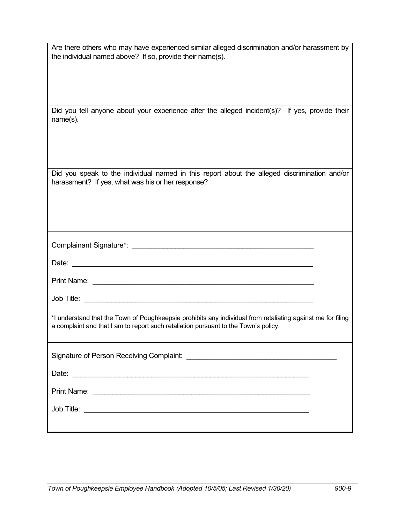| Are there others who may have experienced similar alleged discrimination and/or harassment by<br>the individual named above? If so, provide their name(s).                                         |  |  |
|----------------------------------------------------------------------------------------------------------------------------------------------------------------------------------------------------|--|--|
| Did you tell anyone about your experience after the alleged incident(s)? If yes, provide their<br>$name(s)$ .                                                                                      |  |  |
| Did you speak to the individual named in this report about the alleged discrimination and/or<br>harassment? If yes, what was his or her response?                                                  |  |  |
|                                                                                                                                                                                                    |  |  |
|                                                                                                                                                                                                    |  |  |
|                                                                                                                                                                                                    |  |  |
|                                                                                                                                                                                                    |  |  |
| *I understand that the Town of Poughkeepsie prohibits any individual from retaliating against me for filing<br>a complaint and that I am to report such retaliation pursuant to the Town's policy. |  |  |
|                                                                                                                                                                                                    |  |  |
|                                                                                                                                                                                                    |  |  |
|                                                                                                                                                                                                    |  |  |
|                                                                                                                                                                                                    |  |  |
|                                                                                                                                                                                                    |  |  |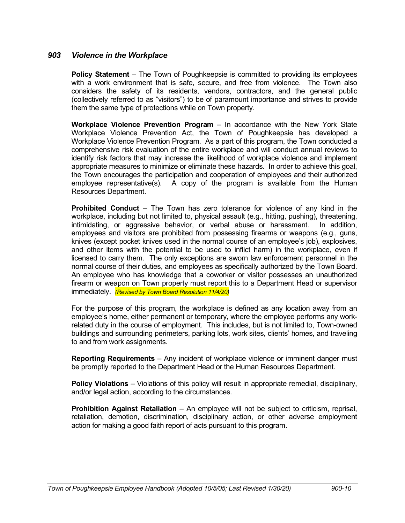### *903 Violence in the Workplace*

**Policy Statement** – The Town of Poughkeepsie is committed to providing its employees with a work environment that is safe, secure, and free from violence. The Town also considers the safety of its residents, vendors, contractors, and the general public (collectively referred to as "visitors") to be of paramount importance and strives to provide them the same type of protections while on Town property.

**Workplace Violence Prevention Program** – In accordance with the New York State Workplace Violence Prevention Act, the Town of Poughkeepsie has developed a Workplace Violence Prevention Program. As a part of this program, the Town conducted a comprehensive risk evaluation of the entire workplace and will conduct annual reviews to identify risk factors that may increase the likelihood of workplace violence and implement appropriate measures to minimize or eliminate these hazards. In order to achieve this goal, the Town encourages the participation and cooperation of employees and their authorized employee representative(s). A copy of the program is available from the Human Resources Department.

**Prohibited Conduct** – The Town has zero tolerance for violence of any kind in the workplace, including but not limited to, physical assault (e.g., hitting, pushing), threatening, intimidating, or aggressive behavior, or verbal abuse or harassment. In addition, employees and visitors are prohibited from possessing firearms or weapons (e.g., guns, knives (except pocket knives used in the normal course of an employee's job), explosives, and other items with the potential to be used to inflict harm) in the workplace, even if licensed to carry them. The only exceptions are sworn law enforcement personnel in the normal course of their duties, and employees as specifically authorized by the Town Board. An employee who has knowledge that a coworker or visitor possesses an unauthorized firearm or weapon on Town property must report this to a Department Head or supervisor immediately. *(Revised by Town Board Resolution 11/4/20)*

For the purpose of this program, the workplace is defined as any location away from an employee's home, either permanent or temporary, where the employee performs any workrelated duty in the course of employment. This includes, but is not limited to, Town-owned buildings and surrounding perimeters, parking lots, work sites, clients' homes, and traveling to and from work assignments.

**Reporting Requirements** – Any incident of workplace violence or imminent danger must be promptly reported to the Department Head or the Human Resources Department.

**Policy Violations** – Violations of this policy will result in appropriate remedial, disciplinary, and/or legal action, according to the circumstances.

**Prohibition Against Retaliation** – An employee will not be subject to criticism, reprisal, retaliation, demotion, discrimination, disciplinary action, or other adverse employment action for making a good faith report of acts pursuant to this program.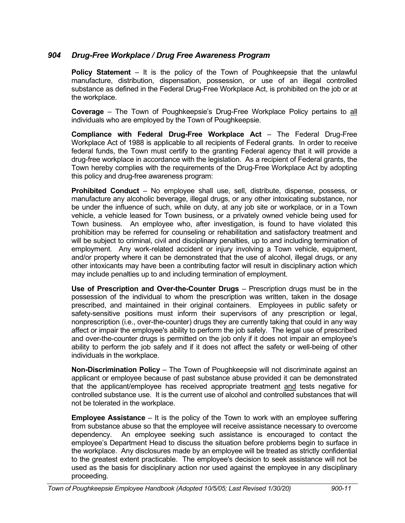# *904 Drug-Free Workplace / Drug Free Awareness Program*

**Policy Statement** – It is the policy of the Town of Poughkeepsie that the unlawful manufacture, distribution, dispensation, possession, or use of an illegal controlled substance as defined in the Federal Drug-Free Workplace Act, is prohibited on the job or at the workplace.

**Coverage** – The Town of Poughkeepsie's Drug-Free Workplace Policy pertains to all individuals who are employed by the Town of Poughkeepsie.

**Compliance with Federal Drug-Free Workplace Act** – The Federal Drug-Free Workplace Act of 1988 is applicable to all recipients of Federal grants. In order to receive federal funds, the Town must certify to the granting Federal agency that it will provide a drug-free workplace in accordance with the legislation. As a recipient of Federal grants, the Town hereby complies with the requirements of the Drug-Free Workplace Act by adopting this policy and drug-free awareness program:

**Prohibited Conduct** – No employee shall use, sell, distribute, dispense, possess, or manufacture any alcoholic beverage, illegal drugs, or any other intoxicating substance, nor be under the influence of such, while on duty, at any job site or workplace, or in a Town vehicle, a vehicle leased for Town business, or a privately owned vehicle being used for Town business. An employee who, after investigation, is found to have violated this prohibition may be referred for counseling or rehabilitation and satisfactory treatment and will be subject to criminal, civil and disciplinary penalties, up to and including termination of employment. Any work-related accident or injury involving a Town vehicle, equipment, and/or property where it can be demonstrated that the use of alcohol, illegal drugs, or any other intoxicants may have been a contributing factor will result in disciplinary action which may include penalties up to and including termination of employment.

**Use of Prescription and Over-the-Counter Drugs** – Prescription drugs must be in the possession of the individual to whom the prescription was written, taken in the dosage prescribed, and maintained in their original containers. Employees in public safety or safety-sensitive positions must inform their supervisors of any prescription or legal, nonprescription (i.e., over-the-counter) drugs they are currently taking that could in any way affect or impair the employee's ability to perform the job safely. The legal use of prescribed and over-the-counter drugs is permitted on the job only if it does not impair an employee's ability to perform the job safely and if it does not affect the safety or well-being of other individuals in the workplace.

**Non-Discrimination Policy** – The Town of Poughkeepsie will not discriminate against an applicant or employee because of past substance abuse provided it can be demonstrated that the applicant/employee has received appropriate treatment and tests negative for controlled substance use. It is the current use of alcohol and controlled substances that will not be tolerated in the workplace.

**Employee Assistance** – It is the policy of the Town to work with an employee suffering from substance abuse so that the employee will receive assistance necessary to overcome dependency. An employee seeking such assistance is encouraged to contact the employee's Department Head to discuss the situation before problems begin to surface in the workplace. Any disclosures made by an employee will be treated as strictly confidential to the greatest extent practicable. The employee's decision to seek assistance will not be used as the basis for disciplinary action nor used against the employee in any disciplinary proceeding.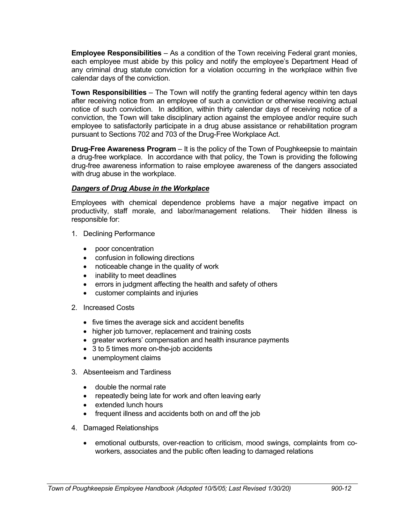**Employee Responsibilities** – As a condition of the Town receiving Federal grant monies, each employee must abide by this policy and notify the employee's Department Head of any criminal drug statute conviction for a violation occurring in the workplace within five calendar days of the conviction.

**Town Responsibilities** – The Town will notify the granting federal agency within ten days after receiving notice from an employee of such a conviction or otherwise receiving actual notice of such conviction. In addition, within thirty calendar days of receiving notice of a conviction, the Town will take disciplinary action against the employee and/or require such employee to satisfactorily participate in a drug abuse assistance or rehabilitation program pursuant to Sections 702 and 703 of the Drug-Free Workplace Act.

**Drug-Free Awareness Program** – It is the policy of the Town of Poughkeepsie to maintain a drug-free workplace. In accordance with that policy, the Town is providing the following drug-free awareness information to raise employee awareness of the dangers associated with drug abuse in the workplace.

### *Dangers of Drug Abuse in the Workplace*

Employees with chemical dependence problems have a major negative impact on productivity, staff morale, and labor/management relations. Their hidden illness is responsible for:

- 1. Declining Performance
	- poor concentration
	- confusion in following directions
	- noticeable change in the quality of work
	- inability to meet deadlines
	- errors in judgment affecting the health and safety of others
	- customer complaints and injuries
- 2. Increased Costs
	- five times the average sick and accident benefits
	- higher job turnover, replacement and training costs
	- greater workers' compensation and health insurance payments
	- 3 to 5 times more on-the-job accidents
	- unemployment claims
- 3. Absenteeism and Tardiness
	- double the normal rate
	- repeatedly being late for work and often leaving early
	- extended lunch hours
	- frequent illness and accidents both on and off the job
- 4. Damaged Relationships
	- emotional outbursts, over-reaction to criticism, mood swings, complaints from coworkers, associates and the public often leading to damaged relations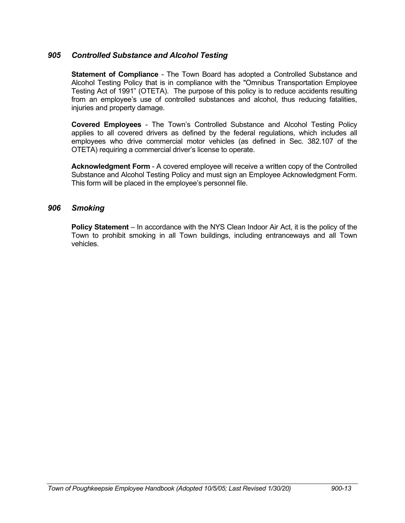## *905 Controlled Substance and Alcohol Testing*

**Statement of Compliance** - The Town Board has adopted a Controlled Substance and Alcohol Testing Policy that is in compliance with the "Omnibus Transportation Employee Testing Act of 1991" (OTETA). The purpose of this policy is to reduce accidents resulting from an employee's use of controlled substances and alcohol, thus reducing fatalities, injuries and property damage.

**Covered Employees** - The Town's Controlled Substance and Alcohol Testing Policy applies to all covered drivers as defined by the federal regulations, which includes all employees who drive commercial motor vehicles (as defined in Sec. 382.107 of the OTETA) requiring a commercial driver's license to operate.

**Acknowledgment Form** - A covered employee will receive a written copy of the Controlled Substance and Alcohol Testing Policy and must sign an Employee Acknowledgment Form. This form will be placed in the employee's personnel file.

## *906 Smoking*

**Policy Statement** – In accordance with the NYS Clean Indoor Air Act, it is the policy of the Town to prohibit smoking in all Town buildings, including entranceways and all Town vehicles.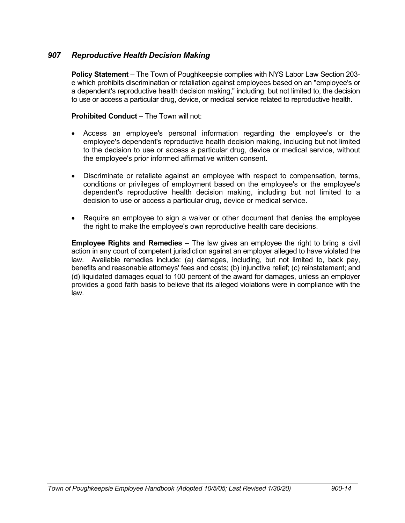# *907 Reproductive Health Decision Making*

**Policy Statement** – The Town of Poughkeepsie complies with NYS Labor Law Section 203 e which prohibits discrimination or retaliation against employees based on an "employee's or a dependent's reproductive health decision making," including, but not limited to, the decision to use or access a particular drug, device, or medical service related to reproductive health.

### **Prohibited Conduct** – The Town will not:

- Access an employee's personal information regarding the employee's or the employee's dependent's reproductive health decision making, including but not limited to the decision to use or access a particular drug, device or medical service, without the employee's prior informed affirmative written consent.
- Discriminate or retaliate against an employee with respect to compensation, terms, conditions or privileges of employment based on the employee's or the employee's dependent's reproductive health decision making, including but not limited to a decision to use or access a particular drug, device or medical service.
- Require an employee to sign a waiver or other document that denies the employee the right to make the employee's own reproductive health care decisions.

**Employee Rights and Remedies** – The law gives an employee the right to bring a civil action in any court of competent jurisdiction against an employer alleged to have violated the law. Available remedies include: (a) damages, including, but not limited to, back pay, benefits and reasonable attorneys' fees and costs; (b) injunctive relief; (c) reinstatement; and (d) liquidated damages equal to 100 percent of the award for damages, unless an employer provides a good faith basis to believe that its alleged violations were in compliance with the law.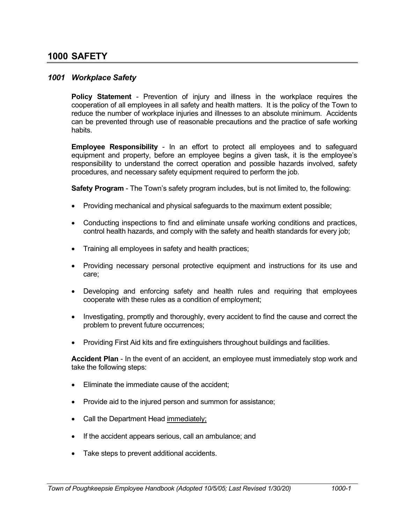# **1000 SAFETY**

### *1001 Workplace Safety*

**Policy Statement** - Prevention of injury and illness in the workplace requires the cooperation of all employees in all safety and health matters. It is the policy of the Town to reduce the number of workplace injuries and illnesses to an absolute minimum. Accidents can be prevented through use of reasonable precautions and the practice of safe working habits.

**Employee Responsibility** - In an effort to protect all employees and to safeguard equipment and property, before an employee begins a given task, it is the employee's responsibility to understand the correct operation and possible hazards involved, safety procedures, and necessary safety equipment required to perform the job.

**Safety Program** - The Town's safety program includes, but is not limited to, the following:

- Providing mechanical and physical safeguards to the maximum extent possible;
- Conducting inspections to find and eliminate unsafe working conditions and practices, control health hazards, and comply with the safety and health standards for every job;
- Training all employees in safety and health practices;
- Providing necessary personal protective equipment and instructions for its use and care;
- Developing and enforcing safety and health rules and requiring that employees cooperate with these rules as a condition of employment;
- Investigating, promptly and thoroughly, every accident to find the cause and correct the problem to prevent future occurrences;
- Providing First Aid kits and fire extinguishers throughout buildings and facilities.

**Accident Plan** - In the event of an accident, an employee must immediately stop work and take the following steps:

- Eliminate the immediate cause of the accident;
- Provide aid to the injured person and summon for assistance;
- Call the Department Head immediately;
- If the accident appears serious, call an ambulance; and
- Take steps to prevent additional accidents.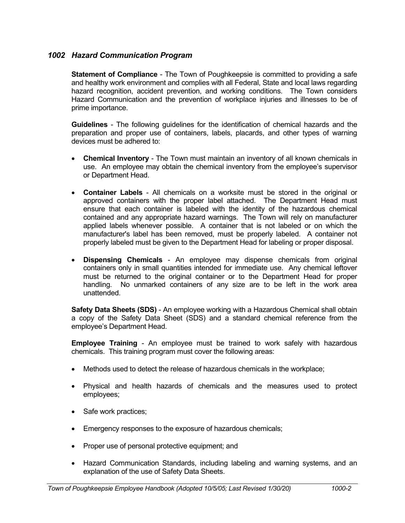# *1002 Hazard Communication Program*

**Statement of Compliance** - The Town of Poughkeepsie is committed to providing a safe and healthy work environment and complies with all Federal, State and local laws regarding hazard recognition, accident prevention, and working conditions. The Town considers Hazard Communication and the prevention of workplace injuries and illnesses to be of prime importance.

**Guidelines** - The following guidelines for the identification of chemical hazards and the preparation and proper use of containers, labels, placards, and other types of warning devices must be adhered to:

- **Chemical Inventory** The Town must maintain an inventory of all known chemicals in use. An employee may obtain the chemical inventory from the employee's supervisor or Department Head.
- **Container Labels** All chemicals on a worksite must be stored in the original or approved containers with the proper label attached. The Department Head must ensure that each container is labeled with the identity of the hazardous chemical contained and any appropriate hazard warnings. The Town will rely on manufacturer applied labels whenever possible. A container that is not labeled or on which the manufacturer's label has been removed, must be properly labeled. A container not properly labeled must be given to the Department Head for labeling or proper disposal.
- **Dispensing Chemicals** An employee may dispense chemicals from original containers only in small quantities intended for immediate use. Any chemical leftover must be returned to the original container or to the Department Head for proper handling. No unmarked containers of any size are to be left in the work area unattended.

**Safety Data Sheets (SDS)** - An employee working with a Hazardous Chemical shall obtain a copy of the Safety Data Sheet (SDS) and a standard chemical reference from the employee's Department Head.

**Employee Training** - An employee must be trained to work safely with hazardous chemicals. This training program must cover the following areas:

- Methods used to detect the release of hazardous chemicals in the workplace;
- Physical and health hazards of chemicals and the measures used to protect employees;
- Safe work practices;
- **Emergency responses to the exposure of hazardous chemicals;**
- Proper use of personal protective equipment; and
- Hazard Communication Standards, including labeling and warning systems, and an explanation of the use of Safety Data Sheets.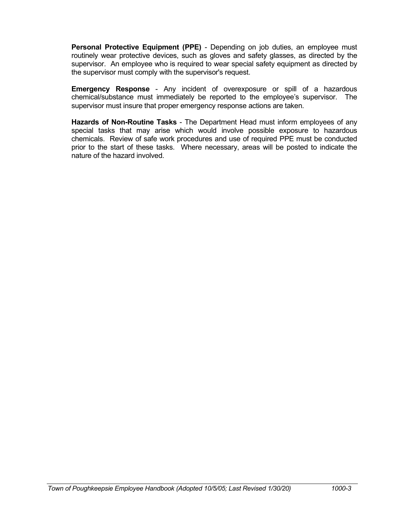**Personal Protective Equipment (PPE)** - Depending on job duties, an employee must routinely wear protective devices, such as gloves and safety glasses, as directed by the supervisor. An employee who is required to wear special safety equipment as directed by the supervisor must comply with the supervisor's request.

**Emergency Response** - Any incident of overexposure or spill of a hazardous chemical/substance must immediately be reported to the employee's supervisor. The supervisor must insure that proper emergency response actions are taken.

**Hazards of Non-Routine Tasks** - The Department Head must inform employees of any special tasks that may arise which would involve possible exposure to hazardous chemicals. Review of safe work procedures and use of required PPE must be conducted prior to the start of these tasks. Where necessary, areas will be posted to indicate the nature of the hazard involved.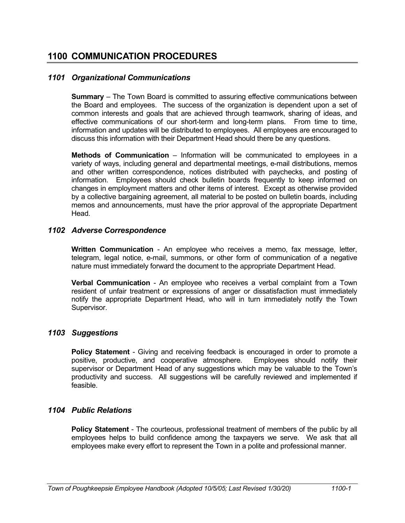# **1100 COMMUNICATION PROCEDURES**

## *1101 Organizational Communications*

**Summary** – The Town Board is committed to assuring effective communications between the Board and employees. The success of the organization is dependent upon a set of common interests and goals that are achieved through teamwork, sharing of ideas, and effective communications of our short-term and long-term plans. From time to time, information and updates will be distributed to employees. All employees are encouraged to discuss this information with their Department Head should there be any questions.

**Methods of Communication** – Information will be communicated to employees in a variety of ways, including general and departmental meetings, e-mail distributions, memos and other written correspondence, notices distributed with paychecks, and posting of information. Employees should check bulletin boards frequently to keep informed on changes in employment matters and other items of interest. Except as otherwise provided by a collective bargaining agreement, all material to be posted on bulletin boards, including memos and announcements, must have the prior approval of the appropriate Department Head.

## *1102 Adverse Correspondence*

**Written Communication** - An employee who receives a memo, fax message, letter, telegram, legal notice, e-mail, summons, or other form of communication of a negative nature must immediately forward the document to the appropriate Department Head.

**Verbal Communication** - An employee who receives a verbal complaint from a Town resident of unfair treatment or expressions of anger or dissatisfaction must immediately notify the appropriate Department Head, who will in turn immediately notify the Town Supervisor.

## *1103 Suggestions*

**Policy Statement** - Giving and receiving feedback is encouraged in order to promote a positive, productive, and cooperative atmosphere. Employees should notify their supervisor or Department Head of any suggestions which may be valuable to the Town's productivity and success. All suggestions will be carefully reviewed and implemented if feasible.

## *1104 Public Relations*

**Policy Statement** - The courteous, professional treatment of members of the public by all employees helps to build confidence among the taxpayers we serve. We ask that all employees make every effort to represent the Town in a polite and professional manner.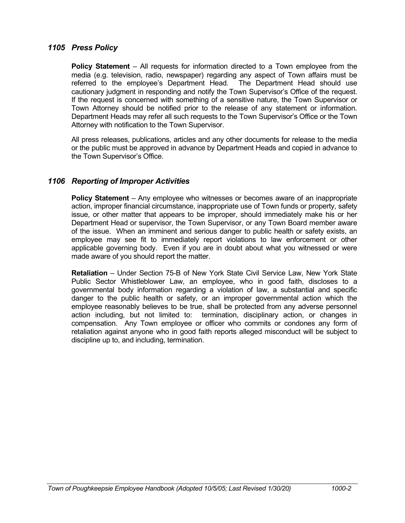### *1105 Press Policy*

**Policy Statement** – All requests for information directed to a Town employee from the media (e.g. television, radio, newspaper) regarding any aspect of Town affairs must be referred to the employee's Department Head. The Department Head should use cautionary judgment in responding and notify the Town Supervisor's Office of the request. If the request is concerned with something of a sensitive nature, the Town Supervisor or Town Attorney should be notified prior to the release of any statement or information. Department Heads may refer all such requests to the Town Supervisor's Office or the Town Attorney with notification to the Town Supervisor.

All press releases, publications, articles and any other documents for release to the media or the public must be approved in advance by Department Heads and copied in advance to the Town Supervisor's Office.

## *1106 Reporting of Improper Activities*

**Policy Statement** – Any employee who witnesses or becomes aware of an inappropriate action, improper financial circumstance, inappropriate use of Town funds or property, safety issue, or other matter that appears to be improper, should immediately make his or her Department Head or supervisor, the Town Supervisor, or any Town Board member aware of the issue. When an imminent and serious danger to public health or safety exists, an employee may see fit to immediately report violations to law enforcement or other applicable governing body. Even if you are in doubt about what you witnessed or were made aware of you should report the matter.

**Retaliation** – Under Section 75-B of New York State Civil Service Law, New York State Public Sector Whistleblower Law, an employee, who in good faith, discloses to a governmental body information regarding a violation of law, a substantial and specific danger to the public health or safety, or an improper governmental action which the employee reasonably believes to be true, shall be protected from any adverse personnel action including, but not limited to: termination, disciplinary action, or changes in compensation. Any Town employee or officer who commits or condones any form of retaliation against anyone who in good faith reports alleged misconduct will be subject to discipline up to, and including, termination.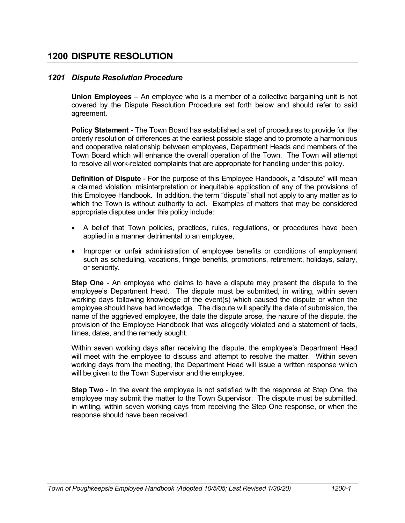# *1201 Dispute Resolution Procedure*

**Union Employees** – An employee who is a member of a collective bargaining unit is not covered by the Dispute Resolution Procedure set forth below and should refer to said agreement.

**Policy Statement** - The Town Board has established a set of procedures to provide for the orderly resolution of differences at the earliest possible stage and to promote a harmonious and cooperative relationship between employees, Department Heads and members of the Town Board which will enhance the overall operation of the Town. The Town will attempt to resolve all work-related complaints that are appropriate for handling under this policy.

**Definition of Dispute** - For the purpose of this Employee Handbook, a "dispute" will mean a claimed violation, misinterpretation or inequitable application of any of the provisions of this Employee Handbook. In addition, the term "dispute" shall not apply to any matter as to which the Town is without authority to act. Examples of matters that may be considered appropriate disputes under this policy include:

- A belief that Town policies, practices, rules, regulations, or procedures have been applied in a manner detrimental to an employee,
- Improper or unfair administration of employee benefits or conditions of employment such as scheduling, vacations, fringe benefits, promotions, retirement, holidays, salary, or seniority.

**Step One** - An employee who claims to have a dispute may present the dispute to the employee's Department Head. The dispute must be submitted, in writing, within seven working days following knowledge of the event(s) which caused the dispute or when the employee should have had knowledge. The dispute will specify the date of submission, the name of the aggrieved employee, the date the dispute arose, the nature of the dispute, the provision of the Employee Handbook that was allegedly violated and a statement of facts, times, dates, and the remedy sought.

Within seven working days after receiving the dispute, the employee's Department Head will meet with the employee to discuss and attempt to resolve the matter. Within seven working days from the meeting, the Department Head will issue a written response which will be given to the Town Supervisor and the employee.

**Step Two** - In the event the employee is not satisfied with the response at Step One, the employee may submit the matter to the Town Supervisor. The dispute must be submitted, in writing, within seven working days from receiving the Step One response, or when the response should have been received.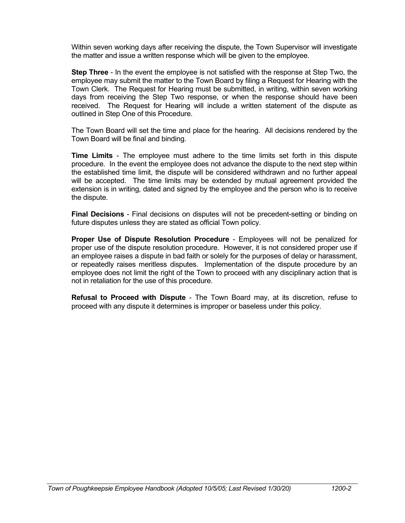Within seven working days after receiving the dispute, the Town Supervisor will investigate the matter and issue a written response which will be given to the employee.

**Step Three** - In the event the employee is not satisfied with the response at Step Two, the employee may submit the matter to the Town Board by filing a Request for Hearing with the Town Clerk. The Request for Hearing must be submitted, in writing, within seven working days from receiving the Step Two response, or when the response should have been received. The Request for Hearing will include a written statement of the dispute as outlined in Step One of this Procedure.

The Town Board will set the time and place for the hearing. All decisions rendered by the Town Board will be final and binding.

**Time Limits** - The employee must adhere to the time limits set forth in this dispute procedure. In the event the employee does not advance the dispute to the next step within the established time limit, the dispute will be considered withdrawn and no further appeal will be accepted. The time limits may be extended by mutual agreement provided the extension is in writing, dated and signed by the employee and the person who is to receive the dispute.

**Final Decisions** - Final decisions on disputes will not be precedent-setting or binding on future disputes unless they are stated as official Town policy.

**Proper Use of Dispute Resolution Procedure** - Employees will not be penalized for proper use of the dispute resolution procedure. However, it is not considered proper use if an employee raises a dispute in bad faith or solely for the purposes of delay or harassment, or repeatedly raises meritless disputes. Implementation of the dispute procedure by an employee does not limit the right of the Town to proceed with any disciplinary action that is not in retaliation for the use of this procedure.

**Refusal to Proceed with Dispute** - The Town Board may, at its discretion, refuse to proceed with any dispute it determines is improper or baseless under this policy.